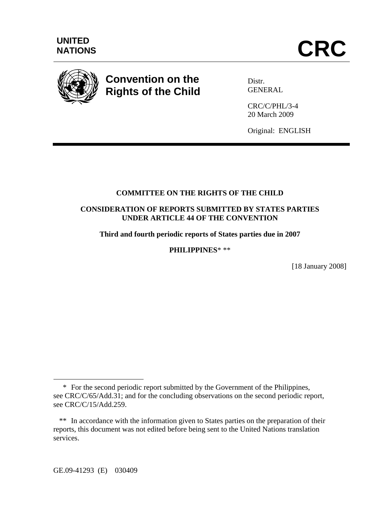

# **Convention on the Rights of the Child**

Distr. **GENERAL** 

CRC/C/PHL/3-4 20 March 2009

Original: ENGLISH

# **COMMITTEE ON THE RIGHTS OF THE CHILD**

# **CONSIDERATION OF REPORTS SUBMITTED BY STATES PARTIES UNDER ARTICLE 44 OF THE CONVENTION**

**Third and fourth periodic reports of States parties due in 2007** 

**PHILIPPINES**\* \*\*

[18 January 2008]

GE.09-41293 (E) 030409

 $\overline{a}$ 

 <sup>\*</sup> For the second periodic report submitted by the Government of the Philippines, see CRC/C/65/Add.31; and for the concluding observations on the second periodic report, see CRC/C/15/Add.259.

 <sup>\*\*</sup> In accordance with the information given to States parties on the preparation of their reports, this document was not edited before being sent to the United Nations translation services.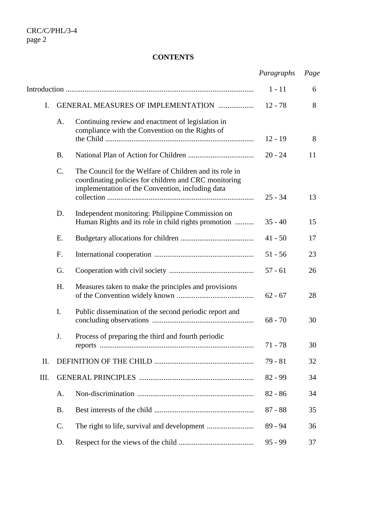# **CONTENTS**

|                |                 |                                                                                                                                                                      | Paragraphs | Page |
|----------------|-----------------|----------------------------------------------------------------------------------------------------------------------------------------------------------------------|------------|------|
|                |                 |                                                                                                                                                                      | $1 - 11$   | 6    |
| $\mathbf{I}$ . |                 | <b>GENERAL MEASURES OF IMPLEMENTATION </b>                                                                                                                           | $12 - 78$  | 8    |
|                | A.              | Continuing review and enactment of legislation in<br>compliance with the Convention on the Rights of                                                                 | $12 - 19$  | 8    |
|                | <b>B.</b>       |                                                                                                                                                                      | $20 - 24$  | 11   |
|                | C.              | The Council for the Welfare of Children and its role in<br>coordinating policies for children and CRC monitoring<br>implementation of the Convention, including data | $25 - 34$  | 13   |
|                | D.              | Independent monitoring: Philippine Commission on<br>Human Rights and its role in child rights promotion                                                              | $35 - 40$  | 15   |
|                | Ε.              |                                                                                                                                                                      | $41 - 50$  | 17   |
|                | F.              |                                                                                                                                                                      | $51 - 56$  | 23   |
|                | G.              |                                                                                                                                                                      | $57 - 61$  | 26   |
|                | H.              | Measures taken to make the principles and provisions                                                                                                                 | $62 - 67$  | 28   |
|                | I.              | Public dissemination of the second periodic report and                                                                                                               | $68 - 70$  | 30   |
|                | J.              | Process of preparing the third and fourth periodic                                                                                                                   | $71 - 78$  | 30   |
| II.            |                 |                                                                                                                                                                      | $79 - 81$  | 32   |
| III.           |                 |                                                                                                                                                                      | $82 - 99$  | 34   |
|                | Α.              |                                                                                                                                                                      | $82 - 86$  | 34   |
|                | <b>B.</b>       |                                                                                                                                                                      | $87 - 88$  | 35   |
|                | $\mathcal{C}$ . |                                                                                                                                                                      | 89 - 94    | 36   |
|                | D.              |                                                                                                                                                                      | $95 - 99$  | 37   |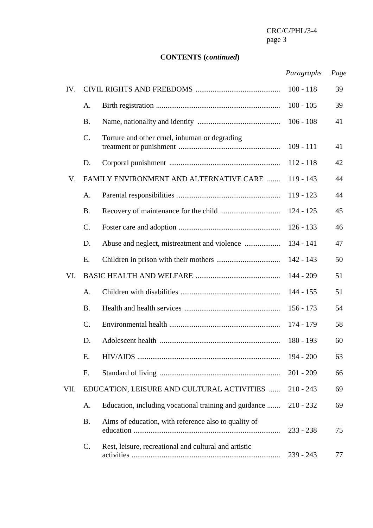# **CONTENTS (***continued***)**

# *Paragraphs Page*

| IV.  |                 |                                                       | $100 - 118$ | 39 |
|------|-----------------|-------------------------------------------------------|-------------|----|
|      | A.              |                                                       | $100 - 105$ | 39 |
|      | <b>B.</b>       |                                                       | $106 - 108$ | 41 |
|      | C.              | Torture and other cruel, inhuman or degrading         | $109 - 111$ | 41 |
|      | D.              |                                                       | $112 - 118$ | 42 |
| V.   |                 | FAMILY ENVIRONMENT AND ALTERNATIVE CARE               | $119 - 143$ | 44 |
|      | A.              |                                                       | $119 - 123$ | 44 |
|      | <b>B.</b>       |                                                       | $124 - 125$ | 45 |
|      | $\mathbf{C}$ .  |                                                       | $126 - 133$ | 46 |
|      | D.              | Abuse and neglect, mistreatment and violence          | $134 - 141$ | 47 |
|      | Ε.              |                                                       | $142 - 143$ | 50 |
| VI.  |                 |                                                       | $144 - 209$ | 51 |
|      | A.              |                                                       | $144 - 155$ | 51 |
|      | <b>B.</b>       |                                                       | $156 - 173$ | 54 |
|      | $\mathcal{C}$ . |                                                       | 174 - 179   | 58 |
|      | D.              |                                                       | $180 - 193$ | 60 |
|      | Е.              |                                                       | $194 - 200$ | 63 |
|      | F.              |                                                       | $201 - 209$ | 66 |
| VII. |                 | EDUCATION, LEISURE AND CULTURAL ACTIVITIES            | $210 - 243$ | 69 |
|      | Α.              | Education, including vocational training and guidance | $210 - 232$ | 69 |
|      | <b>B.</b>       | Aims of education, with reference also to quality of  | $233 - 238$ | 75 |
|      | $\mathbf{C}$ .  | Rest, leisure, recreational and cultural and artistic | $239 - 243$ | 77 |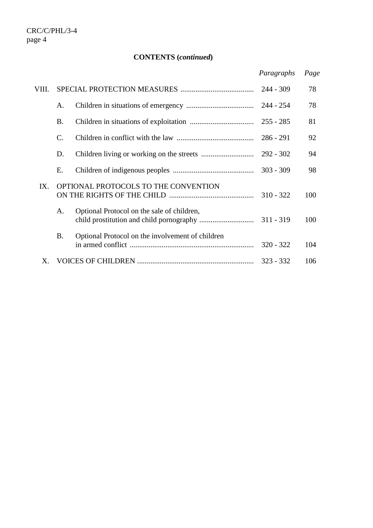# **CONTENTS (***continued***)**

|       |                |                                                  | Paragraphs  | Page |
|-------|----------------|--------------------------------------------------|-------------|------|
| VIII. |                |                                                  | $244 - 309$ | 78   |
|       | A.             |                                                  | $244 - 254$ | 78   |
|       | <b>B.</b>      |                                                  | $255 - 285$ | 81   |
|       | $\mathbf{C}$ . |                                                  | $286 - 291$ | 92   |
|       | D.             |                                                  | $292 - 302$ | 94   |
|       | Е.             |                                                  | $303 - 309$ | 98   |
| IX.   |                | OPTIONAL PROTOCOLS TO THE CONVENTION             | $310 - 322$ | 100  |
|       | A.             | Optional Protocol on the sale of children,       |             | 100  |
|       | <b>B.</b>      | Optional Protocol on the involvement of children | $320 - 322$ | 104  |
| Χ.    |                |                                                  | $323 - 332$ | 106  |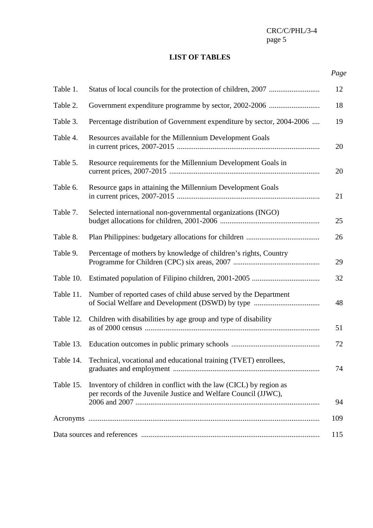## **LIST OF TABLES**

# *Page*

| Table 1.  |                                                                                                                                       | 12  |
|-----------|---------------------------------------------------------------------------------------------------------------------------------------|-----|
| Table 2.  |                                                                                                                                       | 18  |
| Table 3.  | Percentage distribution of Government expenditure by sector, 2004-2006                                                                | 19  |
| Table 4.  | Resources available for the Millennium Development Goals                                                                              | 20  |
| Table 5.  | Resource requirements for the Millennium Development Goals in                                                                         | 20  |
| Table 6.  | Resource gaps in attaining the Millennium Development Goals                                                                           | 21  |
| Table 7.  | Selected international non-governmental organizations (INGO)                                                                          | 25  |
| Table 8.  |                                                                                                                                       | 26  |
| Table 9.  | Percentage of mothers by knowledge of children's rights, Country                                                                      | 29  |
| Table 10. |                                                                                                                                       | 32  |
| Table 11. | Number of reported cases of child abuse served by the Department                                                                      | 48  |
| Table 12. | Children with disabilities by age group and type of disability                                                                        | 51  |
| Table 13. |                                                                                                                                       | 72  |
|           | Table 14. Technical, vocational and educational training (TVET) enrollees,                                                            | 74  |
| Table 15. | Inventory of children in conflict with the law (CICL) by region as<br>per records of the Juvenile Justice and Welfare Council (JJWC), | 94  |
|           |                                                                                                                                       | 109 |
|           |                                                                                                                                       | 115 |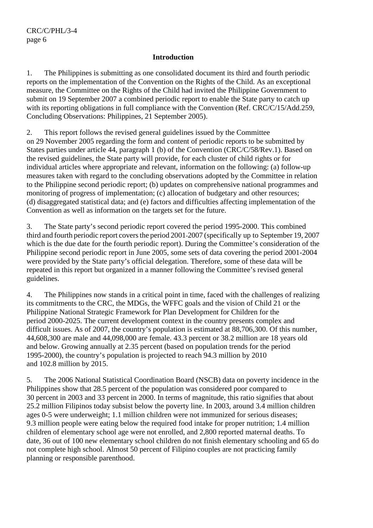#### **Introduction**

1. The Philippines is submitting as one consolidated document its third and fourth periodic reports on the implementation of the Convention on the Rights of the Child. As an exceptional measure, the Committee on the Rights of the Child had invited the Philippine Government to submit on 19 September 2007 a combined periodic report to enable the State party to catch up with its reporting obligations in full compliance with the Convention (Ref. CRC/C/15/Add.259, Concluding Observations: Philippines, 21 September 2005).

2. This report follows the revised general guidelines issued by the Committee on 29 November 2005 regarding the form and content of periodic reports to be submitted by States parties under article 44, paragraph 1 (b) of the Convention (CRC/C/58/Rev.1). Based on the revised guidelines, the State party will provide, for each cluster of child rights or for individual articles where appropriate and relevant, information on the following: (a) follow-up measures taken with regard to the concluding observations adopted by the Committee in relation to the Philippine second periodic report; (b) updates on comprehensive national programmes and monitoring of progress of implementation; (c) allocation of budgetary and other resources; (d) disaggregated statistical data; and (e) factors and difficulties affecting implementation of the Convention as well as information on the targets set for the future.

3. The State party's second periodic report covered the period 1995-2000. This combined third and fourth periodic report covers the period 2001-2007 (specifically up to September 19, 2007) which is the due date for the fourth periodic report). During the Committee's consideration of the Philippine second periodic report in June 2005, some sets of data covering the period 2001-2004 were provided by the State party's official delegation. Therefore, some of these data will be repeated in this report but organized in a manner following the Committee's revised general guidelines.

4. The Philippines now stands in a critical point in time, faced with the challenges of realizing its commitments to the CRC, the MDGs, the WFFC goals and the vision of Child 21 or the Philippine National Strategic Framework for Plan Development for Children for the period 2000-2025. The current development context in the country presents complex and difficult issues. As of 2007, the country's population is estimated at 88,706,300. Of this number, 44,608,300 are male and 44,098,000 are female. 43.3 percent or 38.2 million are 18 years old and below. Growing annually at 2.35 percent (based on population trends for the period 1995-2000), the country's population is projected to reach 94.3 million by 2010 and 102.8 million by 2015.

5. The 2006 National Statistical Coordination Board (NSCB) data on poverty incidence in the Philippines show that 28.5 percent of the population was considered poor compared to 30 percent in 2003 and 33 percent in 2000. In terms of magnitude, this ratio signifies that about 25.2 million Filipinos today subsist below the poverty line. In 2003, around 3.4 million children ages 0-5 were underweight; 1.1 million children were not immunized for serious diseases; 9.3 million people were eating below the required food intake for proper nutrition; 1.4 million children of elementary school age were not enrolled, and 2,800 reported maternal deaths. To date, 36 out of 100 new elementary school children do not finish elementary schooling and 65 do not complete high school. Almost 50 percent of Filipino couples are not practicing family planning or responsible parenthood.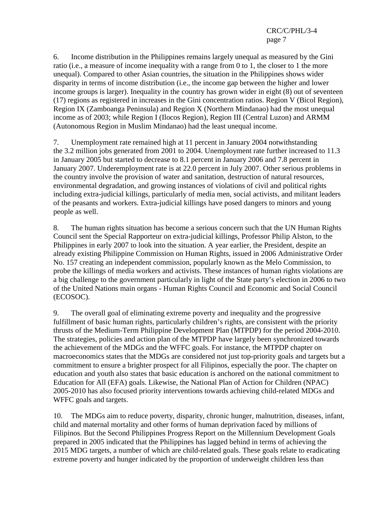6. Income distribution in the Philippines remains largely unequal as measured by the Gini ratio (i.e., a measure of income inequality with a range from 0 to 1, the closer to 1 the more unequal). Compared to other Asian countries, the situation in the Philippines shows wider disparity in terms of income distribution (i.e., the income gap between the higher and lower income groups is larger). Inequality in the country has grown wider in eight (8) out of seventeen (17) regions as registered in increases in the Gini concentration ratios. Region V (Bicol Region), Region IX (Zamboanga Peninsula) and Region X (Northern Mindanao) had the most unequal income as of 2003; while Region I (Ilocos Region), Region III (Central Luzon) and ARMM (Autonomous Region in Muslim Mindanao) had the least unequal income.

7. Unemployment rate remained high at 11 percent in January 2004 notwithstanding the 3.2 million jobs generated from 2001 to 2004. Unemployment rate further increased to 11.3 in January 2005 but started to decrease to 8.1 percent in January 2006 and 7.8 percent in January 2007. Underemployment rate is at 22.0 percent in July 2007. Other serious problems in the country involve the provision of water and sanitation, destruction of natural resources, environmental degradation, and growing instances of violations of civil and political rights including extra-judicial killings, particularly of media men, social activists, and militant leaders of the peasants and workers. Extra-judicial killings have posed dangers to minors and young people as well.

8. The human rights situation has become a serious concern such that the UN Human Rights Council sent the Special Rapporteur on extra-judicial killings, Professor Philip Alston, to the Philippines in early 2007 to look into the situation. A year earlier, the President, despite an already existing Philippine Commission on Human Rights, issued in 2006 Administrative Order No. 157 creating an independent commission, popularly known as the Melo Commission, to probe the killings of media workers and activists. These instances of human rights violations are a big challenge to the government particularly in light of the State party's election in 2006 to two of the United Nations main organs - Human Rights Council and Economic and Social Council (ECOSOC).

9. The overall goal of eliminating extreme poverty and inequality and the progressive fulfillment of basic human rights, particularly children's rights, are consistent with the priority thrusts of the Medium-Term Philippine Development Plan (MTPDP) for the period 2004-2010. The strategies, policies and action plan of the MTPDP have largely been synchronized towards the achievement of the MDGs and the WFFC goals. For instance, the MTPDP chapter on macroeconomics states that the MDGs are considered not just top-priority goals and targets but a commitment to ensure a brighter prospect for all Filipinos, especially the poor. The chapter on education and youth also states that basic education is anchored on the national commitment to Education for All (EFA) goals. Likewise, the National Plan of Action for Children (NPAC) 2005-2010 has also focused priority interventions towards achieving child-related MDGs and WFFC goals and targets.

10. The MDGs aim to reduce poverty, disparity, chronic hunger, malnutrition, diseases, infant, child and maternal mortality and other forms of human deprivation faced by millions of Filipinos. But the Second Philippines Progress Report on the Millennium Development Goals prepared in 2005 indicated that the Philippines has lagged behind in terms of achieving the 2015 MDG targets, a number of which are child-related goals. These goals relate to eradicating extreme poverty and hunger indicated by the proportion of underweight children less than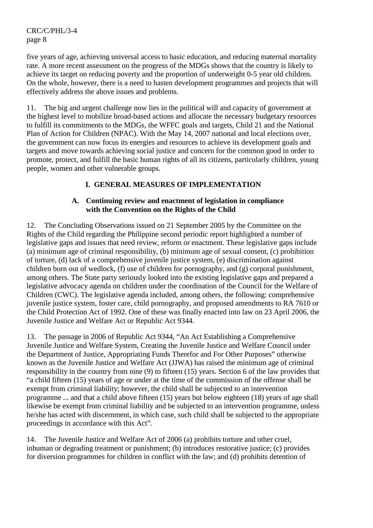five years of age, achieving universal access to basic education, and reducing maternal mortality rate. A more recent assessment on the progress of the MDGs shows that the country is likely to achieve its target on reducing poverty and the proportion of underweight 0-5 year old children. On the whole, however, there is a need to hasten development programmes and projects that will effectively address the above issues and problems.

11. The big and urgent challenge now lies in the political will and capacity of government at the highest level to mobilize broad-based actions and allocate the necessary budgetary resources to fulfill its commitments to the MDGs, the WFFC goals and targets, Child 21 and the National Plan of Action for Children (NPAC). With the May 14, 2007 national and local elections over, the government can now focus its energies and resources to achieve its development goals and targets and move towards achieving social justice and concern for the common good in order to promote, protect, and fulfill the basic human rights of all its citizens, particularly children, young people, women and other vulnerable groups.

# **I. GENERAL MEASURES OF IMPLEMENTATION**

### **A. Continuing review and enactment of legislation in compliance with the Convention on the Rights of the Child**

12. The Concluding Observations issued on 21 September 2005 by the Committee on the Rights of the Child regarding the Philippine second periodic report highlighted a number of legislative gaps and issues that need review, reform or enactment. These legislative gaps include (a) minimum age of criminal responsibility, (b) minimum age of sexual consent, (c) prohibition of torture, (d) lack of a comprehensive juvenile justice system, (e) discrimination against children born out of wedlock, (f) use of children for pornography, and (g) corporal punishment, among others. The State party seriously looked into the existing legislative gaps and prepared a legislative advocacy agenda on children under the coordination of the Council for the Welfare of Children (CWC). The legislative agenda included, among others, the following: comprehensive juvenile justice system, foster care, child pornography, and proposed amendments to RA 7610 or the Child Protection Act of 1992. One of these was finally enacted into law on 23 April 2006, the Juvenile Justice and Welfare Act or Republic Act 9344.

13. The passage in 2006 of Republic Act 9344, "An Act Establishing a Comprehensive Juvenile Justice and Welfare System, Creating the Juvenile Justice and Welfare Council under the Department of Justice, Appropriating Funds Therefor and For Other Purposes" otherwise known as the Juvenile Justice and Welfare Act (JJWA) has raised the minimum age of criminal responsibility in the country from nine (9) to fifteen (15) years. Section 6 of the law provides that "a child fifteen (15) years of age or under at the time of the commission of the offense shall be exempt from criminal liability; however, the child shall be subjected to an intervention programme ... and that a child above fifteen (15) years but below eighteen (18) years of age shall likewise be exempt from criminal liability and be subjected to an intervention programme, unless he/she has acted with discernment, in which case, such child shall be subjected to the appropriate proceedings in accordance with this Act".

14. The Juvenile Justice and Welfare Act of 2006 (a) prohibits torture and other cruel, inhuman or degrading treatment or punishment; (b) introduces restorative justice; (c) provides for diversion programmes for children in conflict with the law; and (d) prohibits detention of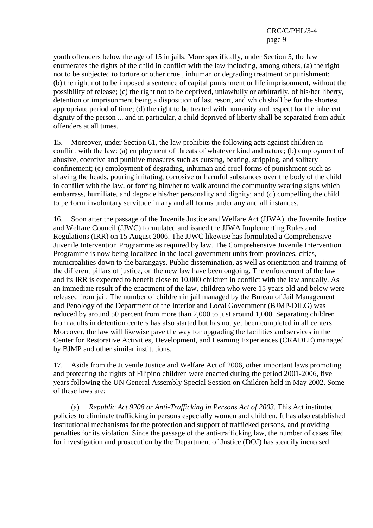youth offenders below the age of 15 in jails. More specifically, under Section 5, the law enumerates the rights of the child in conflict with the law including, among others, (a) the right not to be subjected to torture or other cruel, inhuman or degrading treatment or punishment; (b) the right not to be imposed a sentence of capital punishment or life imprisonment, without the possibility of release; (c) the right not to be deprived, unlawfully or arbitrarily, of his/her liberty, detention or imprisonment being a disposition of last resort, and which shall be for the shortest appropriate period of time; (d) the right to be treated with humanity and respect for the inherent dignity of the person ... and in particular, a child deprived of liberty shall be separated from adult offenders at all times.

15. Moreover, under Section 61, the law prohibits the following acts against children in conflict with the law: (a) employment of threats of whatever kind and nature; (b) employment of abusive, coercive and punitive measures such as cursing, beating, stripping, and solitary confinement; (c) employment of degrading, inhuman and cruel forms of punishment such as shaving the heads, pouring irritating, corrosive or harmful substances over the body of the child in conflict with the law, or forcing him/her to walk around the community wearing signs which embarrass, humiliate, and degrade his/her personality and dignity; and (d) compelling the child to perform involuntary servitude in any and all forms under any and all instances.

16. Soon after the passage of the Juvenile Justice and Welfare Act (JJWA), the Juvenile Justice and Welfare Council (JJWC) formulated and issued the JJWA Implementing Rules and Regulations (IRR) on 15 August 2006. The JJWC likewise has formulated a Comprehensive Juvenile Intervention Programme as required by law. The Comprehensive Juvenile Intervention Programme is now being localized in the local government units from provinces, cities, municipalities down to the barangays. Public dissemination, as well as orientation and training of the different pillars of justice, on the new law have been ongoing. The enforcement of the law and its IRR is expected to benefit close to 10,000 children in conflict with the law annually. As an immediate result of the enactment of the law, children who were 15 years old and below were released from jail. The number of children in jail managed by the Bureau of Jail Management and Penology of the Department of the Interior and Local Government (BJMP-DILG) was reduced by around 50 percent from more than 2,000 to just around 1,000. Separating children from adults in detention centers has also started but has not yet been completed in all centers. Moreover, the law will likewise pave the way for upgrading the facilities and services in the Center for Restorative Activities, Development, and Learning Experiences (CRADLE) managed by BJMP and other similar institutions.

17. Aside from the Juvenile Justice and Welfare Act of 2006, other important laws promoting and protecting the rights of Filipino children were enacted during the period 2001-2006, five years following the UN General Assembly Special Session on Children held in May 2002. Some of these laws are:

 (a) *Republic Act 9208 or Anti-Trafficking in Persons Act of 2003*. This Act instituted policies to eliminate trafficking in persons especially women and children. It has also established institutional mechanisms for the protection and support of trafficked persons, and providing penalties for its violation. Since the passage of the anti-trafficking law, the number of cases filed for investigation and prosecution by the Department of Justice (DOJ) has steadily increased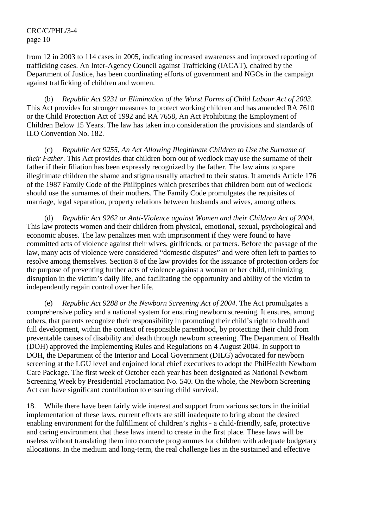from 12 in 2003 to 114 cases in 2005, indicating increased awareness and improved reporting of trafficking cases. An Inter-Agency Council against Trafficking (IACAT), chaired by the Department of Justice, has been coordinating efforts of government and NGOs in the campaign against trafficking of children and women.

 (b) *Republic Act 9231 or Elimination of the Worst Forms of Child Labour Act of 2003*. This Act provides for stronger measures to protect working children and has amended RA 7610 or the Child Protection Act of 1992 and RA 7658, An Act Prohibiting the Employment of Children Below 15 Years. The law has taken into consideration the provisions and standards of ILO Convention No. 182.

 (c) *Republic Act 9255, An Act Allowing Illegitimate Children to Use the Surname of their Father*. This Act provides that children born out of wedlock may use the surname of their father if their filiation has been expressly recognized by the father. The law aims to spare illegitimate children the shame and stigma usually attached to their status. It amends Article 176 of the 1987 Family Code of the Philippines which prescribes that children born out of wedlock should use the surnames of their mothers. The Family Code promulgates the requisites of marriage, legal separation, property relations between husbands and wives, among others.

 (d) *Republic Act 9262 or Anti-Violence against Women and their Children Act of 2004*. This law protects women and their children from physical, emotional, sexual, psychological and economic abuses. The law penalizes men with imprisonment if they were found to have committed acts of violence against their wives, girlfriends, or partners. Before the passage of the law, many acts of violence were considered "domestic disputes" and were often left to parties to resolve among themselves. Section 8 of the law provides for the issuance of protection orders for the purpose of preventing further acts of violence against a woman or her child, minimizing disruption in the victim's daily life, and facilitating the opportunity and ability of the victim to independently regain control over her life.

 (e) *Republic Act 9288 or the Newborn Screening Act of 2004*. The Act promulgates a comprehensive policy and a national system for ensuring newborn screening. It ensures, among others, that parents recognize their responsibility in promoting their child's right to health and full development, within the context of responsible parenthood, by protecting their child from preventable causes of disability and death through newborn screening. The Department of Health (DOH) approved the Implementing Rules and Regulations on 4 August 2004. In support to DOH, the Department of the Interior and Local Government (DILG) advocated for newborn screening at the LGU level and enjoined local chief executives to adopt the PhilHealth Newborn Care Package. The first week of October each year has been designated as National Newborn Screening Week by Presidential Proclamation No. 540. On the whole, the Newborn Screening Act can have significant contribution to ensuring child survival.

18. While there have been fairly wide interest and support from various sectors in the initial implementation of these laws, current efforts are still inadequate to bring about the desired enabling environment for the fulfillment of children's rights - a child-friendly, safe, protective and caring environment that these laws intend to create in the first place. These laws will be useless without translating them into concrete programmes for children with adequate budgetary allocations. In the medium and long-term, the real challenge lies in the sustained and effective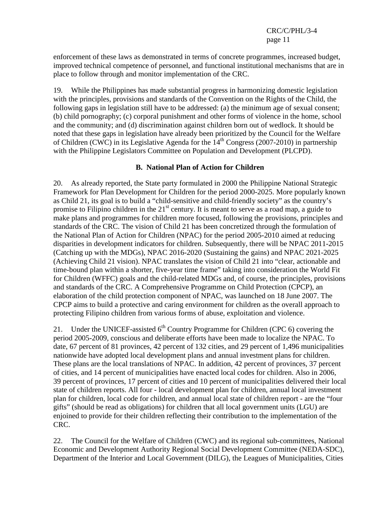enforcement of these laws as demonstrated in terms of concrete programmes, increased budget, improved technical competence of personnel, and functional institutional mechanisms that are in place to follow through and monitor implementation of the CRC.

19. While the Philippines has made substantial progress in harmonizing domestic legislation with the principles, provisions and standards of the Convention on the Rights of the Child, the following gaps in legislation still have to be addressed: (a) the minimum age of sexual consent; (b) child pornography; (c) corporal punishment and other forms of violence in the home, school and the community; and (d) discrimination against children born out of wedlock. It should be noted that these gaps in legislation have already been prioritized by the Council for the Welfare of Children (CWC) in its Legislative Agenda for the  $14<sup>th</sup>$  Congress (2007-2010) in partnership with the Philippine Legislators Committee on Population and Development (PLCPD).

#### **B. National Plan of Action for Children**

20. As already reported, the State party formulated in 2000 the Philippine National Strategic Framework for Plan Development for Children for the period 2000-2025. More popularly known as Child 21, its goal is to build a "child-sensitive and child-friendly society" as the country's promise to Filipino children in the  $21<sup>st</sup>$  century. It is meant to serve as a road map, a guide to make plans and programmes for children more focused, following the provisions, principles and standards of the CRC. The vision of Child 21 has been concretized through the formulation of the National Plan of Action for Children (NPAC) for the period 2005-2010 aimed at reducing disparities in development indicators for children. Subsequently, there will be NPAC 2011-2015 (Catching up with the MDGs), NPAC 2016-2020 (Sustaining the gains) and NPAC 2021-2025 (Achieving Child 21 vision). NPAC translates the vision of Child 21 into "clear, actionable and time-bound plan within a shorter, five-year time frame" taking into consideration the World Fit for Children (WFFC) goals and the child-related MDGs and, of course, the principles, provisions and standards of the CRC. A Comprehensive Programme on Child Protection (CPCP), an elaboration of the child protection component of NPAC, was launched on 18 June 2007. The CPCP aims to build a protective and caring environment for children as the overall approach to protecting Filipino children from various forms of abuse, exploitation and violence.

21. Under the UNICEF-assisted  $6<sup>th</sup>$  Country Programme for Children (CPC 6) covering the period 2005-2009, conscious and deliberate efforts have been made to localize the NPAC. To date, 67 percent of 81 provinces, 42 percent of 132 cities, and 29 percent of 1,496 municipalities nationwide have adopted local development plans and annual investment plans for children. These plans are the local translations of NPAC. In addition, 42 percent of provinces, 37 percent of cities, and 14 percent of municipalities have enacted local codes for children. Also in 2006, 39 percent of provinces, 17 percent of cities and 10 percent of municipalities delivered their local state of children reports. All four - local development plan for children, annual local investment plan for children, local code for children, and annual local state of children report - are the "four gifts" (should be read as obligations) for children that all local government units (LGU) are enjoined to provide for their children reflecting their contribution to the implementation of the CRC.

22. The Council for the Welfare of Children (CWC) and its regional sub-committees, National Economic and Development Authority Regional Social Development Committee (NEDA-SDC), Department of the Interior and Local Government (DILG), the Leagues of Municipalities, Cities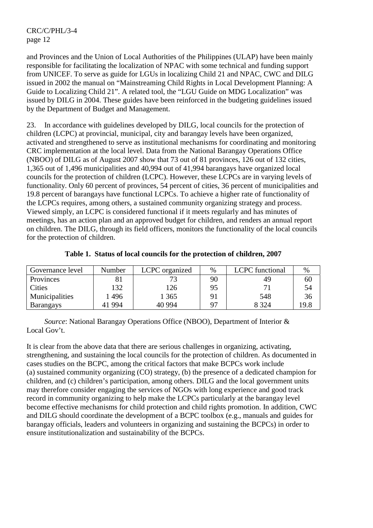and Provinces and the Union of Local Authorities of the Philippines (ULAP) have been mainly responsible for facilitating the localization of NPAC with some technical and funding support from UNICEF. To serve as guide for LGUs in localizing Child 21 and NPAC, CWC and DILG issued in 2002 the manual on "Mainstreaming Child Rights in Local Development Planning: A Guide to Localizing Child 21". A related tool, the "LGU Guide on MDG Localization" was issued by DILG in 2004. These guides have been reinforced in the budgeting guidelines issued by the Department of Budget and Management.

23. In accordance with guidelines developed by DILG, local councils for the protection of children (LCPC) at provincial, municipal, city and barangay levels have been organized, activated and strengthened to serve as institutional mechanisms for coordinating and monitoring CRC implementation at the local level. Data from the National Barangay Operations Office (NBOO) of DILG as of August 2007 show that 73 out of 81 provinces, 126 out of 132 cities, 1,365 out of 1,496 municipalities and 40,994 out of 41,994 barangays have organized local councils for the protection of children (LCPC). However, these LCPCs are in varying levels of functionality. Only 60 percent of provinces, 54 percent of cities, 36 percent of municipalities and 19.8 percent of barangays have functional LCPCs. To achieve a higher rate of functionality of the LCPCs requires, among others, a sustained community organizing strategy and process. Viewed simply, an LCPC is considered functional if it meets regularly and has minutes of meetings, has an action plan and an approved budget for children, and renders an annual report on children. The DILG, through its field officers, monitors the functionality of the local councils for the protection of children.

| Governance level | Number | LCPC organized | $\%$           | LCPC functional | %    |
|------------------|--------|----------------|----------------|-----------------|------|
| Provinces        |        |                | 90             | 49              | 60   |
| <b>Cities</b>    | 132    | 126            | 95             |                 | 54   |
| Municipalities   | .496   | 1 365          |                | 548             | 36   |
| <b>Barangays</b> | 41 994 | 40 9 94        | Q <sub>7</sub> | 8 3 2 4         | 19.8 |

**Table 1. Status of local councils for the protection of children, 2007** 

 *Source*: National Barangay Operations Office (NBOO), Department of Interior & Local Gov't.

It is clear from the above data that there are serious challenges in organizing, activating, strengthening, and sustaining the local councils for the protection of children. As documented in cases studies on the BCPC, among the critical factors that make BCPCs work include (a) sustained community organizing (CO) strategy, (b) the presence of a dedicated champion for children, and (c) children's participation, among others. DILG and the local government units may therefore consider engaging the services of NGOs with long experience and good track record in community organizing to help make the LCPCs particularly at the barangay level become effective mechanisms for child protection and child rights promotion. In addition, CWC and DILG should coordinate the development of a BCPC toolbox (e.g., manuals and guides for barangay officials, leaders and volunteers in organizing and sustaining the BCPCs) in order to ensure institutionalization and sustainability of the BCPCs.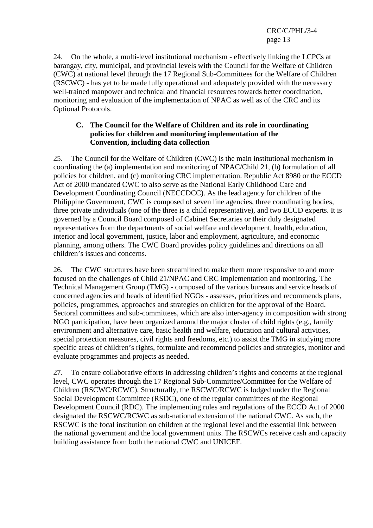24. On the whole, a multi-level institutional mechanism - effectively linking the LCPCs at barangay, city, municipal, and provincial levels with the Council for the Welfare of Children (CWC) at national level through the 17 Regional Sub-Committees for the Welfare of Children (RSCWC) - has yet to be made fully operational and adequately provided with the necessary well-trained manpower and technical and financial resources towards better coordination, monitoring and evaluation of the implementation of NPAC as well as of the CRC and its Optional Protocols.

#### **C. The Council for the Welfare of Children and its role in coordinating policies for children and monitoring implementation of the Convention, including data collection**

25. The Council for the Welfare of Children (CWC) is the main institutional mechanism in coordinating the (a) implementation and monitoring of NPAC/Child 21, (b) formulation of all policies for children, and (c) monitoring CRC implementation. Republic Act 8980 or the ECCD Act of 2000 mandated CWC to also serve as the National Early Childhood Care and Development Coordinating Council (NECCDCC). As the lead agency for children of the Philippine Government, CWC is composed of seven line agencies, three coordinating bodies, three private individuals (one of the three is a child representative), and two ECCD experts. It is governed by a Council Board composed of Cabinet Secretaries or their duly designated representatives from the departments of social welfare and development, health, education, interior and local government, justice, labor and employment, agriculture, and economic planning, among others. The CWC Board provides policy guidelines and directions on all children's issues and concerns.

26. The CWC structures have been streamlined to make them more responsive to and more focused on the challenges of Child 21/NPAC and CRC implementation and monitoring. The Technical Management Group (TMG) - composed of the various bureaus and service heads of concerned agencies and heads of identified NGOs - assesses, prioritizes and recommends plans, policies, programmes, approaches and strategies on children for the approval of the Board. Sectoral committees and sub-committees, which are also inter-agency in composition with strong NGO participation, have been organized around the major cluster of child rights (e.g., family environment and alternative care, basic health and welfare, education and cultural activities, special protection measures, civil rights and freedoms, etc.) to assist the TMG in studying more specific areas of children's rights, formulate and recommend policies and strategies, monitor and evaluate programmes and projects as needed.

27. To ensure collaborative efforts in addressing children's rights and concerns at the regional level, CWC operates through the 17 Regional Sub-Committee/Committee for the Welfare of Children (RSCWC/RCWC). Structurally, the RSCWC/RCWC is lodged under the Regional Social Development Committee (RSDC), one of the regular committees of the Regional Development Council (RDC). The implementing rules and regulations of the ECCD Act of 2000 designated the RSCWC/RCWC as sub-national extension of the national CWC. As such, the RSCWC is the focal institution on children at the regional level and the essential link between the national government and the local government units. The RSCWCs receive cash and capacity building assistance from both the national CWC and UNICEF.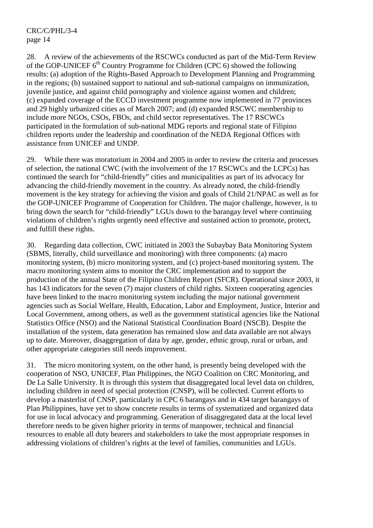28. A review of the achievements of the RSCWCs conducted as part of the Mid-Term Review of the GOP-UNICEF  $6<sup>th</sup>$  Country Programme for Children (CPC 6) showed the following results: (a) adoption of the Rights-Based Approach to Development Planning and Programming in the regions; (b) sustained support to national and sub-national campaigns on immunization, juvenile justice, and against child pornography and violence against women and children; (c) expanded coverage of the ECCD investment programme now implemented in 77 provinces and 29 highly urbanized cities as of March 2007; and (d) expanded RSCWC membership to include more NGOs, CSOs, FBOs, and child sector representatives. The 17 RSCWCs participated in the formulation of sub-national MDG reports and regional state of Filipino children reports under the leadership and coordination of the NEDA Regional Offices with assistance from UNICEF and UNDP.

29. While there was moratorium in 2004 and 2005 in order to review the criteria and processes of selection, the national CWC (with the involvement of the 17 RSCWCs and the LCPCs) has continued the search for "child-friendly" cities and municipalities as part of its advocacy for advancing the child-friendly movement in the country. As already noted, the child-friendly movement is the key strategy for achieving the vision and goals of Child 21/NPAC as well as for the GOP-UNICEF Programme of Cooperation for Children. The major challenge, however, is to bring down the search for "child-friendly" LGUs down to the barangay level where continuing violations of children's rights urgently need effective and sustained action to promote, protect, and fulfill these rights.

30. Regarding data collection, CWC initiated in 2003 the Subaybay Bata Monitoring System (SBMS, literally, child surveillance and monitoring) with three components: (a) macro monitoring system, (b) micro monitoring system, and (c) project-based monitoring system. The macro monitoring system aims to monitor the CRC implementation and to support the production of the annual State of the Filipino Children Report (SFCR). Operational since 2003, it has 143 indicators for the seven (7) major clusters of child rights. Sixteen cooperating agencies have been linked to the macro monitoring system including the major national government agencies such as Social Welfare, Health, Education, Labor and Employment, Justice, Interior and Local Government, among others, as well as the government statistical agencies like the National Statistics Office (NSO) and the National Statistical Coordination Board (NSCB). Despite the installation of the system, data generation has remained slow and data available are not always up to date. Moreover, disaggregation of data by age, gender, ethnic group, rural or urban, and other appropriate categories still needs improvement.

31. The micro monitoring system, on the other hand, is presently being developed with the cooperation of NSO, UNICEF, Plan Philippines, the NGO Coalition on CRC Monitoring, and De La Salle University. It is through this system that disaggregated local level data on children, including children in need of special protection (CNSP), will be collected. Current efforts to develop a masterlist of CNSP, particularly in CPC 6 barangays and in 434 target barangays of Plan Philippines, have yet to show concrete results in terms of systematized and organized data for use in local advocacy and programming. Generation of disaggregated data at the local level therefore needs to be given higher priority in terms of manpower, technical and financial resources to enable all duty bearers and stakeholders to take the most appropriate responses in addressing violations of children's rights at the level of families, communities and LGUs.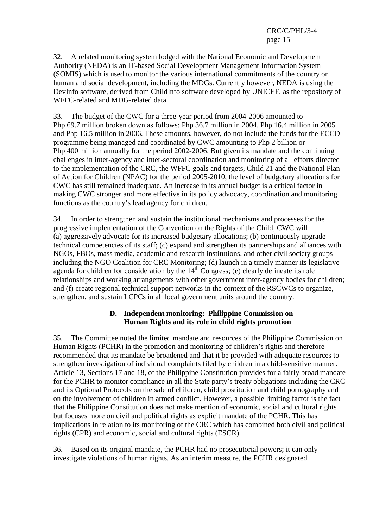32. A related monitoring system lodged with the National Economic and Development Authority (NEDA) is an IT-based Social Development Management Information System (SOMIS) which is used to monitor the various international commitments of the country on human and social development, including the MDGs. Currently however, NEDA is using the DevInfo software, derived from ChildInfo software developed by UNICEF, as the repository of WFFC-related and MDG-related data.

33. The budget of the CWC for a three-year period from 2004-2006 amounted to Php 69.7 million broken down as follows: Php 36.7 million in 2004, Php 16.4 million in 2005 and Php 16.5 million in 2006. These amounts, however, do not include the funds for the ECCD programme being managed and coordinated by CWC amounting to Php 2 billion or Php 400 million annually for the period 2002-2006. But given its mandate and the continuing challenges in inter-agency and inter-sectoral coordination and monitoring of all efforts directed to the implementation of the CRC, the WFFC goals and targets, Child 21 and the National Plan of Action for Children (NPAC) for the period 2005-2010, the level of budgetary allocations for CWC has still remained inadequate. An increase in its annual budget is a critical factor in making CWC stronger and more effective in its policy advocacy, coordination and monitoring functions as the country's lead agency for children.

34. In order to strengthen and sustain the institutional mechanisms and processes for the progressive implementation of the Convention on the Rights of the Child, CWC will (a) aggressively advocate for its increased budgetary allocations; (b) continuously upgrade technical competencies of its staff; (c) expand and strengthen its partnerships and alliances with NGOs, FBOs, mass media, academic and research institutions, and other civil society groups including the NGO Coalition for CRC Monitoring; (d) launch in a timely manner its legislative agenda for children for consideration by the  $14<sup>th</sup>$  Congress; (e) clearly delineate its role relationships and working arrangements with other government inter-agency bodies for children; and (f) create regional technical support networks in the context of the RSCWCs to organize, strengthen, and sustain LCPCs in all local government units around the country.

# **D. Independent monitoring: Philippine Commission on Human Rights and its role in child rights promotion**

35. The Committee noted the limited mandate and resources of the Philippine Commission on Human Rights (PCHR) in the promotion and monitoring of children's rights and therefore recommended that its mandate be broadened and that it be provided with adequate resources to strengthen investigation of individual complaints filed by children in a child-sensitive manner. Article 13, Sections 17 and 18, of the Philippine Constitution provides for a fairly broad mandate for the PCHR to monitor compliance in all the State party's treaty obligations including the CRC and its Optional Protocols on the sale of children, child prostitution and child pornography and on the involvement of children in armed conflict. However, a possible limiting factor is the fact that the Philippine Constitution does not make mention of economic, social and cultural rights but focuses more on civil and political rights as explicit mandate of the PCHR. This has implications in relation to its monitoring of the CRC which has combined both civil and political rights (CPR) and economic, social and cultural rights (ESCR).

36. Based on its original mandate, the PCHR had no prosecutorial powers; it can only investigate violations of human rights. As an interim measure, the PCHR designated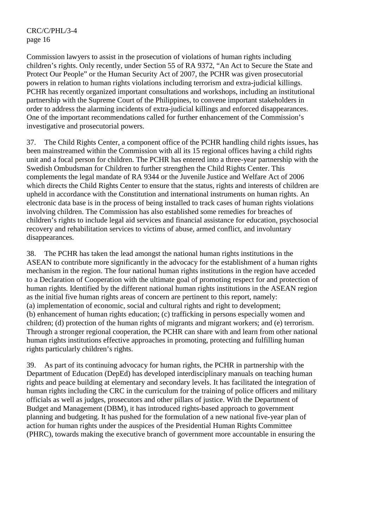Commission lawyers to assist in the prosecution of violations of human rights including children's rights. Only recently, under Section 55 of RA 9372, "An Act to Secure the State and Protect Our People" or the Human Security Act of 2007, the PCHR was given prosecutorial powers in relation to human rights violations including terrorism and extra-judicial killings. PCHR has recently organized important consultations and workshops, including an institutional partnership with the Supreme Court of the Philippines, to convene important stakeholders in order to address the alarming incidents of extra-judicial killings and enforced disappearances. One of the important recommendations called for further enhancement of the Commission's investigative and prosecutorial powers.

37. The Child Rights Center, a component office of the PCHR handling child rights issues, has been mainstreamed within the Commission with all its 15 regional offices having a child rights unit and a focal person for children. The PCHR has entered into a three-year partnership with the Swedish Ombudsman for Children to further strengthen the Child Rights Center. This complements the legal mandate of RA 9344 or the Juvenile Justice and Welfare Act of 2006 which directs the Child Rights Center to ensure that the status, rights and interests of children are upheld in accordance with the Constitution and international instruments on human rights. An electronic data base is in the process of being installed to track cases of human rights violations involving children. The Commission has also established some remedies for breaches of children's rights to include legal aid services and financial assistance for education, psychosocial recovery and rehabilitation services to victims of abuse, armed conflict, and involuntary disappearances.

38. The PCHR has taken the lead amongst the national human rights institutions in the ASEAN to contribute more significantly in the advocacy for the establishment of a human rights mechanism in the region. The four national human rights institutions in the region have acceded to a Declaration of Cooperation with the ultimate goal of promoting respect for and protection of human rights. Identified by the different national human rights institutions in the ASEAN region as the initial five human rights areas of concern are pertinent to this report, namely: (a) implementation of economic, social and cultural rights and right to development; (b) enhancement of human rights education; (c) trafficking in persons especially women and children; (d) protection of the human rights of migrants and migrant workers; and (e) terrorism. Through a stronger regional cooperation, the PCHR can share with and learn from other national human rights institutions effective approaches in promoting, protecting and fulfilling human rights particularly children's rights.

39. As part of its continuing advocacy for human rights, the PCHR in partnership with the Department of Education (DepEd) has developed interdisciplinary manuals on teaching human rights and peace building at elementary and secondary levels. It has facilitated the integration of human rights including the CRC in the curriculum for the training of police officers and military officials as well as judges, prosecutors and other pillars of justice. With the Department of Budget and Management (DBM), it has introduced rights-based approach to government planning and budgeting. It has pushed for the formulation of a new national five-year plan of action for human rights under the auspices of the Presidential Human Rights Committee (PHRC), towards making the executive branch of government more accountable in ensuring the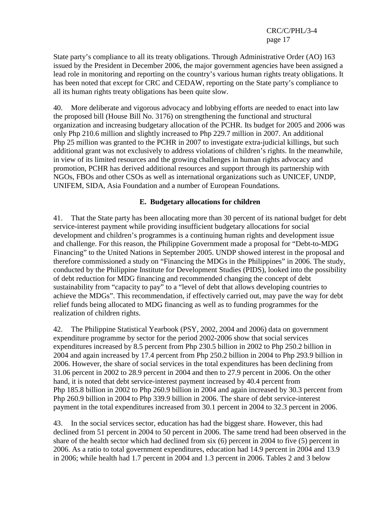State party's compliance to all its treaty obligations. Through Administrative Order (AO) 163 issued by the President in December 2006, the major government agencies have been assigned a lead role in monitoring and reporting on the country's various human rights treaty obligations. It has been noted that except for CRC and CEDAW, reporting on the State party's compliance to all its human rights treaty obligations has been quite slow.

40. More deliberate and vigorous advocacy and lobbying efforts are needed to enact into law the proposed bill (House Bill No. 3176) on strengthening the functional and structural organization and increasing budgetary allocation of the PCHR. Its budget for 2005 and 2006 was only Php 210.6 million and slightly increased to Php 229.7 million in 2007. An additional Php 25 million was granted to the PCHR in 2007 to investigate extra-judicial killings, but such additional grant was not exclusively to address violations of children's rights. In the meanwhile, in view of its limited resources and the growing challenges in human rights advocacy and promotion, PCHR has derived additional resources and support through its partnership with NGOs, FBOs and other CSOs as well as international organizations such as UNICEF, UNDP, UNIFEM, SIDA, Asia Foundation and a number of European Foundations.

#### **E. Budgetary allocations for children**

41. That the State party has been allocating more than 30 percent of its national budget for debt service-interest payment while providing insufficient budgetary allocations for social development and children's programmes is a continuing human rights and development issue and challenge. For this reason, the Philippine Government made a proposal for "Debt-to-MDG Financing" to the United Nations in September 2005. UNDP showed interest in the proposal and therefore commissioned a study on "Financing the MDGs in the Philippines" in 2006. The study, conducted by the Philippine Institute for Development Studies (PIDS), looked into the possibility of debt reduction for MDG financing and recommended changing the concept of debt sustainability from "capacity to pay" to a "level of debt that allows developing countries to achieve the MDGs". This recommendation, if effectively carried out, may pave the way for debt relief funds being allocated to MDG financing as well as to funding programmes for the realization of children rights.

42. The Philippine Statistical Yearbook (PSY, 2002, 2004 and 2006) data on government expenditure programme by sector for the period 2002-2006 show that social services expenditures increased by 8.5 percent from Php 230.5 billion in 2002 to Php 250.2 billion in 2004 and again increased by 17.4 percent from Php 250.2 billion in 2004 to Php 293.9 billion in 2006. However, the share of social services in the total expenditures has been declining from 31.06 percent in 2002 to 28.9 percent in 2004 and then to 27.9 percent in 2006. On the other hand, it is noted that debt service-interest payment increased by 40.4 percent from Php 185.8 billion in 2002 to Php 260.9 billion in 2004 and again increased by 30.3 percent from Php 260.9 billion in 2004 to Php 339.9 billion in 2006. The share of debt service-interest payment in the total expenditures increased from 30.1 percent in 2004 to 32.3 percent in 2006.

43. In the social services sector, education has had the biggest share. However, this had declined from 51 percent in 2004 to 50 percent in 2006. The same trend had been observed in the share of the health sector which had declined from six (6) percent in 2004 to five (5) percent in 2006. As a ratio to total government expenditures, education had 14.9 percent in 2004 and 13.9 in 2006; while health had 1.7 percent in 2004 and 1.3 percent in 2006. Tables 2 and 3 below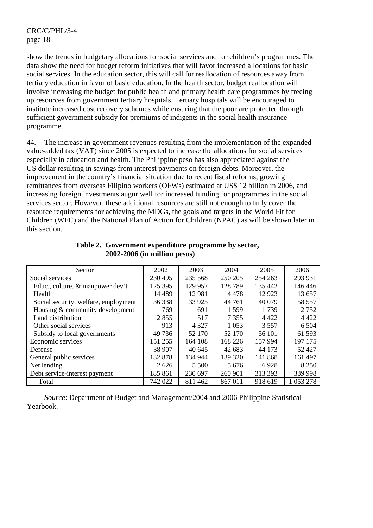show the trends in budgetary allocations for social services and for children's programmes. The data show the need for budget reform initiatives that will favor increased allocations for basic social services. In the education sector, this will call for reallocation of resources away from tertiary education in favor of basic education. In the health sector, budget reallocation will involve increasing the budget for public health and primary health care programmes by freeing up resources from government tertiary hospitals. Tertiary hospitals will be encouraged to institute increased cost recovery schemes while ensuring that the poor are protected through sufficient government subsidy for premiums of indigents in the social health insurance programme.

44. The increase in government revenues resulting from the implementation of the expanded value-added tax (VAT) since 2005 is expected to increase the allocations for social services especially in education and health. The Philippine peso has also appreciated against the US dollar resulting in savings from interest payments on foreign debts. Moreover, the improvement in the country's financial situation due to recent fiscal reforms, growing remittances from overseas Filipino workers (OFWs) estimated at US\$ 12 billion in 2006, and increasing foreign investments augur well for increased funding for programmes in the social services sector. However, these additional resources are still not enough to fully cover the resource requirements for achieving the MDGs, the goals and targets in the World Fit for Children (WFC) and the National Plan of Action for Children (NPAC) as will be shown later in this section.

| Sector                               | 2002     | 2003    | 2004    | 2005    | 2006      |
|--------------------------------------|----------|---------|---------|---------|-----------|
| Social services                      | 230 495  | 235 568 | 250 205 | 254 263 | 293 931   |
| Educ., culture, & manpower dev't.    | 125 395  | 129 957 | 128789  | 135 442 | 146 446   |
| Health                               | 14 4 8 9 | 12 981  | 14 4 78 | 12 9 23 | 13 657    |
| Social security, welfare, employment | 36 338   | 33 9 25 | 44 761  | 40 0 79 | 58 557    |
| Housing & community development      | 769      | 1691    | 1 5 9 9 | 1739    | 2 7 5 2   |
| Land distribution                    | 2855     | 517     | 7 3 5 5 | 4 4 2 2 | 4 4 2 2   |
| Other social services                | 913      | 4 3 2 7 | 1 0 5 3 | 3 5 5 7 | 6 5 0 4   |
| Subsidy to local governments         | 49 7 36  | 52 170  | 52 170  | 56 101  | 61 593    |
| Economic services                    | 151 255  | 164 108 | 168 226 | 157 994 | 197 175   |
| Defense                              | 38 907   | 40 645  | 42 683  | 44 173  | 52427     |
| General public services              | 132 878  | 134 944 | 139 320 | 141 868 | 161 497   |
| Net lending                          | 2.626    | 5 5 0 0 | 5 6 7 6 | 6928    | 8 2 5 0   |
| Debt service-interest payment        | 185 861  | 230 697 | 260 901 | 313 393 | 339 998   |
| Total                                | 742 022  | 811462  | 867011  | 918 619 | 1 053 278 |

#### **Table 2. Government expenditure programme by sector, 2002-2006 (in million pesos)**

 *Source*: Department of Budget and Management/2004 and 2006 Philippine Statistical Yearbook.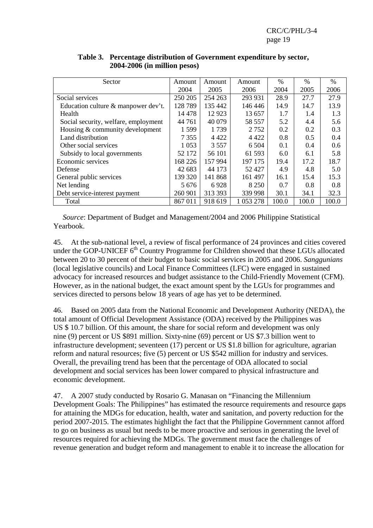| Sector                               | Amount  | Amount  | Amount    | $\%$  | $\%$  | $\%$  |
|--------------------------------------|---------|---------|-----------|-------|-------|-------|
|                                      | 2004    | 2005    | 2006      | 2004  | 2005  | 2006  |
| Social services                      | 250 205 | 254 263 | 293 931   | 28.9  | 27.7  | 27.9  |
| Education culture & manpower dev't.  | 128789  | 135 442 | 146 446   | 14.9  | 14.7  | 13.9  |
| Health                               | 14 4 78 | 12 9 23 | 13 657    | 1.7   | 1.4   | 1.3   |
| Social security, welfare, employment | 44 761  | 40 0 79 | 58 557    | 5.2   | 4.4   | 5.6   |
| Housing & community development      | 1.599   | 1739    | 2 7 5 2   | 0.2   | 0.2   | 0.3   |
| Land distribution                    | 7 3 5 5 | 4 4 2 2 | 4 4 2 2   | 0.8   | 0.5   | 0.4   |
| Other social services                | 1 0 5 3 | 3 5 5 7 | 6 5 0 4   | 0.1   | 0.4   | 0.6   |
| Subsidy to local governments         | 52 172  | 56 101  | 61 593    | 6.0   | 6.1   | 5.8   |
| Economic services                    | 168 226 | 157 994 | 197 175   | 19.4  | 17.2  | 18.7  |
| Defense                              | 42 683  | 44 173  | 52427     | 4.9   | 4.8   | 5.0   |
| General public services              | 139 320 | 141 868 | 161 497   | 16.1  | 15.4  | 15.3  |
| Net lending                          | 5 676   | 6928    | 8 2 5 0   | 0.7   | 0.8   | 0.8   |
| Debt service-interest payment        | 260 901 | 313 393 | 339 998   | 30.1  | 34.1  | 32.3  |
| Total                                | 867 011 | 918 619 | 1 053 278 | 100.0 | 100.0 | 100.0 |

#### **Table 3. Percentage distribution of Government expenditure by sector, 2004-2006 (in million pesos)**

 *Source*: Department of Budget and Management/2004 and 2006 Philippine Statistical Yearbook.

45. At the sub-national level, a review of fiscal performance of 24 provinces and cities covered under the GOP-UNICEF  $6<sup>th</sup>$  Country Programme for Children showed that these LGUs allocated between 20 to 30 percent of their budget to basic social services in 2005 and 2006. *Sanggunians* (local legislative councils) and Local Finance Committees (LFC) were engaged in sustained advocacy for increased resources and budget assistance to the Child-Friendly Movement (CFM). However, as in the national budget, the exact amount spent by the LGUs for programmes and services directed to persons below 18 years of age has yet to be determined.

46. Based on 2005 data from the National Economic and Development Authority (NEDA), the total amount of Official Development Assistance (ODA) received by the Philippines was US \$ 10.7 billion. Of this amount, the share for social reform and development was only nine (9) percent or US \$891 million. Sixty-nine (69) percent or US \$7.3 billion went to infrastructure development; seventeen (17) percent or US \$1.8 billion for agriculture, agrarian reform and natural resources; five (5) percent or US \$542 million for industry and services. Overall, the prevailing trend has been that the percentage of ODA allocated to social development and social services has been lower compared to physical infrastructure and economic development.

47. A 2007 study conducted by Rosario G. Manasan on "Financing the Millennium Development Goals: The Philippines" has estimated the resource requirements and resource gaps for attaining the MDGs for education, health, water and sanitation, and poverty reduction for the period 2007-2015. The estimates highlight the fact that the Philippine Government cannot afford to go on business as usual but needs to be more proactive and serious in generating the level of resources required for achieving the MDGs. The government must face the challenges of revenue generation and budget reform and management to enable it to increase the allocation for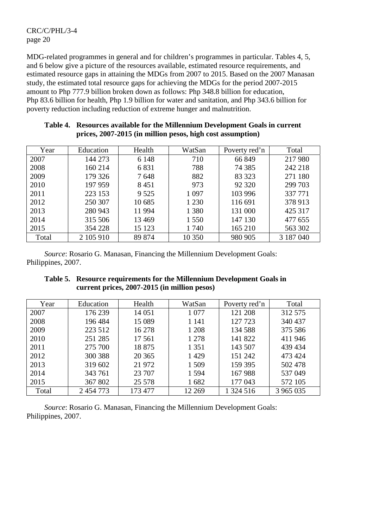MDG-related programmes in general and for children's programmes in particular. Tables 4, 5, and 6 below give a picture of the resources available, estimated resource requirements, and estimated resource gaps in attaining the MDGs from 2007 to 2015. Based on the 2007 Manasan study, the estimated total resource gaps for achieving the MDGs for the period 2007-2015 amount to Php 777.9 billion broken down as follows: Php 348.8 billion for education, Php 83.6 billion for health, Php 1.9 billion for water and sanitation, and Php 343.6 billion for poverty reduction including reduction of extreme hunger and malnutrition.

| Year  | Education | Health  | WatSan  | Poverty red'n | Total     |
|-------|-----------|---------|---------|---------------|-----------|
| 2007  | 144 273   | 6 1 4 8 | 710     | 66 849        | 217 980   |
| 2008  | 160 214   | 6831    | 788     | 74 3 8 5      | 242 218   |
| 2009  | 179 326   | 7648    | 882     | 83 323        | 271 180   |
| 2010  | 197 959   | 8451    | 973     | 92 3 20       | 299 703   |
| 2011  | 223 153   | 9 5 25  | 1 0 9 7 | 103 996       | 337 771   |
| 2012  | 250 307   | 10 685  | 1 2 3 0 | 116 691       | 378 913   |
| 2013  | 280 943   | 11 994  | 1 3 8 0 | 131 000       | 425 317   |
| 2014  | 315 506   | 13 4 69 | 1 5 5 0 | 147 130       | 477 655   |
| 2015  | 354 228   | 15 123  | 1740    | 165 210       | 563 302   |
| Total | 2 105 910 | 89 874  | 10 350  | 980 905       | 3 187 040 |

#### **Table 4. Resources available for the Millennium Development Goals in current prices, 2007-2015 (in million pesos, high cost assumption)**

 *Source*: Rosario G. Manasan, Financing the Millennium Development Goals: Philippines, 2007.

#### **Table 5. Resource requirements for the Millennium Development Goals in current prices, 2007-2015 (in million pesos)**

| Year  | Education | Health  | WatSan  | Poverty red'n | Total     |
|-------|-----------|---------|---------|---------------|-----------|
| 2007  | 176 239   | 14 051  | 1 0 7 7 | 121 208       | 312 575   |
| 2008  | 196 484   | 15 089  | 1 1 4 1 | 127 723       | 340 437   |
| 2009  | 223 512   | 16 278  | 1 208   | 134 588       | 375 586   |
| 2010  | 251 285   | 17 5 61 | 1 2 7 8 | 141 822       | 411 946   |
| 2011  | 275 700   | 18875   | 1 3 5 1 | 143 507       | 439 434   |
| 2012  | 300 388   | 20 3 65 | 1429    | 151 242       | 473 424   |
| 2013  | 319 602   | 21 972  | 1 509   | 159 395       | 502 478   |
| 2014  | 343 761   | 23 707  | 1 5 9 4 | 167988        | 537049    |
| 2015  | 367 802   | 25 5 78 | 1682    | 177 043       | 572 105   |
| Total | 2 454 773 | 173 477 | 12 2 69 | 1 324 516     | 3 965 035 |

 *Source*: Rosario G. Manasan, Financing the Millennium Development Goals: Philippines, 2007.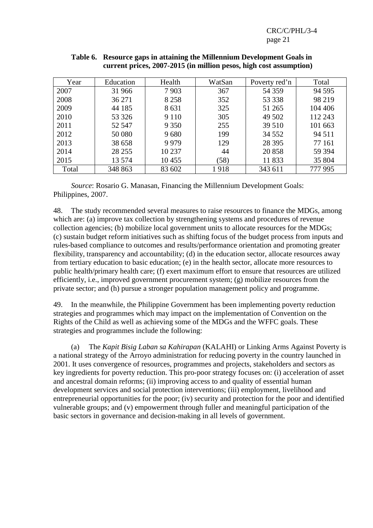| Year  | Education | Health  | WatSan | Poverty red'n | Total   |
|-------|-----------|---------|--------|---------------|---------|
| 2007  | 31 966    | 7903    | 367    | 54 359        | 94 5 95 |
| 2008  | 36 271    | 8 2 5 8 | 352    | 53 338        | 98 219  |
| 2009  | 44 185    | 8631    | 325    | 51 265        | 104 406 |
| 2010  | 53 326    | 9 1 1 0 | 305    | 49 502        | 112 243 |
| 2011  | 52 547    | 9 3 5 0 | 255    | 39 510        | 101 663 |
| 2012  | 50 080    | 9680    | 199    | 34 5 5 2      | 94 5 11 |
| 2013  | 38 658    | 9979    | 129    | 28 3 95       | 77 161  |
| 2014  | 28 25 5   | 10 237  | 44     | 20858         | 59 394  |
| 2015  | 13 574    | 10455   | (58)   | 11833         | 35 804  |
| Total | 348 863   | 83 602  | 1918   | 343 611       | 777 995 |

#### **Table 6. Resource gaps in attaining the Millennium Development Goals in current prices, 2007-2015 (in million pesos, high cost assumption)**

 *Source*: Rosario G. Manasan, Financing the Millennium Development Goals: Philippines, 2007.

48. The study recommended several measures to raise resources to finance the MDGs, among which are: (a) improve tax collection by strengthening systems and procedures of revenue collection agencies; (b) mobilize local government units to allocate resources for the MDGs; (c) sustain budget reform initiatives such as shifting focus of the budget process from inputs and rules-based compliance to outcomes and results/performance orientation and promoting greater flexibility, transparency and accountability; (d) in the education sector, allocate resources away from tertiary education to basic education; (e) in the health sector, allocate more resources to public health/primary health care; (f) exert maximum effort to ensure that resources are utilized efficiently, i.e., improved government procurement system; (g) mobilize resources from the private sector; and (h) pursue a stronger population management policy and programme.

49. In the meanwhile, the Philippine Government has been implementing poverty reduction strategies and programmes which may impact on the implementation of Convention on the Rights of the Child as well as achieving some of the MDGs and the WFFC goals. These strategies and programmes include the following:

 (a) The *Kapit Bisig Laban sa Kahirapan* (KALAHI) or Linking Arms Against Poverty is a national strategy of the Arroyo administration for reducing poverty in the country launched in 2001. It uses convergence of resources, programmes and projects, stakeholders and sectors as key ingredients for poverty reduction. This pro-poor strategy focuses on: (i) acceleration of asset and ancestral domain reforms; (ii) improving access to and quality of essential human development services and social protection interventions; (iii) employment, livelihood and entrepreneurial opportunities for the poor; (iv) security and protection for the poor and identified vulnerable groups; and (v) empowerment through fuller and meaningful participation of the basic sectors in governance and decision-making in all levels of government.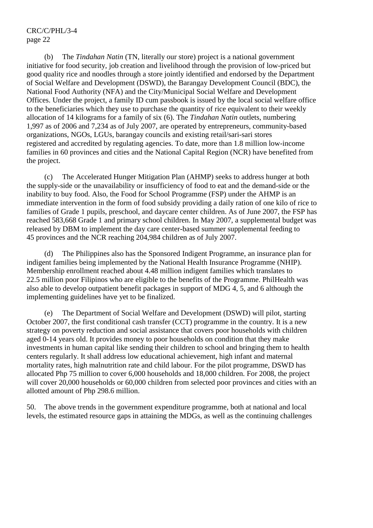(b) The *Tindahan Natin* (TN, literally our store) project is a national government initiative for food security, job creation and livelihood through the provision of low-priced but good quality rice and noodles through a store jointly identified and endorsed by the Department of Social Welfare and Development (DSWD), the Barangay Development Council (BDC), the National Food Authority (NFA) and the City/Municipal Social Welfare and Development Offices. Under the project, a family ID cum passbook is issued by the local social welfare office to the beneficiaries which they use to purchase the quantity of rice equivalent to their weekly allocation of 14 kilograms for a family of six (6). The *Tindahan Natin* outlets, numbering 1,997 as of 2006 and 7,234 as of July 2007, are operated by entrepreneurs, community-based organizations, NGOs, LGUs, barangay councils and existing retail/sari-sari stores registered and accredited by regulating agencies. To date, more than 1.8 million low-income families in 60 provinces and cities and the National Capital Region (NCR) have benefited from the project.

 (c) The Accelerated Hunger Mitigation Plan (AHMP) seeks to address hunger at both the supply-side or the unavailability or insufficiency of food to eat and the demand-side or the inability to buy food. Also, the Food for School Programme (FSP) under the AHMP is an immediate intervention in the form of food subsidy providing a daily ration of one kilo of rice to families of Grade 1 pupils, preschool, and daycare center children. As of June 2007, the FSP has reached 583,668 Grade 1 and primary school children. In May 2007, a supplemental budget was released by DBM to implement the day care center-based summer supplemental feeding to 45 provinces and the NCR reaching 204,984 children as of July 2007.

 (d) The Philippines also has the Sponsored Indigent Programme, an insurance plan for indigent families being implemented by the National Health Insurance Programme (NHIP). Membership enrollment reached about 4.48 million indigent families which translates to 22.5 million poor Filipinos who are eligible to the benefits of the Programme. PhilHealth was also able to develop outpatient benefit packages in support of MDG 4, 5, and 6 although the implementing guidelines have yet to be finalized.

 (e) The Department of Social Welfare and Development (DSWD) will pilot, starting October 2007, the first conditional cash transfer (CCT) programme in the country. It is a new strategy on poverty reduction and social assistance that covers poor households with children aged 0-14 years old. It provides money to poor households on condition that they make investments in human capital like sending their children to school and bringing them to health centers regularly. It shall address low educational achievement, high infant and maternal mortality rates, high malnutrition rate and child labour. For the pilot programme, DSWD has allocated Php 75 million to cover 6,000 households and 18,000 children. For 2008, the project will cover 20,000 households or 60,000 children from selected poor provinces and cities with an allotted amount of Php 298.6 million.

50. The above trends in the government expenditure programme, both at national and local levels, the estimated resource gaps in attaining the MDGs, as well as the continuing challenges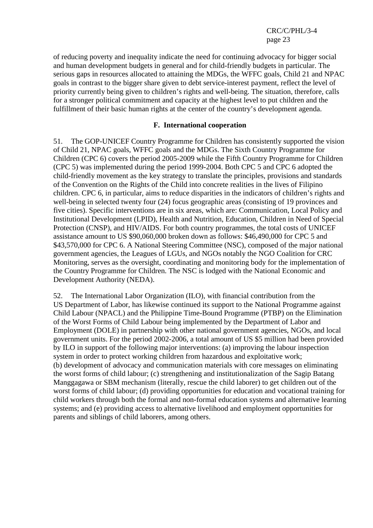of reducing poverty and inequality indicate the need for continuing advocacy for bigger social and human development budgets in general and for child-friendly budgets in particular. The serious gaps in resources allocated to attaining the MDGs, the WFFC goals, Child 21 and NPAC goals in contrast to the bigger share given to debt service-interest payment, reflect the level of priority currently being given to children's rights and well-being. The situation, therefore, calls for a stronger political commitment and capacity at the highest level to put children and the fulfillment of their basic human rights at the center of the country's development agenda.

#### **F. International cooperation**

51. The GOP-UNICEF Country Programme for Children has consistently supported the vision of Child 21, NPAC goals, WFFC goals and the MDGs. The Sixth Country Programme for Children (CPC 6) covers the period 2005-2009 while the Fifth Country Programme for Children (CPC 5) was implemented during the period 1999-2004. Both CPC 5 and CPC 6 adopted the child-friendly movement as the key strategy to translate the principles, provisions and standards of the Convention on the Rights of the Child into concrete realities in the lives of Filipino children. CPC 6, in particular, aims to reduce disparities in the indicators of children's rights and well-being in selected twenty four (24) focus geographic areas (consisting of 19 provinces and five cities). Specific interventions are in six areas, which are: Communication, Local Policy and Institutional Development (LPID), Health and Nutrition, Education, Children in Need of Special Protection (CNSP), and HIV/AIDS. For both country programmes, the total costs of UNICEF assistance amount to US \$90,060,000 broken down as follows: \$46,490,000 for CPC 5 and \$43,570,000 for CPC 6. A National Steering Committee (NSC), composed of the major national government agencies, the Leagues of LGUs, and NGOs notably the NGO Coalition for CRC Monitoring, serves as the oversight, coordinating and monitoring body for the implementation of the Country Programme for Children. The NSC is lodged with the National Economic and Development Authority (NEDA).

52. The International Labor Organization (ILO), with financial contribution from the US Department of Labor, has likewise continued its support to the National Programme against Child Labour (NPACL) and the Philippine Time-Bound Programme (PTBP) on the Elimination of the Worst Forms of Child Labour being implemented by the Department of Labor and Employment (DOLE) in partnership with other national government agencies, NGOs, and local government units. For the period 2002-2006, a total amount of US \$5 million had been provided by ILO in support of the following major interventions: (a) improving the labour inspection system in order to protect working children from hazardous and exploitative work; (b) development of advocacy and communication materials with core messages on eliminating the worst forms of child labour; (c) strengthening and institutionalization of the Sagip Batang Manggagawa or SBM mechanism (literally, rescue the child laborer) to get children out of the worst forms of child labour; (d) providing opportunities for education and vocational training for child workers through both the formal and non-formal education systems and alternative learning systems; and (e) providing access to alternative livelihood and employment opportunities for parents and siblings of child laborers, among others.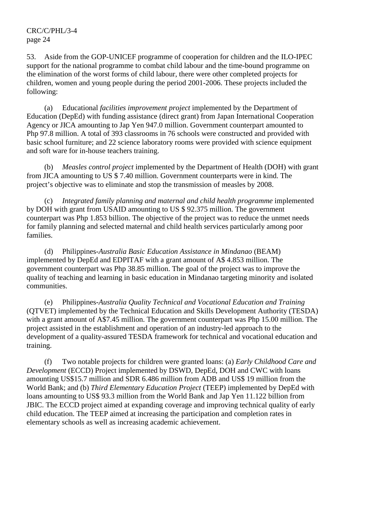53. Aside from the GOP-UNICEF programme of cooperation for children and the ILO-IPEC support for the national programme to combat child labour and the time-bound programme on the elimination of the worst forms of child labour, there were other completed projects for children, women and young people during the period 2001-2006. These projects included the following:

 (a) Educational *facilities improvement project* implemented by the Department of Education (DepEd) with funding assistance (direct grant) from Japan International Cooperation Agency or JICA amounting to Jap Yen 947.0 million. Government counterpart amounted to Php 97.8 million. A total of 393 classrooms in 76 schools were constructed and provided with basic school furniture; and 22 science laboratory rooms were provided with science equipment and soft ware for in-house teachers training.

 (b) *Measles control project* implemented by the Department of Health (DOH) with grant from JICA amounting to US \$ 7.40 million. Government counterparts were in kind. The project's objective was to eliminate and stop the transmission of measles by 2008.

 (c) *Integrated family planning and maternal and child health programme* implemented by DOH with grant from USAID amounting to US \$ 92.375 million. The government counterpart was Php 1.853 billion. The objective of the project was to reduce the unmet needs for family planning and selected maternal and child health services particularly among poor families.

 (d) Philippines*-Australia Basic Education Assistance in Mindanao* (BEAM) implemented by DepEd and EDPITAF with a grant amount of A\$ 4.853 million. The government counterpart was Php 38.85 million. The goal of the project was to improve the quality of teaching and learning in basic education in Mindanao targeting minority and isolated communities.

 (e) Philippines*-Australia Quality Technical and Vocational Education and Training* (QTVET) implemented by the Technical Education and Skills Development Authority (TESDA) with a grant amount of A\$7.45 million. The government counterpart was Php 15.00 million. The project assisted in the establishment and operation of an industry-led approach to the development of a quality-assured TESDA framework for technical and vocational education and training.

 (f) Two notable projects for children were granted loans: (a) *Early Childhood Care and Development* (ECCD) Project implemented by DSWD, DepEd, DOH and CWC with loans amounting US\$15.7 million and SDR 6.486 million from ADB and US\$ 19 million from the World Bank; and (b) *Third Elementary Education Project* (TEEP) implemented by DepEd with loans amounting to US\$ 93.3 million from the World Bank and Jap Yen 11.122 billion from JBIC. The ECCD project aimed at expanding coverage and improving technical quality of early child education. The TEEP aimed at increasing the participation and completion rates in elementary schools as well as increasing academic achievement.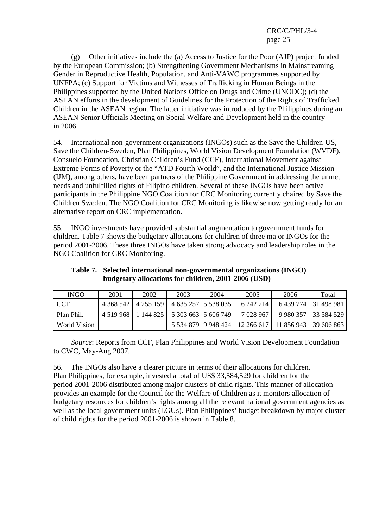(g) Other initiatives include the (a) Access to Justice for the Poor (AJP) project funded by the European Commission; (b) Strengthening Government Mechanisms in Mainstreaming Gender in Reproductive Health, Population, and Anti-VAWC programmes supported by UNFPA; (c) Support for Victims and Witnesses of Trafficking in Human Beings in the Philippines supported by the United Nations Office on Drugs and Crime (UNODC); (d) the ASEAN efforts in the development of Guidelines for the Protection of the Rights of Trafficked Children in the ASEAN region. The latter initiative was introduced by the Philippines during an ASEAN Senior Officials Meeting on Social Welfare and Development held in the country in 2006.

54. International non-government organizations (INGOs) such as the Save the Children-US, Save the Children-Sweden, Plan Philippines, World Vision Development Foundation (WVDF), Consuelo Foundation, Christian Children's Fund (CCF), International Movement against Extreme Forms of Poverty or the "ATD Fourth World", and the International Justice Mission (IJM), among others, have been partners of the Philippine Government in addressing the unmet needs and unfulfilled rights of Filipino children. Several of these INGOs have been active participants in the Philippine NGO Coalition for CRC Monitoring currently chaired by Save the Children Sweden. The NGO Coalition for CRC Monitoring is likewise now getting ready for an alternative report on CRC implementation.

55. INGO investments have provided substantial augmentation to government funds for children. Table 7 shows the budgetary allocations for children of three major INGOs for the period 2001-2006. These three INGOs have taken strong advocacy and leadership roles in the NGO Coalition for CRC Monitoring.

| Table 7. Selected international non-governmental organizations (INGO) |
|-----------------------------------------------------------------------|
| budgetary allocations for children, 2001-2006 (USD)                   |

| <b>INGO</b>  | 2001 | 2002                                          | 2003 | 2004 | 2005                                                       | 2006                               | Total                  |
|--------------|------|-----------------------------------------------|------|------|------------------------------------------------------------|------------------------------------|------------------------|
| <b>CCF</b>   |      | 4 368 542   4 255 159   4 635 257   5 538 035 |      |      | 6 242 214                                                  |                                    | 6 439 774   31 498 981 |
| Plan Phil.   |      | 4 519 968   1 144 825   5 303 663   5 606 749 |      |      |                                                            | 7 028 967   9 980 357   33 584 529 |                        |
| World Vision |      |                                               |      |      | 5 534 879 9 948 424   12 266 617   11 856 943   39 606 863 |                                    |                        |

 *Source*: Reports from CCF, Plan Philippines and World Vision Development Foundation to CWC, May-Aug 2007.

56. The INGOs also have a clearer picture in terms of their allocations for children. Plan Philippines, for example, invested a total of US\$ 33,584,529 for children for the period 2001-2006 distributed among major clusters of child rights. This manner of allocation provides an example for the Council for the Welfare of Children as it monitors allocation of budgetary resources for children's rights among all the relevant national government agencies as well as the local government units (LGUs). Plan Philippines' budget breakdown by major cluster of child rights for the period 2001-2006 is shown in Table 8.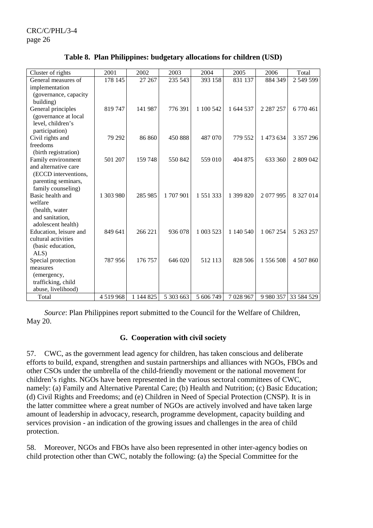| Cluster of rights                          | 2001      | 2002      | 2003      | 2004      | 2005      | 2006          | Total      |
|--------------------------------------------|-----------|-----------|-----------|-----------|-----------|---------------|------------|
| General measures of                        | 178 145   | 27 267    | 235 543   | 393 158   | 831 137   | 884 349       | 2 549 599  |
| implementation                             |           |           |           |           |           |               |            |
| (governance, capacity                      |           |           |           |           |           |               |            |
| building)                                  |           |           |           |           |           |               |            |
| General principles                         | 819747    | 141 987   | 776 391   | 1 100 542 | 1 644 537 | 2 2 8 7 2 5 7 | 6 770 461  |
| (governance at local                       |           |           |           |           |           |               |            |
| level, children's                          |           |           |           |           |           |               |            |
| participation)                             |           |           |           |           |           |               |            |
| Civil rights and                           | 79 29 2   | 86 860    | 450 888   | 487 070   | 779 552   | 1 473 634     | 3 357 296  |
| freedoms                                   |           |           |           |           |           |               |            |
| (birth registration)                       | 501 207   | 159748    | 550842    | 559 010   | 404 875   | 633 360       |            |
| Family environment<br>and alternative care |           |           |           |           |           |               | 2 809 042  |
| (ECCD interventions,                       |           |           |           |           |           |               |            |
| parenting seminars,                        |           |           |           |           |           |               |            |
| family counseling)                         |           |           |           |           |           |               |            |
| Basic health and                           | 1 303 980 | 285 985   | 1707901   | 1 551 333 | 1 399 820 | 2077995       | 8 327 014  |
| welfare                                    |           |           |           |           |           |               |            |
| (health, water                             |           |           |           |           |           |               |            |
| and sanitation,                            |           |           |           |           |           |               |            |
| adolescent health)                         |           |           |           |           |           |               |            |
| Education, leisure and                     | 849 641   | 266 221   | 936 078   | 1 003 523 | 1 140 540 | 1 067 254     | 5 263 257  |
| cultural activities                        |           |           |           |           |           |               |            |
| (basic education,                          |           |           |           |           |           |               |            |
| ALS)                                       |           |           |           |           |           |               |            |
| Special protection                         | 787956    | 176 757   | 646 020   | 512 113   | 828 506   | 1 556 508     | 4 507 860  |
| measures                                   |           |           |           |           |           |               |            |
| (emergency,                                |           |           |           |           |           |               |            |
| trafficking, child                         |           |           |           |           |           |               |            |
| abuse, livelihood)                         |           |           |           |           |           |               |            |
| Total                                      | 4519968   | 1 144 825 | 5 303 663 | 5 606 749 | 7 028 967 | 9 9 8 0 3 5 7 | 33 584 529 |

**Table 8. Plan Philippines: budgetary allocations for children (USD)** 

*Source*: Plan Philippines report submitted to the Council for the Welfare of Children, May 20.

#### **G. Cooperation with civil society**

57. CWC, as the government lead agency for children, has taken conscious and deliberate efforts to build, expand, strengthen and sustain partnerships and alliances with NGOs, FBOs and other CSOs under the umbrella of the child-friendly movement or the national movement for children's rights. NGOs have been represented in the various sectoral committees of CWC, namely: (a) Family and Alternative Parental Care; (b) Health and Nutrition; (c) Basic Education; (d) Civil Rights and Freedoms; and (e) Children in Need of Special Protection (CNSP). It is in the latter committee where a great number of NGOs are actively involved and have taken large amount of leadership in advocacy, research, programme development, capacity building and services provision - an indication of the growing issues and challenges in the area of child protection.

58. Moreover, NGOs and FBOs have also been represented in other inter-agency bodies on child protection other than CWC, notably the following: (a) the Special Committee for the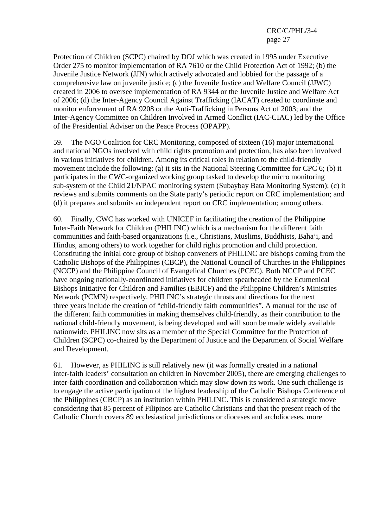Protection of Children (SCPC) chaired by DOJ which was created in 1995 under Executive Order 275 to monitor implementation of RA 7610 or the Child Protection Act of 1992; (b) the Juvenile Justice Network (JJN) which actively advocated and lobbied for the passage of a comprehensive law on juvenile justice; (c) the Juvenile Justice and Welfare Council (JJWC) created in 2006 to oversee implementation of RA 9344 or the Juvenile Justice and Welfare Act of 2006; (d) the Inter-Agency Council Against Trafficking (IACAT) created to coordinate and monitor enforcement of RA 9208 or the Anti-Trafficking in Persons Act of 2003; and the Inter-Agency Committee on Children Involved in Armed Conflict (IAC-CIAC) led by the Office of the Presidential Adviser on the Peace Process (OPAPP).

59. The NGO Coalition for CRC Monitoring, composed of sixteen (16) major international and national NGOs involved with child rights promotion and protection, has also been involved in various initiatives for children. Among its critical roles in relation to the child-friendly movement include the following: (a) it sits in the National Steering Committee for CPC 6; (b) it participates in the CWC-organized working group tasked to develop the micro monitoring sub-system of the Child 21/NPAC monitoring system (Subaybay Bata Monitoring System); (c) it reviews and submits comments on the State party's periodic report on CRC implementation; and (d) it prepares and submits an independent report on CRC implementation; among others.

60. Finally, CWC has worked with UNICEF in facilitating the creation of the Philippine Inter-Faith Network for Children (PHILINC) which is a mechanism for the different faith communities and faith-based organizations (i.e., Christians, Muslims, Buddhists, Baha'i, and Hindus, among others) to work together for child rights promotion and child protection. Constituting the initial core group of bishop conveners of PHILINC are bishops coming from the Catholic Bishops of the Philippines (CBCP), the National Council of Churches in the Philippines (NCCP) and the Philippine Council of Evangelical Churches (PCEC). Both NCCP and PCEC have ongoing nationally-coordinated initiatives for children spearheaded by the Ecumenical Bishops Initiative for Children and Families (EBICF) and the Philippine Children's Ministries Network (PCMN) respectively. PHILINC's strategic thrusts and directions for the next three years include the creation of "child-friendly faith communities". A manual for the use of the different faith communities in making themselves child-friendly, as their contribution to the national child-friendly movement, is being developed and will soon be made widely available nationwide. PHILINC now sits as a member of the Special Committee for the Protection of Children (SCPC) co-chaired by the Department of Justice and the Department of Social Welfare and Development.

61. However, as PHILINC is still relatively new (it was formally created in a national inter-faith leaders' consultation on children in November 2005), there are emerging challenges to inter-faith coordination and collaboration which may slow down its work. One such challenge is to engage the active participation of the highest leadership of the Catholic Bishops Conference of the Philippines (CBCP) as an institution within PHILINC. This is considered a strategic move considering that 85 percent of Filipinos are Catholic Christians and that the present reach of the Catholic Church covers 89 ecclesiastical jurisdictions or dioceses and archdioceses, more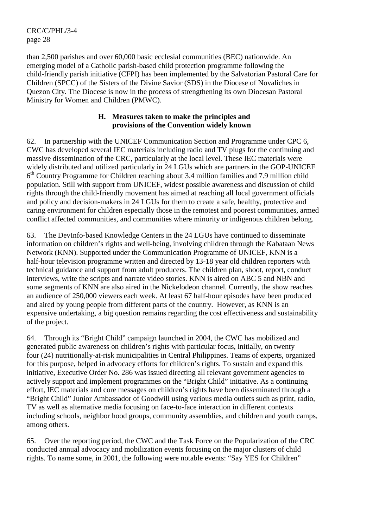than 2,500 parishes and over 60,000 basic ecclesial communities (BEC) nationwide. An emerging model of a Catholic parish-based child protection programme following the child-friendly parish initiative (CFPI) has been implemented by the Salvatorian Pastoral Care for Children (SPCC) of the Sisters of the Divine Savior (SDS) in the Diocese of Novaliches in Quezon City. The Diocese is now in the process of strengthening its own Diocesan Pastoral Ministry for Women and Children (PMWC).

#### **H. Measures taken to make the principles and provisions of the Convention widely known**

62. In partnership with the UNICEF Communication Section and Programme under CPC 6, CWC has developed several IEC materials including radio and TV plugs for the continuing and massive dissemination of the CRC, particularly at the local level. These IEC materials were widely distributed and utilized particularly in 24 LGUs which are partners in the GOP-UNICEF  $6<sup>th</sup>$  Country Programme for Children reaching about 3.4 million families and 7.9 million child population. Still with support from UNICEF, widest possible awareness and discussion of child rights through the child-friendly movement has aimed at reaching all local government officials and policy and decision-makers in 24 LGUs for them to create a safe, healthy, protective and caring environment for children especially those in the remotest and poorest communities, armed conflict affected communities, and communities where minority or indigenous children belong.

63. The DevInfo-based Knowledge Centers in the 24 LGUs have continued to disseminate information on children's rights and well-being, involving children through the Kabataan News Network (KNN). Supported under the Communication Programme of UNICEF, KNN is a half-hour television programme written and directed by 13-18 year old children reporters with technical guidance and support from adult producers. The children plan, shoot, report, conduct interviews, write the scripts and narrate video stories. KNN is aired on ABC 5 and NBN and some segments of KNN are also aired in the Nickelodeon channel. Currently, the show reaches an audience of 250,000 viewers each week. At least 67 half-hour episodes have been produced and aired by young people from different parts of the country. However, as KNN is an expensive undertaking, a big question remains regarding the cost effectiveness and sustainability of the project.

64. Through its "Bright Child" campaign launched in 2004, the CWC has mobilized and generated public awareness on children's rights with particular focus, initially, on twenty four (24) nutritionally-at-risk municipalities in Central Philippines. Teams of experts, organized for this purpose, helped in advocacy efforts for children's rights. To sustain and expand this initiative, Executive Order No. 286 was issued directing all relevant government agencies to actively support and implement programmes on the "Bright Child" initiative. As a continuing effort, IEC materials and core messages on children's rights have been disseminated through a "Bright Child" Junior Ambassador of Goodwill using various media outlets such as print, radio, TV as well as alternative media focusing on face-to-face interaction in different contexts including schools, neighbor hood groups, community assemblies, and children and youth camps, among others.

65. Over the reporting period, the CWC and the Task Force on the Popularization of the CRC conducted annual advocacy and mobilization events focusing on the major clusters of child rights. To name some, in 2001, the following were notable events: "Say YES for Children"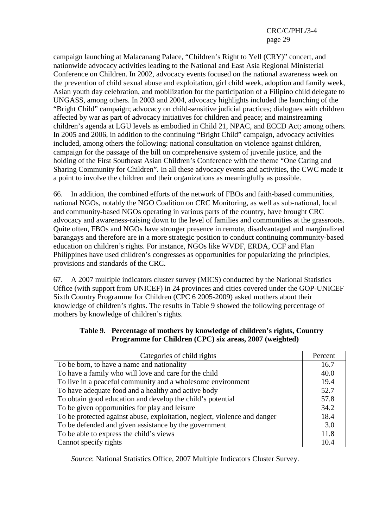campaign launching at Malacanang Palace, "Children's Right to Yell (CRY)" concert, and nationwide advocacy activities leading to the National and East Asia Regional Ministerial Conference on Children. In 2002, advocacy events focused on the national awareness week on the prevention of child sexual abuse and exploitation, girl child week, adoption and family week, Asian youth day celebration, and mobilization for the participation of a Filipino child delegate to UNGASS, among others. In 2003 and 2004, advocacy highlights included the launching of the "Bright Child" campaign; advocacy on child-sensitive judicial practices; dialogues with children affected by war as part of advocacy initiatives for children and peace; and mainstreaming children's agenda at LGU levels as embodied in Child 21, NPAC, and ECCD Act; among others. In 2005 and 2006, in addition to the continuing "Bright Child" campaign, advocacy activities included, among others the following: national consultation on violence against children, campaign for the passage of the bill on comprehensive system of juvenile justice, and the holding of the First Southeast Asian Children's Conference with the theme "One Caring and Sharing Community for Children". In all these advocacy events and activities, the CWC made it a point to involve the children and their organizations as meaningfully as possible.

66. In addition, the combined efforts of the network of FBOs and faith-based communities, national NGOs, notably the NGO Coalition on CRC Monitoring, as well as sub-national, local and community-based NGOs operating in various parts of the country, have brought CRC advocacy and awareness-raising down to the level of families and communities at the grassroots. Quite often, FBOs and NGOs have stronger presence in remote, disadvantaged and marginalized barangays and therefore are in a more strategic position to conduct continuing community-based education on children's rights. For instance, NGOs like WVDF, ERDA, CCF and Plan Philippines have used children's congresses as opportunities for popularizing the principles, provisions and standards of the CRC.

67. A 2007 multiple indicators cluster survey (MICS) conducted by the National Statistics Office (with support from UNICEF) in 24 provinces and cities covered under the GOP-UNICEF Sixth Country Programme for Children (CPC 6 2005-2009) asked mothers about their knowledge of children's rights. The results in Table 9 showed the following percentage of mothers by knowledge of children's rights.

| Table 9. Percentage of mothers by knowledge of children's rights, Country |
|---------------------------------------------------------------------------|
| Programme for Children (CPC) six areas, 2007 (weighted)                   |

| Categories of child rights                                                | Percent |  |
|---------------------------------------------------------------------------|---------|--|
| To be born, to have a name and nationality                                |         |  |
| To have a family who will love and care for the child                     |         |  |
| To live in a peaceful community and a wholesome environment               |         |  |
| To have adequate food and a healthy and active body                       |         |  |
| To obtain good education and develop the child's potential                |         |  |
| To be given opportunities for play and leisure                            |         |  |
| To be protected against abuse, exploitation, neglect, violence and danger | 18.4    |  |
| To be defended and given assistance by the government                     | 3.0     |  |
| To be able to express the child's views                                   | 11.8    |  |
| Cannot specify rights                                                     | 10.4    |  |

 *Source*: National Statistics Office, 2007 Multiple Indicators Cluster Survey.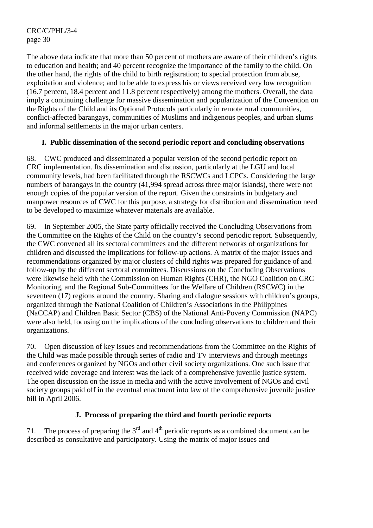The above data indicate that more than 50 percent of mothers are aware of their children's rights to education and health; and 40 percent recognize the importance of the family to the child. On the other hand, the rights of the child to birth registration; to special protection from abuse, exploitation and violence; and to be able to express his or views received very low recognition (16.7 percent, 18.4 percent and 11.8 percent respectively) among the mothers. Overall, the data imply a continuing challenge for massive dissemination and popularization of the Convention on the Rights of the Child and its Optional Protocols particularly in remote rural communities, conflict-affected barangays, communities of Muslims and indigenous peoples, and urban slums and informal settlements in the major urban centers.

# **I. Public dissemination of the second periodic report and concluding observations**

68. CWC produced and disseminated a popular version of the second periodic report on CRC implementation. Its dissemination and discussion, particularly at the LGU and local community levels, had been facilitated through the RSCWCs and LCPCs. Considering the large numbers of barangays in the country (41,994 spread across three major islands), there were not enough copies of the popular version of the report. Given the constraints in budgetary and manpower resources of CWC for this purpose, a strategy for distribution and dissemination need to be developed to maximize whatever materials are available.

69. In September 2005, the State party officially received the Concluding Observations from the Committee on the Rights of the Child on the country's second periodic report. Subsequently, the CWC convened all its sectoral committees and the different networks of organizations for children and discussed the implications for follow-up actions. A matrix of the major issues and recommendations organized by major clusters of child rights was prepared for guidance of and follow-up by the different sectoral committees. Discussions on the Concluding Observations were likewise held with the Commission on Human Rights (CHR), the NGO Coalition on CRC Monitoring, and the Regional Sub-Committees for the Welfare of Children (RSCWC) in the seventeen (17) regions around the country. Sharing and dialogue sessions with children's groups, organized through the National Coalition of Children's Associations in the Philippines (NaCCAP) and Children Basic Sector (CBS) of the National Anti-Poverty Commission (NAPC) were also held, focusing on the implications of the concluding observations to children and their organizations.

70. Open discussion of key issues and recommendations from the Committee on the Rights of the Child was made possible through series of radio and TV interviews and through meetings and conferences organized by NGOs and other civil society organizations. One such issue that received wide coverage and interest was the lack of a comprehensive juvenile justice system. The open discussion on the issue in media and with the active involvement of NGOs and civil society groups paid off in the eventual enactment into law of the comprehensive juvenile justice bill in April 2006.

# **J. Process of preparing the third and fourth periodic reports**

71. The process of preparing the  $3<sup>rd</sup>$  and  $4<sup>th</sup>$  periodic reports as a combined document can be described as consultative and participatory. Using the matrix of major issues and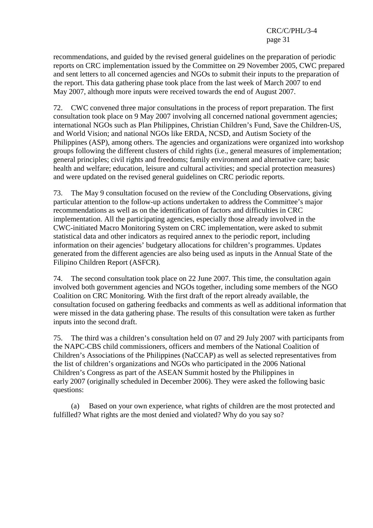recommendations, and guided by the revised general guidelines on the preparation of periodic reports on CRC implementation issued by the Committee on 29 November 2005, CWC prepared and sent letters to all concerned agencies and NGOs to submit their inputs to the preparation of the report. This data gathering phase took place from the last week of March 2007 to end May 2007, although more inputs were received towards the end of August 2007.

72. CWC convened three major consultations in the process of report preparation. The first consultation took place on 9 May 2007 involving all concerned national government agencies; international NGOs such as Plan Philippines, Christian Children's Fund, Save the Children-US, and World Vision; and national NGOs like ERDA, NCSD, and Autism Society of the Philippines (ASP), among others. The agencies and organizations were organized into workshop groups following the different clusters of child rights (i.e., general measures of implementation; general principles; civil rights and freedoms; family environment and alternative care; basic health and welfare; education, leisure and cultural activities; and special protection measures) and were updated on the revised general guidelines on CRC periodic reports.

73. The May 9 consultation focused on the review of the Concluding Observations, giving particular attention to the follow-up actions undertaken to address the Committee's major recommendations as well as on the identification of factors and difficulties in CRC implementation. All the participating agencies, especially those already involved in the CWC-initiated Macro Monitoring System on CRC implementation, were asked to submit statistical data and other indicators as required annex to the periodic report, including information on their agencies' budgetary allocations for children's programmes. Updates generated from the different agencies are also being used as inputs in the Annual State of the Filipino Children Report (ASFCR).

74. The second consultation took place on 22 June 2007. This time, the consultation again involved both government agencies and NGOs together, including some members of the NGO Coalition on CRC Monitoring. With the first draft of the report already available, the consultation focused on gathering feedbacks and comments as well as additional information that were missed in the data gathering phase. The results of this consultation were taken as further inputs into the second draft.

75. The third was a children's consultation held on 07 and 29 July 2007 with participants from the NAPC-CBS child commissioners, officers and members of the National Coalition of Children's Associations of the Philippines (NaCCAP) as well as selected representatives from the list of children's organizations and NGOs who participated in the 2006 National Children's Congress as part of the ASEAN Summit hosted by the Philippines in early 2007 (originally scheduled in December 2006). They were asked the following basic questions:

 (a) Based on your own experience, what rights of children are the most protected and fulfilled? What rights are the most denied and violated? Why do you say so?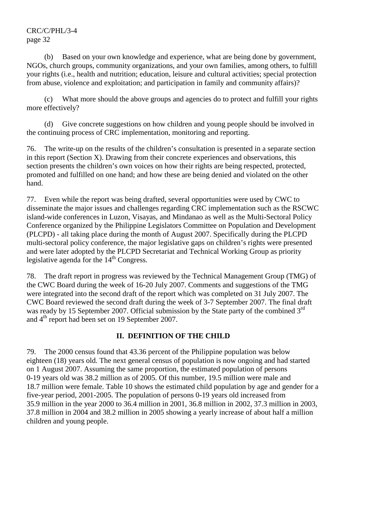(b) Based on your own knowledge and experience, what are being done by government, NGOs, church groups, community organizations, and your own families, among others, to fulfill your rights (i.e., health and nutrition; education, leisure and cultural activities; special protection from abuse, violence and exploitation; and participation in family and community affairs)?

 (c) What more should the above groups and agencies do to protect and fulfill your rights more effectively?

 (d) Give concrete suggestions on how children and young people should be involved in the continuing process of CRC implementation, monitoring and reporting.

76. The write-up on the results of the children's consultation is presented in a separate section in this report (Section X). Drawing from their concrete experiences and observations, this section presents the children's own voices on how their rights are being respected, protected, promoted and fulfilled on one hand; and how these are being denied and violated on the other hand.

77. Even while the report was being drafted, several opportunities were used by CWC to disseminate the major issues and challenges regarding CRC implementation such as the RSCWC island-wide conferences in Luzon, Visayas, and Mindanao as well as the Multi-Sectoral Policy Conference organized by the Philippine Legislators Committee on Population and Development (PLCPD) - all taking place during the month of August 2007. Specifically during the PLCPD multi-sectoral policy conference, the major legislative gaps on children's rights were presented and were later adopted by the PLCPD Secretariat and Technical Working Group as priority legislative agenda for the  $14<sup>th</sup>$  Congress.

78. The draft report in progress was reviewed by the Technical Management Group (TMG) of the CWC Board during the week of 16-20 July 2007. Comments and suggestions of the TMG were integrated into the second draft of the report which was completed on 31 July 2007. The CWC Board reviewed the second draft during the week of 3-7 September 2007. The final draft was ready by 15 September 2007. Official submission by the State party of the combined 3<sup>rd</sup> and 4<sup>th</sup> report had been set on 19 September 2007.

#### **II. DEFINITION OF THE CHILD**

79. The 2000 census found that 43.36 percent of the Philippine population was below eighteen (18) years old. The next general census of population is now ongoing and had started on 1 August 2007. Assuming the same proportion, the estimated population of persons 0-19 years old was 38.2 million as of 2005. Of this number, 19.5 million were male and 18.7 million were female. Table 10 shows the estimated child population by age and gender for a five-year period, 2001-2005. The population of persons 0-19 years old increased from 35.9 million in the year 2000 to 36.4 million in 2001, 36.8 million in 2002, 37.3 million in 2003, 37.8 million in 2004 and 38.2 million in 2005 showing a yearly increase of about half a million children and young people.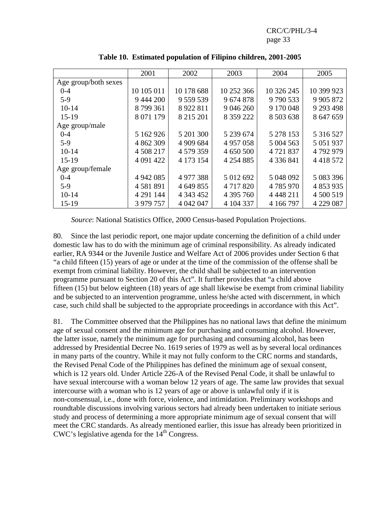|                      | 2001        | 2002          | 2003          | 2004          | 2005          |
|----------------------|-------------|---------------|---------------|---------------|---------------|
| Age group/both sexes |             |               |               |               |               |
| $0 - 4$              | 10 105 011  | 10 178 688    | 10 252 366    | 10 326 245    | 10 399 923    |
| $5-9$                | 9 444 200   | 9 559 539     | 9 674 878     | 9790533       | 9 9 0 5 8 7 2 |
| $10-14$              | 8799361     | 8 9 2 2 8 1 1 | 9 046 260     | 9 170 048     | 9 293 498     |
| $15-19$              | 8 0 71 1 79 | 8 215 201     | 8 3 5 9 2 2 2 | 8 503 638     | 8 647 659     |
| Age group/male       |             |               |               |               |               |
| $0 - 4$              | 5 162 926   | 5 201 300     | 5 239 674     | 5 278 153     | 5 316 527     |
| $5-9$                | 4 862 309   | 4 909 684     | 4 9 5 7 0 5 8 | 5 004 563     | 5 0 5 1 9 3 7 |
| $10-14$              | 4 508 217   | 4 579 359     | 4 650 500     | 4721837       | 4792979       |
| $15-19$              | 4 091 422   | 4 173 154     | 4 2 5 4 8 8 5 | 4 3 3 6 8 4 1 | 4 4 1 8 5 7 2 |
| Age group/female     |             |               |               |               |               |
| $0 - 4$              | 4 942 085   | 4 977 388     | 5 012 692     | 5 048 092     | 5 083 396     |
| $5-9$                | 4581891     | 4 649 855     | 4 7 1 7 8 2 0 | 4785970       | 4 853 935     |
| $10 - 14$            | 4 291 144   | 4 3 4 3 4 5 2 | 4 395 760     | 4 4 4 4 2 1 1 | 4 500 519     |
| $15-19$              | 3 979 757   | 4 042 047     | 4 104 337     | 4 166 797     | 4 229 087     |

**Table 10. Estimated population of Filipino children, 2001-2005** 

*Source*: National Statistics Office, 2000 Census-based Population Projections.

80. Since the last periodic report, one major update concerning the definition of a child under domestic law has to do with the minimum age of criminal responsibility. As already indicated earlier, RA 9344 or the Juvenile Justice and Welfare Act of 2006 provides under Section 6 that "a child fifteen (15) years of age or under at the time of the commission of the offense shall be exempt from criminal liability. However, the child shall be subjected to an intervention programme pursuant to Section 20 of this Act". It further provides that "a child above fifteen (15) but below eighteen (18) years of age shall likewise be exempt from criminal liability and be subjected to an intervention programme, unless he/she acted with discernment, in which case, such child shall be subjected to the appropriate proceedings in accordance with this Act".

81. The Committee observed that the Philippines has no national laws that define the minimum age of sexual consent and the minimum age for purchasing and consuming alcohol. However, the latter issue, namely the minimum age for purchasing and consuming alcohol, has been addressed by Presidential Decree No. 1619 series of 1979 as well as by several local ordinances in many parts of the country. While it may not fully conform to the CRC norms and standards, the Revised Penal Code of the Philippines has defined the minimum age of sexual consent, which is 12 years old. Under Article 226-A of the Revised Penal Code, it shall be unlawful to have sexual intercourse with a woman below 12 years of age. The same law provides that sexual intercourse with a woman who is 12 years of age or above is unlawful only if it is non-consensual, i.e., done with force, violence, and intimidation. Preliminary workshops and roundtable discussions involving various sectors had already been undertaken to initiate serious study and process of determining a more appropriate minimum age of sexual consent that will meet the CRC standards. As already mentioned earlier, this issue has already been prioritized in CWC's legislative agenda for the 14<sup>th</sup> Congress.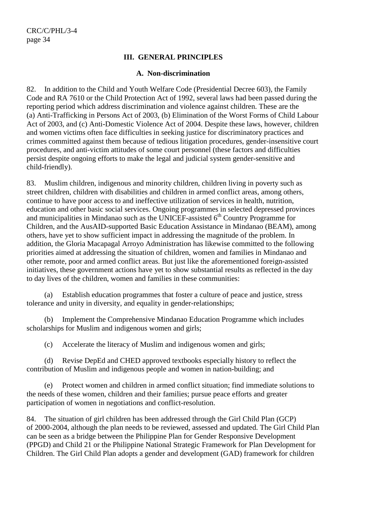#### **III. GENERAL PRINCIPLES**

#### **A. Non-discrimination**

82. In addition to the Child and Youth Welfare Code (Presidential Decree 603), the Family Code and RA 7610 or the Child Protection Act of 1992, several laws had been passed during the reporting period which address discrimination and violence against children. These are the (a) Anti-Trafficking in Persons Act of 2003, (b) Elimination of the Worst Forms of Child Labour Act of 2003, and (c) Anti-Domestic Violence Act of 2004. Despite these laws, however, children and women victims often face difficulties in seeking justice for discriminatory practices and crimes committed against them because of tedious litigation procedures, gender-insensitive court procedures, and anti-victim attitudes of some court personnel (these factors and difficulties persist despite ongoing efforts to make the legal and judicial system gender-sensitive and child-friendly).

83. Muslim children, indigenous and minority children, children living in poverty such as street children, children with disabilities and children in armed conflict areas, among others, continue to have poor access to and ineffective utilization of services in health, nutrition, education and other basic social services. Ongoing programmes in selected depressed provinces and municipalities in Mindanao such as the UNICEF-assisted  $6<sup>th</sup>$  Country Programme for Children, and the AusAID-supported Basic Education Assistance in Mindanao (BEAM), among others, have yet to show sufficient impact in addressing the magnitude of the problem. In addition, the Gloria Macapagal Arroyo Administration has likewise committed to the following priorities aimed at addressing the situation of children, women and families in Mindanao and other remote, poor and armed conflict areas. But just like the aforementioned foreign-assisted initiatives, these government actions have yet to show substantial results as reflected in the day to day lives of the children, women and families in these communities:

 (a) Establish education programmes that foster a culture of peace and justice, stress tolerance and unity in diversity, and equality in gender-relationships;

 (b) Implement the Comprehensive Mindanao Education Programme which includes scholarships for Muslim and indigenous women and girls;

(c) Accelerate the literacy of Muslim and indigenous women and girls;

 (d) Revise DepEd and CHED approved textbooks especially history to reflect the contribution of Muslim and indigenous people and women in nation-building; and

 (e) Protect women and children in armed conflict situation; find immediate solutions to the needs of these women, children and their families; pursue peace efforts and greater participation of women in negotiations and conflict-resolution.

84. The situation of girl children has been addressed through the Girl Child Plan (GCP) of 2000-2004, although the plan needs to be reviewed, assessed and updated. The Girl Child Plan can be seen as a bridge between the Philippine Plan for Gender Responsive Development (PPGD) and Child 21 or the Philippine National Strategic Framework for Plan Development for Children. The Girl Child Plan adopts a gender and development (GAD) framework for children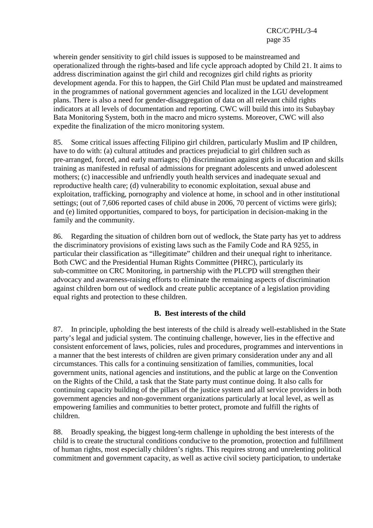wherein gender sensitivity to girl child issues is supposed to be mainstreamed and operationalized through the rights-based and life cycle approach adopted by Child 21. It aims to address discrimination against the girl child and recognizes girl child rights as priority development agenda. For this to happen, the Girl Child Plan must be updated and mainstreamed in the programmes of national government agencies and localized in the LGU development plans. There is also a need for gender-disaggregation of data on all relevant child rights indicators at all levels of documentation and reporting. CWC will build this into its Subaybay Bata Monitoring System, both in the macro and micro systems. Moreover, CWC will also expedite the finalization of the micro monitoring system.

85. Some critical issues affecting Filipino girl children, particularly Muslim and IP children, have to do with: (a) cultural attitudes and practices prejudicial to girl children such as pre-arranged, forced, and early marriages; (b) discrimination against girls in education and skills training as manifested in refusal of admissions for pregnant adolescents and unwed adolescent mothers; (c) inaccessible and unfriendly youth health services and inadequate sexual and reproductive health care; (d) vulnerability to economic exploitation, sexual abuse and exploitation, trafficking, pornography and violence at home, in school and in other institutional settings; (out of 7,606 reported cases of child abuse in 2006, 70 percent of victims were girls); and (e) limited opportunities, compared to boys, for participation in decision-making in the family and the community.

86. Regarding the situation of children born out of wedlock, the State party has yet to address the discriminatory provisions of existing laws such as the Family Code and RA 9255, in particular their classification as "illegitimate" children and their unequal right to inheritance. Both CWC and the Presidential Human Rights Committee (PHRC), particularly its sub-committee on CRC Monitoring, in partnership with the PLCPD will strengthen their advocacy and awareness-raising efforts to eliminate the remaining aspects of discrimination against children born out of wedlock and create public acceptance of a legislation providing equal rights and protection to these children.

#### **B. Best interests of the child**

87. In principle, upholding the best interests of the child is already well-established in the State party's legal and judicial system. The continuing challenge, however, lies in the effective and consistent enforcement of laws, policies, rules and procedures, programmes and interventions in a manner that the best interests of children are given primary consideration under any and all circumstances. This calls for a continuing sensitization of families, communities, local government units, national agencies and institutions, and the public at large on the Convention on the Rights of the Child, a task that the State party must continue doing. It also calls for continuing capacity building of the pillars of the justice system and all service providers in both government agencies and non-government organizations particularly at local level, as well as empowering families and communities to better protect, promote and fulfill the rights of children.

88. Broadly speaking, the biggest long-term challenge in upholding the best interests of the child is to create the structural conditions conducive to the promotion, protection and fulfillment of human rights, most especially children's rights. This requires strong and unrelenting political commitment and government capacity, as well as active civil society participation, to undertake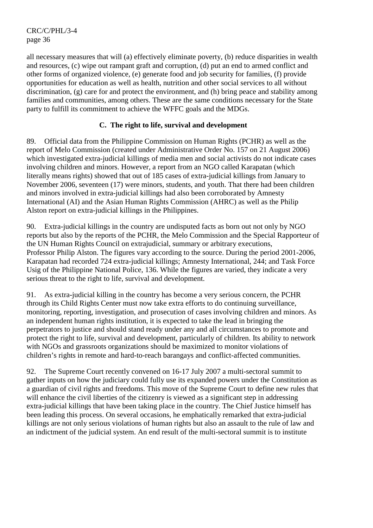all necessary measures that will (a) effectively eliminate poverty, (b) reduce disparities in wealth and resources, (c) wipe out rampant graft and corruption, (d) put an end to armed conflict and other forms of organized violence, (e) generate food and job security for families, (f) provide opportunities for education as well as health, nutrition and other social services to all without discrimination, (g) care for and protect the environment, and (h) bring peace and stability among families and communities, among others. These are the same conditions necessary for the State party to fulfill its commitment to achieve the WFFC goals and the MDGs.

### **C. The right to life, survival and development**

89. Official data from the Philippine Commission on Human Rights (PCHR) as well as the report of Melo Commission (created under Administrative Order No. 157 on 21 August 2006) which investigated extra-judicial killings of media men and social activists do not indicate cases involving children and minors. However, a report from an NGO called Karapatan (which literally means rights) showed that out of 185 cases of extra-judicial killings from January to November 2006, seventeen (17) were minors, students, and youth. That there had been children and minors involved in extra-judicial killings had also been corroborated by Amnesty International (AI) and the Asian Human Rights Commission (AHRC) as well as the Philip Alston report on extra-judicial killings in the Philippines.

90. Extra-judicial killings in the country are undisputed facts as born out not only by NGO reports but also by the reports of the PCHR, the Melo Commission and the Special Rapporteur of the UN Human Rights Council on extrajudicial, summary or arbitrary executions, Professor Philip Alston. The figures vary according to the source. During the period 2001-2006, Karapatan had recorded 724 extra-judicial killings; Amnesty International, 244; and Task Force Usig of the Philippine National Police, 136. While the figures are varied, they indicate a very serious threat to the right to life, survival and development.

91. As extra-judicial killing in the country has become a very serious concern, the PCHR through its Child Rights Center must now take extra efforts to do continuing surveillance, monitoring, reporting, investigation, and prosecution of cases involving children and minors. As an independent human rights institution, it is expected to take the lead in bringing the perpetrators to justice and should stand ready under any and all circumstances to promote and protect the right to life, survival and development, particularly of children. Its ability to network with NGOs and grassroots organizations should be maximized to monitor violations of children's rights in remote and hard-to-reach barangays and conflict-affected communities.

92. The Supreme Court recently convened on 16-17 July 2007 a multi-sectoral summit to gather inputs on how the judiciary could fully use its expanded powers under the Constitution as a guardian of civil rights and freedoms. This move of the Supreme Court to define new rules that will enhance the civil liberties of the citizenry is viewed as a significant step in addressing extra-judicial killings that have been taking place in the country. The Chief Justice himself has been leading this process. On several occasions, he emphatically remarked that extra-judicial killings are not only serious violations of human rights but also an assault to the rule of law and an indictment of the judicial system. An end result of the multi-sectoral summit is to institute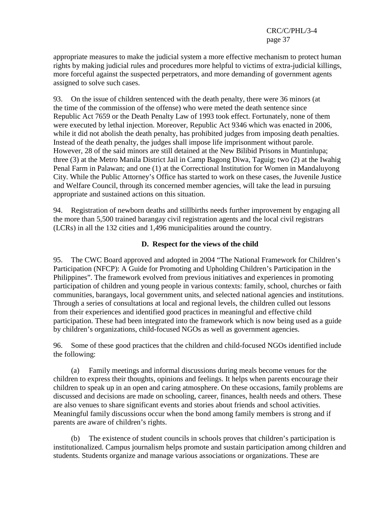appropriate measures to make the judicial system a more effective mechanism to protect human rights by making judicial rules and procedures more helpful to victims of extra-judicial killings, more forceful against the suspected perpetrators, and more demanding of government agents assigned to solve such cases.

93. On the issue of children sentenced with the death penalty, there were 36 minors (at the time of the commission of the offense) who were meted the death sentence since Republic Act 7659 or the Death Penalty Law of 1993 took effect. Fortunately, none of them were executed by lethal injection. Moreover, Republic Act 9346 which was enacted in 2006, while it did not abolish the death penalty, has prohibited judges from imposing death penalties. Instead of the death penalty, the judges shall impose life imprisonment without parole. However, 28 of the said minors are still detained at the New Bilibid Prisons in Muntinlupa; three (3) at the Metro Manila District Jail in Camp Bagong Diwa, Taguig; two (2) at the Iwahig Penal Farm in Palawan; and one (1) at the Correctional Institution for Women in Mandaluyong City. While the Public Attorney's Office has started to work on these cases, the Juvenile Justice and Welfare Council, through its concerned member agencies, will take the lead in pursuing appropriate and sustained actions on this situation.

94. Registration of newborn deaths and stillbirths needs further improvement by engaging all the more than 5,500 trained barangay civil registration agents and the local civil registrars (LCRs) in all the 132 cities and 1,496 municipalities around the country.

### **D. Respect for the views of the child**

95. The CWC Board approved and adopted in 2004 "The National Framework for Children's Participation (NFCP): A Guide for Promoting and Upholding Children's Participation in the Philippines". The framework evolved from previous initiatives and experiences in promoting participation of children and young people in various contexts: family, school, churches or faith communities, barangays, local government units, and selected national agencies and institutions. Through a series of consultations at local and regional levels, the children culled out lessons from their experiences and identified good practices in meaningful and effective child participation. These had been integrated into the framework which is now being used as a guide by children's organizations, child-focused NGOs as well as government agencies.

96. Some of these good practices that the children and child-focused NGOs identified include the following:

 (a) Family meetings and informal discussions during meals become venues for the children to express their thoughts, opinions and feelings. It helps when parents encourage their children to speak up in an open and caring atmosphere. On these occasions, family problems are discussed and decisions are made on schooling, career, finances, health needs and others. These are also venues to share significant events and stories about friends and school activities. Meaningful family discussions occur when the bond among family members is strong and if parents are aware of children's rights.

 (b) The existence of student councils in schools proves that children's participation is institutionalized. Campus journalism helps promote and sustain participation among children and students. Students organize and manage various associations or organizations. These are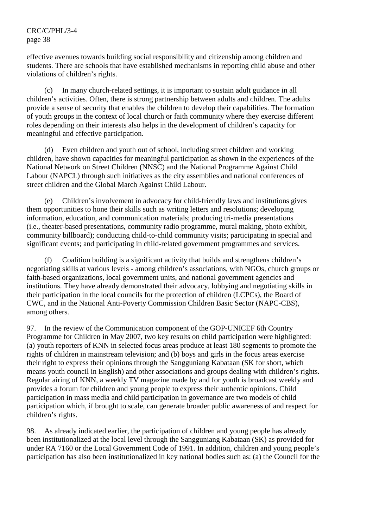effective avenues towards building social responsibility and citizenship among children and students. There are schools that have established mechanisms in reporting child abuse and other violations of children's rights.

 (c) In many church-related settings, it is important to sustain adult guidance in all children's activities. Often, there is strong partnership between adults and children. The adults provide a sense of security that enables the children to develop their capabilities. The formation of youth groups in the context of local church or faith community where they exercise different roles depending on their interests also helps in the development of children's capacity for meaningful and effective participation.

 (d) Even children and youth out of school, including street children and working children, have shown capacities for meaningful participation as shown in the experiences of the National Network on Street Children (NNSC) and the National Programme Against Child Labour (NAPCL) through such initiatives as the city assemblies and national conferences of street children and the Global March Against Child Labour.

 (e) Children's involvement in advocacy for child-friendly laws and institutions gives them opportunities to hone their skills such as writing letters and resolutions; developing information, education, and communication materials; producing tri-media presentations (i.e., theater-based presentations, community radio programme, mural making, photo exhibit, community billboard); conducting child-to-child community visits; participating in special and significant events; and participating in child-related government programmes and services.

 (f) Coalition building is a significant activity that builds and strengthens children's negotiating skills at various levels - among children's associations, with NGOs, church groups or faith-based organizations, local government units, and national government agencies and institutions. They have already demonstrated their advocacy, lobbying and negotiating skills in their participation in the local councils for the protection of children (LCPCs), the Board of CWC, and in the National Anti-Poverty Commission Children Basic Sector (NAPC-CBS), among others.

97. In the review of the Communication component of the GOP-UNICEF 6th Country Programme for Children in May 2007, two key results on child participation were highlighted: (a) youth reporters of KNN in selected focus areas produce at least 180 segments to promote the rights of children in mainstream television; and (b) boys and girls in the focus areas exercise their right to express their opinions through the Sangguniang Kabataan (SK for short, which means youth council in English) and other associations and groups dealing with children's rights. Regular airing of KNN, a weekly TV magazine made by and for youth is broadcast weekly and provides a forum for children and young people to express their authentic opinions. Child participation in mass media and child participation in governance are two models of child participation which, if brought to scale, can generate broader public awareness of and respect for children's rights.

98. As already indicated earlier, the participation of children and young people has already been institutionalized at the local level through the Sangguniang Kabataan (SK) as provided for under RA 7160 or the Local Government Code of 1991. In addition, children and young people's participation has also been institutionalized in key national bodies such as: (a) the Council for the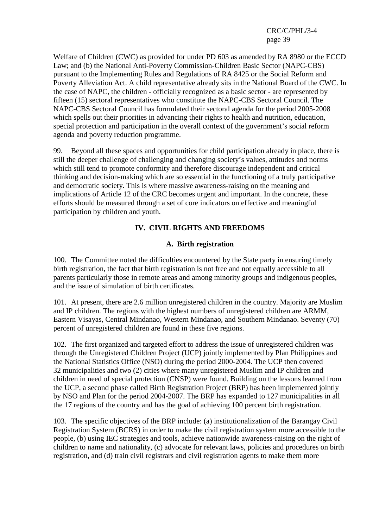Welfare of Children (CWC) as provided for under PD 603 as amended by RA 8980 or the ECCD Law; and (b) the National Anti-Poverty Commission-Children Basic Sector (NAPC-CBS) pursuant to the Implementing Rules and Regulations of RA 8425 or the Social Reform and Poverty Alleviation Act. A child representative already sits in the National Board of the CWC. In the case of NAPC, the children - officially recognized as a basic sector - are represented by fifteen (15) sectoral representatives who constitute the NAPC-CBS Sectoral Council. The NAPC-CBS Sectoral Council has formulated their sectoral agenda for the period 2005-2008 which spells out their priorities in advancing their rights to health and nutrition, education, special protection and participation in the overall context of the government's social reform agenda and poverty reduction programme.

99. Beyond all these spaces and opportunities for child participation already in place, there is still the deeper challenge of challenging and changing society's values, attitudes and norms which still tend to promote conformity and therefore discourage independent and critical thinking and decision-making which are so essential in the functioning of a truly participative and democratic society. This is where massive awareness-raising on the meaning and implications of Article 12 of the CRC becomes urgent and important. In the concrete, these efforts should be measured through a set of core indicators on effective and meaningful participation by children and youth.

# **IV. CIVIL RIGHTS AND FREEDOMS**

### **A. Birth registration**

100. The Committee noted the difficulties encountered by the State party in ensuring timely birth registration, the fact that birth registration is not free and not equally accessible to all parents particularly those in remote areas and among minority groups and indigenous peoples, and the issue of simulation of birth certificates.

101. At present, there are 2.6 million unregistered children in the country. Majority are Muslim and IP children. The regions with the highest numbers of unregistered children are ARMM, Eastern Visayas, Central Mindanao, Western Mindanao, and Southern Mindanao. Seventy (70) percent of unregistered children are found in these five regions.

102. The first organized and targeted effort to address the issue of unregistered children was through the Unregistered Children Project (UCP) jointly implemented by Plan Philippines and the National Statistics Office (NSO) during the period 2000-2004. The UCP then covered 32 municipalities and two (2) cities where many unregistered Muslim and IP children and children in need of special protection (CNSP) were found. Building on the lessons learned from the UCP, a second phase called Birth Registration Project (BRP) has been implemented jointly by NSO and Plan for the period 2004-2007. The BRP has expanded to 127 municipalities in all the 17 regions of the country and has the goal of achieving 100 percent birth registration.

103. The specific objectives of the BRP include: (a) institutionalization of the Barangay Civil Registration System (BCRS) in order to make the civil registration system more accessible to the people, (b) using IEC strategies and tools, achieve nationwide awareness-raising on the right of children to name and nationality, (c) advocate for relevant laws, policies and procedures on birth registration, and (d) train civil registrars and civil registration agents to make them more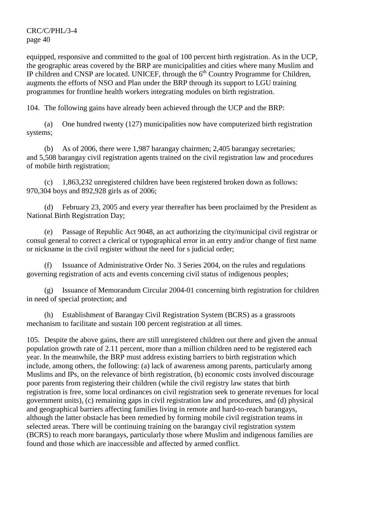equipped, responsive and committed to the goal of 100 percent birth registration. As in the UCP, the geographic areas covered by the BRP are municipalities and cities where many Muslim and IP children and CNSP are located. UNICEF, through the  $6<sup>th</sup>$  Country Programme for Children, augments the efforts of NSO and Plan under the BRP through its support to LGU training programmes for frontline health workers integrating modules on birth registration.

104. The following gains have already been achieved through the UCP and the BRP:

 (a) One hundred twenty (127) municipalities now have computerized birth registration systems;

 (b) As of 2006, there were 1,987 barangay chairmen; 2,405 barangay secretaries; and 5,508 barangay civil registration agents trained on the civil registration law and procedures of mobile birth registration;

 (c) 1,863,232 unregistered children have been registered broken down as follows: 970,304 boys and 892,928 girls as of 2006;

 (d) February 23, 2005 and every year thereafter has been proclaimed by the President as National Birth Registration Day;

 (e) Passage of Republic Act 9048, an act authorizing the city/municipal civil registrar or consul general to correct a clerical or typographical error in an entry and/or change of first name or nickname in the civil register without the need for s judicial order;

Issuance of Administrative Order No. 3 Series 2004, on the rules and regulations governing registration of acts and events concerning civil status of indigenous peoples;

 (g) Issuance of Memorandum Circular 2004-01 concerning birth registration for children in need of special protection; and

 (h) Establishment of Barangay Civil Registration System (BCRS) as a grassroots mechanism to facilitate and sustain 100 percent registration at all times.

105. Despite the above gains, there are still unregistered children out there and given the annual population growth rate of 2.11 percent, more than a million children need to be registered each year. In the meanwhile, the BRP must address existing barriers to birth registration which include, among others, the following: (a) lack of awareness among parents, particularly among Muslims and IPs, on the relevance of birth registration, (b) economic costs involved discourage poor parents from registering their children (while the civil registry law states that birth registration is free, some local ordinances on civil registration seek to generate revenues for local government units), (c) remaining gaps in civil registration law and procedures, and (d) physical and geographical barriers affecting families living in remote and hard-to-reach barangays, although the latter obstacle has been remedied by forming mobile civil registration teams in selected areas. There will be continuing training on the barangay civil registration system (BCRS) to reach more barangays, particularly those where Muslim and indigenous families are found and those which are inaccessible and affected by armed conflict.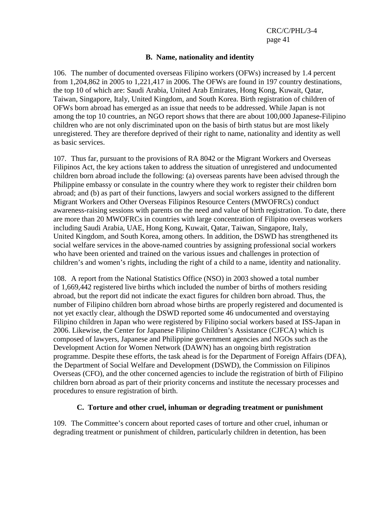#### **B. Name, nationality and identity**

106. The number of documented overseas Filipino workers (OFWs) increased by 1.4 percent from 1,204,862 in 2005 to 1,221,417 in 2006. The OFWs are found in 197 country destinations, the top 10 of which are: Saudi Arabia, United Arab Emirates, Hong Kong, Kuwait, Qatar, Taiwan, Singapore, Italy, United Kingdom, and South Korea. Birth registration of children of OFWs born abroad has emerged as an issue that needs to be addressed. While Japan is not among the top 10 countries, an NGO report shows that there are about 100,000 Japanese-Filipino children who are not only discriminated upon on the basis of birth status but are most likely unregistered. They are therefore deprived of their right to name, nationality and identity as well as basic services.

107. Thus far, pursuant to the provisions of RA 8042 or the Migrant Workers and Overseas Filipinos Act, the key actions taken to address the situation of unregistered and undocumented children born abroad include the following: (a) overseas parents have been advised through the Philippine embassy or consulate in the country where they work to register their children born abroad; and (b) as part of their functions, lawyers and social workers assigned to the different Migrant Workers and Other Overseas Filipinos Resource Centers (MWOFRCs) conduct awareness-raising sessions with parents on the need and value of birth registration. To date, there are more than 20 MWOFRCs in countries with large concentration of Filipino overseas workers including Saudi Arabia, UAE, Hong Kong, Kuwait, Qatar, Taiwan, Singapore, Italy, United Kingdom, and South Korea, among others. In addition, the DSWD has strengthened its social welfare services in the above-named countries by assigning professional social workers who have been oriented and trained on the various issues and challenges in protection of children's and women's rights, including the right of a child to a name, identity and nationality.

108. A report from the National Statistics Office (NSO) in 2003 showed a total number of 1,669,442 registered live births which included the number of births of mothers residing abroad, but the report did not indicate the exact figures for children born abroad. Thus, the number of Filipino children born abroad whose births are properly registered and documented is not yet exactly clear, although the DSWD reported some 46 undocumented and overstaying Filipino children in Japan who were registered by Filipino social workers based at ISS-Japan in 2006. Likewise, the Center for Japanese Filipino Children's Assistance (CJFCA) which is composed of lawyers, Japanese and Philippine government agencies and NGOs such as the Development Action for Women Network (DAWN) has an ongoing birth registration programme. Despite these efforts, the task ahead is for the Department of Foreign Affairs (DFA), the Department of Social Welfare and Development (DSWD), the Commission on Filipinos Overseas (CFO), and the other concerned agencies to include the registration of birth of Filipino children born abroad as part of their priority concerns and institute the necessary processes and procedures to ensure registration of birth.

#### **C. Torture and other cruel, inhuman or degrading treatment or punishment**

109. The Committee's concern about reported cases of torture and other cruel, inhuman or degrading treatment or punishment of children, particularly children in detention, has been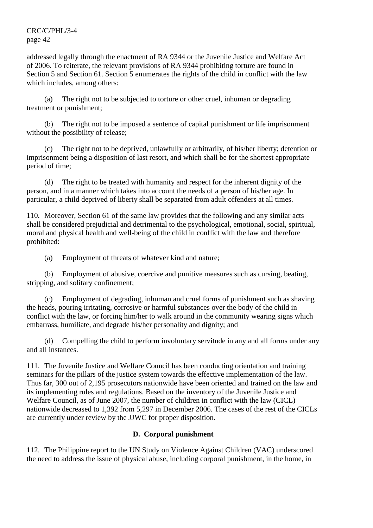addressed legally through the enactment of RA 9344 or the Juvenile Justice and Welfare Act of 2006. To reiterate, the relevant provisions of RA 9344 prohibiting torture are found in Section 5 and Section 61. Section 5 enumerates the rights of the child in conflict with the law which includes, among others:

 (a) The right not to be subjected to torture or other cruel, inhuman or degrading treatment or punishment;

 (b) The right not to be imposed a sentence of capital punishment or life imprisonment without the possibility of release;

 (c) The right not to be deprived, unlawfully or arbitrarily, of his/her liberty; detention or imprisonment being a disposition of last resort, and which shall be for the shortest appropriate period of time;

 (d) The right to be treated with humanity and respect for the inherent dignity of the person, and in a manner which takes into account the needs of a person of his/her age. In particular, a child deprived of liberty shall be separated from adult offenders at all times.

110. Moreover, Section 61 of the same law provides that the following and any similar acts shall be considered prejudicial and detrimental to the psychological, emotional, social, spiritual, moral and physical health and well-being of the child in conflict with the law and therefore prohibited:

(a) Employment of threats of whatever kind and nature;

 (b) Employment of abusive, coercive and punitive measures such as cursing, beating, stripping, and solitary confinement;

 (c) Employment of degrading, inhuman and cruel forms of punishment such as shaving the heads, pouring irritating, corrosive or harmful substances over the body of the child in conflict with the law, or forcing him/her to walk around in the community wearing signs which embarrass, humiliate, and degrade his/her personality and dignity; and

 (d) Compelling the child to perform involuntary servitude in any and all forms under any and all instances.

111. The Juvenile Justice and Welfare Council has been conducting orientation and training seminars for the pillars of the justice system towards the effective implementation of the law. Thus far, 300 out of 2,195 prosecutors nationwide have been oriented and trained on the law and its implementing rules and regulations. Based on the inventory of the Juvenile Justice and Welfare Council, as of June 2007, the number of children in conflict with the law (CICL) nationwide decreased to 1,392 from 5,297 in December 2006. The cases of the rest of the CICLs are currently under review by the JJWC for proper disposition.

# **D. Corporal punishment**

112. The Philippine report to the UN Study on Violence Against Children (VAC) underscored the need to address the issue of physical abuse, including corporal punishment, in the home, in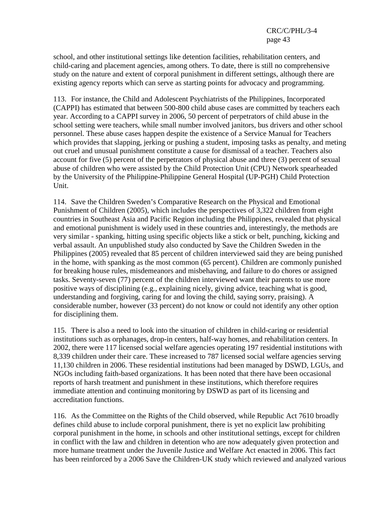school, and other institutional settings like detention facilities, rehabilitation centers, and child-caring and placement agencies, among others. To date, there is still no comprehensive study on the nature and extent of corporal punishment in different settings, although there are existing agency reports which can serve as starting points for advocacy and programming.

113. For instance, the Child and Adolescent Psychiatrists of the Philippines, Incorporated (CAPPI) has estimated that between 500-800 child abuse cases are committed by teachers each year. According to a CAPPI survey in 2006, 50 percent of perpetrators of child abuse in the school setting were teachers, while small number involved janitors, bus drivers and other school personnel. These abuse cases happen despite the existence of a Service Manual for Teachers which provides that slapping, jerking or pushing a student, imposing tasks as penalty, and meting out cruel and unusual punishment constitute a cause for dismissal of a teacher. Teachers also account for five (5) percent of the perpetrators of physical abuse and three (3) percent of sexual abuse of children who were assisted by the Child Protection Unit (CPU) Network spearheaded by the University of the Philippine-Philippine General Hospital (UP-PGH) Child Protection Unit.

114. Save the Children Sweden's Comparative Research on the Physical and Emotional Punishment of Children (2005), which includes the perspectives of 3,322 children from eight countries in Southeast Asia and Pacific Region including the Philippines, revealed that physical and emotional punishment is widely used in these countries and, interestingly, the methods are very similar - spanking, hitting using specific objects like a stick or belt, punching, kicking and verbal assault. An unpublished study also conducted by Save the Children Sweden in the Philippines (2005) revealed that 85 percent of children interviewed said they are being punished in the home, with spanking as the most common (65 percent). Children are commonly punished for breaking house rules, misdemeanors and misbehaving, and failure to do chores or assigned tasks. Seventy-seven (77) percent of the children interviewed want their parents to use more positive ways of disciplining (e.g., explaining nicely, giving advice, teaching what is good, understanding and forgiving, caring for and loving the child, saying sorry, praising). A considerable number, however (33 percent) do not know or could not identify any other option for disciplining them.

115. There is also a need to look into the situation of children in child-caring or residential institutions such as orphanages, drop-in centers, half-way homes, and rehabilitation centers. In 2002, there were 117 licensed social welfare agencies operating 197 residential institutions with 8,339 children under their care. These increased to 787 licensed social welfare agencies serving 11,130 children in 2006. These residential institutions had been managed by DSWD, LGUs, and NGOs including faith-based organizations. It has been noted that there have been occasional reports of harsh treatment and punishment in these institutions, which therefore requires immediate attention and continuing monitoring by DSWD as part of its licensing and accreditation functions.

116. As the Committee on the Rights of the Child observed, while Republic Act 7610 broadly defines child abuse to include corporal punishment, there is yet no explicit law prohibiting corporal punishment in the home, in schools and other institutional settings, except for children in conflict with the law and children in detention who are now adequately given protection and more humane treatment under the Juvenile Justice and Welfare Act enacted in 2006. This fact has been reinforced by a 2006 Save the Children-UK study which reviewed and analyzed various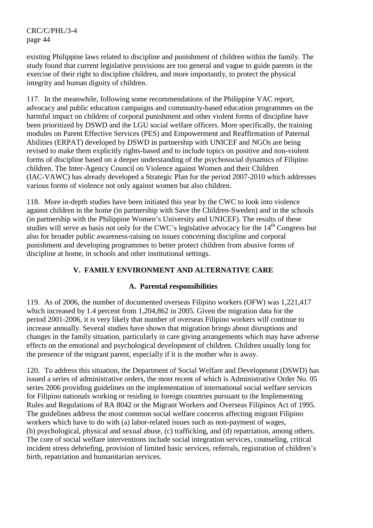existing Philippine laws related to discipline and punishment of children within the family. The study found that current legislative provisions are too general and vague to guide parents in the exercise of their right to discipline children, and more importantly, to protect the physical integrity and human dignity of children.

117. In the meanwhile, following some recommendations of the Philippine VAC report, advocacy and public education campaigns and community-based education programmes on the harmful impact on children of corporal punishment and other violent forms of discipline have been prioritized by DSWD and the LGU social welfare officers. More specifically, the training modules on Parent Effective Services (PES) and Empowerment and Reaffirmation of Paternal Abilities (ERPAT) developed by DSWD in partnership with UNICEF and NGOs are being revised to make them explicitly rights-based and to include topics on positive and non-violent forms of discipline based on a deeper understanding of the psychosocial dynamics of Filipino children. The Inter-Agency Council on Violence against Women and their Children (IAC-VAWC) has already developed a Strategic Plan for the period 2007-2010 which addresses various forms of violence not only against women but also children.

118. More in-depth studies have been initiated this year by the CWC to look into violence against children in the home (in partnership with Save the Children-Sweden) and in the schools (in partnership with the Philippine Women's University and UNICEF). The results of these studies will serve as basis not only for the CWC's legislative advocacy for the 14<sup>th</sup> Congress but also for broader public awareness-raising on issues concerning discipline and corporal punishment and developing programmes to better protect children from abusive forms of discipline at home, in schools and other institutional settings.

# **V. FAMILY ENVIRONMENT AND ALTERNATIVE CARE**

# **A. Parental responsibilities**

119. As of 2006, the number of documented overseas Filipino workers (OFW) was 1,221,417 which increased by 1.4 percent from 1,204,862 in 2005. Given the migration data for the period 2001-2006, it is very likely that number of overseas Filipino workers will continue to increase annually. Several studies have shown that migration brings about disruptions and changes in the family situation, particularly in care giving arrangements which may have adverse effects on the emotional and psychological development of children. Children usually long for the presence of the migrant parent, especially if it is the mother who is away.

120. To address this situation, the Department of Social Welfare and Development (DSWD) has issued a series of administrative orders, the most recent of which is Administrative Order No. 05 series 2006 providing guidelines on the implementation of international social welfare services for Filipino nationals working or residing in foreign countries pursuant to the Implementing Rules and Regulations of RA 8042 or the Migrant Workers and Overseas Filipinos Act of 1995. The guidelines address the most common social welfare concerns affecting migrant Filipino workers which have to do with (a) labor-related issues such as non-payment of wages, (b) psychological, physical and sexual abuse, (c) trafficking, and (d) repatriation, among others. The core of social welfare interventions include social integration services, counseling, critical incident stress debriefing, provision of limited basic services, referrals, registration of children's birth, repatriation and humanitarian services.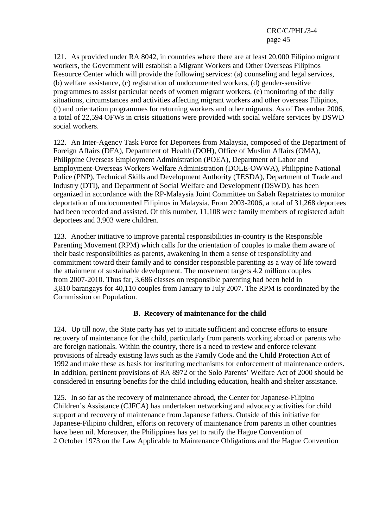121. As provided under RA 8042, in countries where there are at least 20,000 Filipino migrant workers, the Government will establish a Migrant Workers and Other Overseas Filipinos Resource Center which will provide the following services: (a) counseling and legal services, (b) welfare assistance, (c) registration of undocumented workers, (d) gender-sensitive programmes to assist particular needs of women migrant workers, (e) monitoring of the daily situations, circumstances and activities affecting migrant workers and other overseas Filipinos, (f) and orientation programmes for returning workers and other migrants. As of December 2006, a total of 22,594 OFWs in crisis situations were provided with social welfare services by DSWD social workers.

122. An Inter-Agency Task Force for Deportees from Malaysia, composed of the Department of Foreign Affairs (DFA), Department of Health (DOH), Office of Muslim Affairs (OMA), Philippine Overseas Employment Administration (POEA), Department of Labor and Employment-Overseas Workers Welfare Administration (DOLE-OWWA), Philippine National Police (PNP), Technical Skills and Development Authority (TESDA), Department of Trade and Industry (DTI), and Department of Social Welfare and Development (DSWD), has been organized in accordance with the RP-Malaysia Joint Committee on Sabah Repatriates to monitor deportation of undocumented Filipinos in Malaysia. From 2003-2006, a total of 31,268 deportees had been recorded and assisted. Of this number, 11,108 were family members of registered adult deportees and 3,903 were children.

123. Another initiative to improve parental responsibilities in-country is the Responsible Parenting Movement (RPM) which calls for the orientation of couples to make them aware of their basic responsibilities as parents, awakening in them a sense of responsibility and commitment toward their family and to consider responsible parenting as a way of life toward the attainment of sustainable development. The movement targets 4.2 million couples from 2007-2010. Thus far, 3,686 classes on responsible parenting had been held in 3,810 barangays for 40,110 couples from January to July 2007. The RPM is coordinated by the Commission on Population.

## **B. Recovery of maintenance for the child**

124. Up till now, the State party has yet to initiate sufficient and concrete efforts to ensure recovery of maintenance for the child, particularly from parents working abroad or parents who are foreign nationals. Within the country, there is a need to review and enforce relevant provisions of already existing laws such as the Family Code and the Child Protection Act of 1992 and make these as basis for instituting mechanisms for enforcement of maintenance orders. In addition, pertinent provisions of RA 8972 or the Solo Parents' Welfare Act of 2000 should be considered in ensuring benefits for the child including education, health and shelter assistance.

125. In so far as the recovery of maintenance abroad, the Center for Japanese-Filipino Children's Assistance (CJFCA) has undertaken networking and advocacy activities for child support and recovery of maintenance from Japanese fathers. Outside of this initiative for Japanese-Filipino children, efforts on recovery of maintenance from parents in other countries have been nil. Moreover, the Philippines has yet to ratify the Hague Convention of 2 October 1973 on the Law Applicable to Maintenance Obligations and the Hague Convention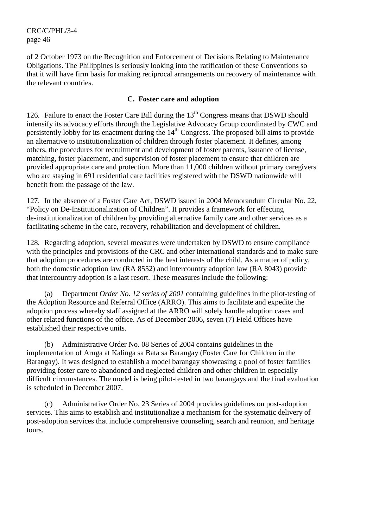of 2 October 1973 on the Recognition and Enforcement of Decisions Relating to Maintenance Obligations. The Philippines is seriously looking into the ratification of these Conventions so that it will have firm basis for making reciprocal arrangements on recovery of maintenance with the relevant countries.

## **C. Foster care and adoption**

126. Failure to enact the Foster Care Bill during the  $13<sup>th</sup>$  Congress means that DSWD should intensify its advocacy efforts through the Legislative Advocacy Group coordinated by CWC and persistently lobby for its enactment during the 14<sup>th</sup> Congress. The proposed bill aims to provide an alternative to institutionalization of children through foster placement. It defines, among others, the procedures for recruitment and development of foster parents, issuance of license, matching, foster placement, and supervision of foster placement to ensure that children are provided appropriate care and protection. More than 11,000 children without primary caregivers who are staying in 691 residential care facilities registered with the DSWD nationwide will benefit from the passage of the law.

127. In the absence of a Foster Care Act, DSWD issued in 2004 Memorandum Circular No. 22, "Policy on De-Institutionalization of Children". It provides a framework for effecting de-institutionalization of children by providing alternative family care and other services as a facilitating scheme in the care, recovery, rehabilitation and development of children.

128. Regarding adoption, several measures were undertaken by DSWD to ensure compliance with the principles and provisions of the CRC and other international standards and to make sure that adoption procedures are conducted in the best interests of the child. As a matter of policy, both the domestic adoption law (RA 8552) and intercountry adoption law (RA 8043) provide that intercountry adoption is a last resort. These measures include the following:

Department *Order No. 12 series of 2001* containing guidelines in the pilot-testing of the Adoption Resource and Referral Office (ARRO). This aims to facilitate and expedite the adoption process whereby staff assigned at the ARRO will solely handle adoption cases and other related functions of the office. As of December 2006, seven (7) Field Offices have established their respective units.

 (b) Administrative Order No. 08 Series of 2004 contains guidelines in the implementation of Aruga at Kalinga sa Bata sa Barangay (Foster Care for Children in the Barangay). It was designed to establish a model barangay showcasing a pool of foster families providing foster care to abandoned and neglected children and other children in especially difficult circumstances. The model is being pilot-tested in two barangays and the final evaluation is scheduled in December 2007.

 (c) Administrative Order No. 23 Series of 2004 provides guidelines on post-adoption services. This aims to establish and institutionalize a mechanism for the systematic delivery of post-adoption services that include comprehensive counseling, search and reunion, and heritage tours.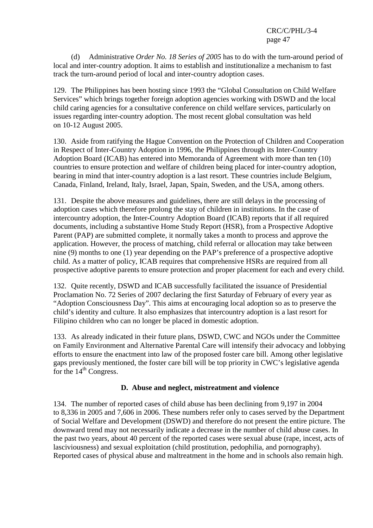(d) Administrative *Order No. 18 Series of 2005* has to do with the turn-around period of local and inter-country adoption. It aims to establish and institutionalize a mechanism to fast track the turn-around period of local and inter-country adoption cases.

129. The Philippines has been hosting since 1993 the "Global Consultation on Child Welfare Services" which brings together foreign adoption agencies working with DSWD and the local child caring agencies for a consultative conference on child welfare services, particularly on issues regarding inter-country adoption. The most recent global consultation was held on 10-12 August 2005.

130. Aside from ratifying the Hague Convention on the Protection of Children and Cooperation in Respect of Inter-Country Adoption in 1996, the Philippines through its Inter-Country Adoption Board (ICAB) has entered into Memoranda of Agreement with more than ten (10) countries to ensure protection and welfare of children being placed for inter-country adoption, bearing in mind that inter-country adoption is a last resort. These countries include Belgium, Canada, Finland, Ireland, Italy, Israel, Japan, Spain, Sweden, and the USA, among others.

131. Despite the above measures and guidelines, there are still delays in the processing of adoption cases which therefore prolong the stay of children in institutions. In the case of intercountry adoption, the Inter-Country Adoption Board (ICAB) reports that if all required documents, including a substantive Home Study Report (HSR), from a Prospective Adoptive Parent (PAP) are submitted complete, it normally takes a month to process and approve the application. However, the process of matching, child referral or allocation may take between nine (9) months to one (1) year depending on the PAP's preference of a prospective adoptive child. As a matter of policy, ICAB requires that comprehensive HSRs are required from all prospective adoptive parents to ensure protection and proper placement for each and every child.

132. Quite recently, DSWD and ICAB successfully facilitated the issuance of Presidential Proclamation No. 72 Series of 2007 declaring the first Saturday of February of every year as "Adoption Consciousness Day". This aims at encouraging local adoption so as to preserve the child's identity and culture. It also emphasizes that intercountry adoption is a last resort for Filipino children who can no longer be placed in domestic adoption.

133. As already indicated in their future plans, DSWD, CWC and NGOs under the Committee on Family Environment and Alternative Parental Care will intensify their advocacy and lobbying efforts to ensure the enactment into law of the proposed foster care bill. Among other legislative gaps previously mentioned, the foster care bill will be top priority in CWC's legislative agenda for the  $14<sup>th</sup>$  Congress.

## **D. Abuse and neglect, mistreatment and violence**

134. The number of reported cases of child abuse has been declining from 9,197 in 2004 to 8,336 in 2005 and 7,606 in 2006. These numbers refer only to cases served by the Department of Social Welfare and Development (DSWD) and therefore do not present the entire picture. The downward trend may not necessarily indicate a decrease in the number of child abuse cases. In the past two years, about 40 percent of the reported cases were sexual abuse (rape, incest, acts of lasciviousness) and sexual exploitation (child prostitution, pedophilia, and pornography). Reported cases of physical abuse and maltreatment in the home and in schools also remain high.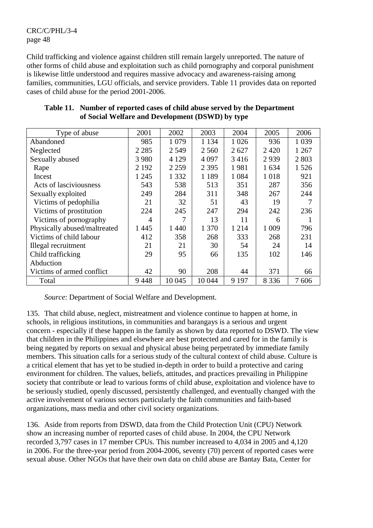Child trafficking and violence against children still remain largely unreported. The nature of other forms of child abuse and exploitation such as child pornography and corporal punishment is likewise little understood and requires massive advocacy and awareness-raising among families, communities, LGU officials, and service providers. Table 11 provides data on reported cases of child abuse for the period 2001-2006.

| Type of abuse                | 2001    | 2002    | 2003    | 2004    | 2005    | 2006    |
|------------------------------|---------|---------|---------|---------|---------|---------|
| Abandoned                    | 985     | 1 0 7 9 | 1 1 3 4 | 1 0 2 6 | 936     | 1 0 3 9 |
| Neglected                    | 2 2 8 5 | 2 5 4 9 | 2 5 6 0 | 2627    | 2420    | 1 2 6 7 |
| Sexually abused              | 3 9 8 0 | 4 1 2 9 | 4 0 9 7 | 3416    | 2939    | 2 8 0 3 |
| Rape                         | 2 1 9 2 | 2 2 5 9 | 2 3 9 5 | 1981    | 1 634   | 1526    |
| Incest                       | 1 2 4 5 | 1 3 3 2 | 1 1 8 9 | 1 0 8 4 | 1018    | 921     |
| Acts of lasciviousness       | 543     | 538     | 513     | 351     | 287     | 356     |
| Sexually exploited           | 249     | 284     | 311     | 348     | 267     | 244     |
| Victims of pedophilia        | 21      | 32      | 51      | 43      | 19      |         |
| Victims of prostitution      | 224     | 245     | 247     | 294     | 242     | 236     |
| Victims of pornography       | 4       |         | 13      | 11      | 6       |         |
| Physically abused/maltreated | 1445    | 1440    | 1 3 7 0 | 1 2 1 4 | 1 0 0 9 | 796     |
| Victims of child labour      | 412     | 358     | 268     | 333     | 268     | 231     |
| Illegal recruitment          | 21      | 21      | 30      | 54      | 24      | 14      |
| Child trafficking            | 29      | 95      | 66      | 135     | 102     | 146     |
| Abduction                    |         |         |         |         |         |         |
| Victims of armed conflict    | 42      | 90      | 208     | 44      | 371     | 66      |
| Total                        | 9448    | 10 045  | 10 044  | 9 1 9 7 | 8 3 3 6 | 7606    |

#### **Table 11. Number of reported cases of child abuse served by the Department of Social Welfare and Development (DSWD) by type**

 *Source*: Department of Social Welfare and Development.

135. That child abuse, neglect, mistreatment and violence continue to happen at home, in schools, in religious institutions, in communities and barangays is a serious and urgent concern - especially if these happen in the family as shown by data reported to DSWD. The view that children in the Philippines and elsewhere are best protected and cared for in the family is being negated by reports on sexual and physical abuse being perpetrated by immediate family members. This situation calls for a serious study of the cultural context of child abuse. Culture is a critical element that has yet to be studied in-depth in order to build a protective and caring environment for children. The values, beliefs, attitudes, and practices prevailing in Philippine society that contribute or lead to various forms of child abuse, exploitation and violence have to be seriously studied, openly discussed, persistently challenged, and eventually changed with the active involvement of various sectors particularly the faith communities and faith-based organizations, mass media and other civil society organizations.

136. Aside from reports from DSWD, data from the Child Protection Unit (CPU) Network show an increasing number of reported cases of child abuse. In 2004, the CPU Network recorded 3,797 cases in 17 member CPUs. This number increased to 4,034 in 2005 and 4,120 in 2006. For the three-year period from 2004-2006, seventy (70) percent of reported cases were sexual abuse. Other NGOs that have their own data on child abuse are Bantay Bata, Center for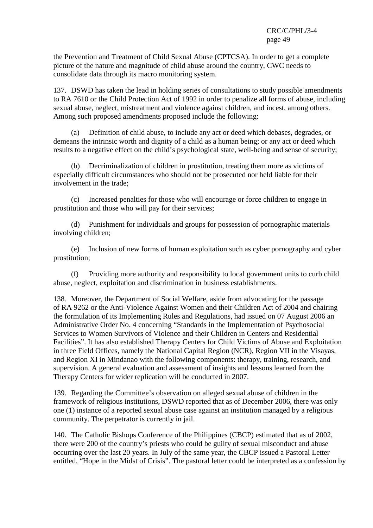the Prevention and Treatment of Child Sexual Abuse (CPTCSA). In order to get a complete picture of the nature and magnitude of child abuse around the country, CWC needs to consolidate data through its macro monitoring system.

137. DSWD has taken the lead in holding series of consultations to study possible amendments to RA 7610 or the Child Protection Act of 1992 in order to penalize all forms of abuse, including sexual abuse, neglect, mistreatment and violence against children, and incest, among others. Among such proposed amendments proposed include the following:

 (a) Definition of child abuse, to include any act or deed which debases, degrades, or demeans the intrinsic worth and dignity of a child as a human being; or any act or deed which results to a negative effect on the child's psychological state, well-being and sense of security;

 (b) Decriminalization of children in prostitution, treating them more as victims of especially difficult circumstances who should not be prosecuted nor held liable for their involvement in the trade;

 (c) Increased penalties for those who will encourage or force children to engage in prostitution and those who will pay for their services;

 (d) Punishment for individuals and groups for possession of pornographic materials involving children;

 (e) Inclusion of new forms of human exploitation such as cyber pornography and cyber prostitution;

 (f) Providing more authority and responsibility to local government units to curb child abuse, neglect, exploitation and discrimination in business establishments.

138. Moreover, the Department of Social Welfare, aside from advocating for the passage of RA 9262 or the Anti-Violence Against Women and their Children Act of 2004 and chairing the formulation of its Implementing Rules and Regulations, had issued on 07 August 2006 an Administrative Order No. 4 concerning "Standards in the Implementation of Psychosocial Services to Women Survivors of Violence and their Children in Centers and Residential Facilities". It has also established Therapy Centers for Child Victims of Abuse and Exploitation in three Field Offices, namely the National Capital Region (NCR), Region VII in the Visayas, and Region XI in Mindanao with the following components: therapy, training, research, and supervision. A general evaluation and assessment of insights and lessons learned from the Therapy Centers for wider replication will be conducted in 2007.

139. Regarding the Committee's observation on alleged sexual abuse of children in the framework of religious institutions, DSWD reported that as of December 2006, there was only one (1) instance of a reported sexual abuse case against an institution managed by a religious community. The perpetrator is currently in jail.

140. The Catholic Bishops Conference of the Philippines (CBCP) estimated that as of 2002, there were 200 of the country's priests who could be guilty of sexual misconduct and abuse occurring over the last 20 years. In July of the same year, the CBCP issued a Pastoral Letter entitled, "Hope in the Midst of Crisis". The pastoral letter could be interpreted as a confession by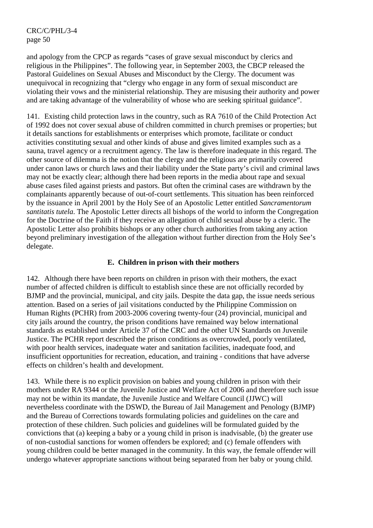and apology from the CPCP as regards "cases of grave sexual misconduct by clerics and religious in the Philippines". The following year, in September 2003, the CBCP released the Pastoral Guidelines on Sexual Abuses and Misconduct by the Clergy. The document was unequivocal in recognizing that "clergy who engage in any form of sexual misconduct are violating their vows and the ministerial relationship. They are misusing their authority and power and are taking advantage of the vulnerability of whose who are seeking spiritual guidance".

141. Existing child protection laws in the country, such as RA 7610 of the Child Protection Act of 1992 does not cover sexual abuse of children committed in church premises or properties; but it details sanctions for establishments or enterprises which promote, facilitate or conduct activities constituting sexual and other kinds of abuse and gives limited examples such as a sauna, travel agency or a recruitment agency. The law is therefore inadequate in this regard. The other source of dilemma is the notion that the clergy and the religious are primarily covered under canon laws or church laws and their liability under the State party's civil and criminal laws may not be exactly clear; although there had been reports in the media about rape and sexual abuse cases filed against priests and pastors. But often the criminal cases are withdrawn by the complainants apparently because of out-of-court settlements. This situation has been reinforced by the issuance in April 2001 by the Holy See of an Apostolic Letter entitled *Sancramentorum santitatis tutela*. The Apostolic Letter directs all bishops of the world to inform the Congregation for the Doctrine of the Faith if they receive an allegation of child sexual abuse by a cleric. The Apostolic Letter also prohibits bishops or any other church authorities from taking any action beyond preliminary investigation of the allegation without further direction from the Holy See's delegate.

## **E. Children in prison with their mothers**

142. Although there have been reports on children in prison with their mothers, the exact number of affected children is difficult to establish since these are not officially recorded by BJMP and the provincial, municipal, and city jails. Despite the data gap, the issue needs serious attention. Based on a series of jail visitations conducted by the Philippine Commission on Human Rights (PCHR) from 2003-2006 covering twenty-four (24) provincial, municipal and city jails around the country, the prison conditions have remained way below international standards as established under Article 37 of the CRC and the other UN Standards on Juvenile Justice. The PCHR report described the prison conditions as overcrowded, poorly ventilated, with poor health services, inadequate water and sanitation facilities, inadequate food, and insufficient opportunities for recreation, education, and training - conditions that have adverse effects on children's health and development.

143. While there is no explicit provision on babies and young children in prison with their mothers under RA 9344 or the Juvenile Justice and Welfare Act of 2006 and therefore such issue may not be within its mandate, the Juvenile Justice and Welfare Council (JJWC) will nevertheless coordinate with the DSWD, the Bureau of Jail Management and Penology (BJMP) and the Bureau of Corrections towards formulating policies and guidelines on the care and protection of these children. Such policies and guidelines will be formulated guided by the convictions that (a) keeping a baby or a young child in prison is inadvisable, (b) the greater use of non-custodial sanctions for women offenders be explored; and (c) female offenders with young children could be better managed in the community. In this way, the female offender will undergo whatever appropriate sanctions without being separated from her baby or young child.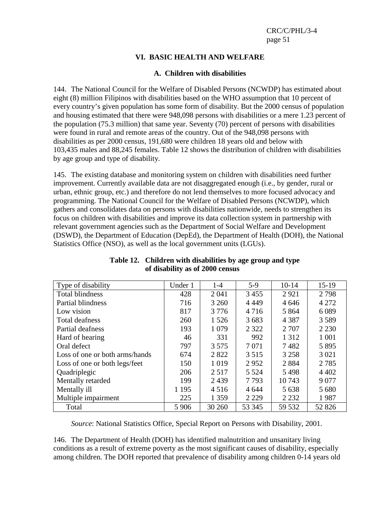### **VI. BASIC HEALTH AND WELFARE**

#### **A. Children with disabilities**

144. The National Council for the Welfare of Disabled Persons (NCWDP) has estimated about eight (8) million Filipinos with disabilities based on the WHO assumption that 10 percent of every country's given population has some form of disability. But the 2000 census of population and housing estimated that there were 948,098 persons with disabilities or a mere 1.23 percent of the population (75.3 million) that same year. Seventy (70) percent of persons with disabilities were found in rural and remote areas of the country. Out of the 948,098 persons with disabilities as per 2000 census, 191,680 were children 18 years old and below with 103,435 males and 88,245 females. Table 12 shows the distribution of children with disabilities by age group and type of disability.

145. The existing database and monitoring system on children with disabilities need further improvement. Currently available data are not disaggregated enough (i.e., by gender, rural or urban, ethnic group, etc.) and therefore do not lend themselves to more focused advocacy and programming. The National Council for the Welfare of Disabled Persons (NCWDP), which gathers and consolidates data on persons with disabilities nationwide, needs to strengthen its focus on children with disabilities and improve its data collection system in partnership with relevant government agencies such as the Department of Social Welfare and Development (DSWD), the Department of Education (DepEd), the Department of Health (DOH), the National Statistics Office (NSO), as well as the local government units (LGUs).

| Type of disability             | Under 1 | 1-4     | $5-9$   | $10-14$ | $15-19$ |
|--------------------------------|---------|---------|---------|---------|---------|
| <b>Total blindness</b>         | 428     | 2 0 4 1 | 3455    | 2921    | 2798    |
| Partial blindness              | 716     | 3 2 6 0 | 4 4 4 9 | 4646    | 4 2 7 2 |
| Low vision                     | 817     | 3 7 7 6 | 4716    | 5 8 6 4 | 6089    |
| Total deafness                 | 260     | 1 5 2 6 | 3683    | 4 3 8 7 | 3589    |
| Partial deafness               | 193     | 1 0 7 9 | 2 3 2 2 | 2 7 0 7 | 2 2 3 0 |
| Hard of hearing                | 46      | 331     | 992     | 1 3 1 2 | 1 0 0 1 |
| Oral defect                    | 797     | 3 5 7 5 | 7 0 7 1 | 7482    | 5895    |
| Loss of one or both arms/hands | 674     | 2822    | 3 5 1 5 | 3 2 5 8 | 3 0 2 1 |
| Loss of one or both legs/feet  | 150     | 1019    | 2952    | 2884    | 2 7 8 5 |
| Quadriplegic                   | 206     | 2517    | 5 5 2 4 | 5498    | 4 4 0 2 |
| Mentally retarded              | 199     | 2439    | 7793    | 10743   | 9 0 7 7 |
| Mentally ill                   | 1 1 9 5 | 4 5 1 6 | 4 6 4 4 | 5 6 3 8 | 5 680   |
| Multiple impairment            | 225     | 1 3 5 9 | 2 2 2 9 | 2 2 3 2 | 1987    |
| Total                          | 5 9 0 6 | 30 260  | 53 345  | 59 532  | 52 826  |

**Table 12. Children with disabilities by age group and type of disability as of 2000 census** 

*Source*: National Statistics Office, Special Report on Persons with Disability, 2001.

146. The Department of Health (DOH) has identified malnutrition and unsanitary living conditions as a result of extreme poverty as the most significant causes of disability, especially among children. The DOH reported that prevalence of disability among children 0-14 years old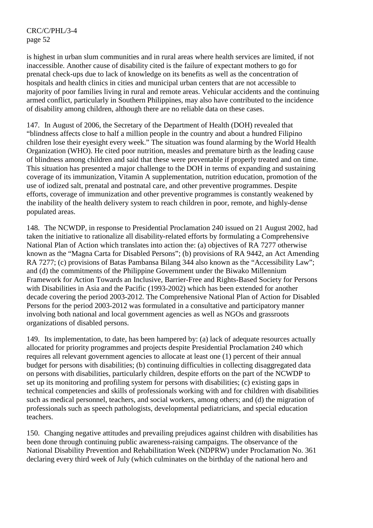is highest in urban slum communities and in rural areas where health services are limited, if not inaccessible. Another cause of disability cited is the failure of expectant mothers to go for prenatal check-ups due to lack of knowledge on its benefits as well as the concentration of hospitals and health clinics in cities and municipal urban centers that are not accessible to majority of poor families living in rural and remote areas. Vehicular accidents and the continuing armed conflict, particularly in Southern Philippines, may also have contributed to the incidence of disability among children, although there are no reliable data on these cases.

147. In August of 2006, the Secretary of the Department of Health (DOH) revealed that "blindness affects close to half a million people in the country and about a hundred Filipino children lose their eyesight every week." The situation was found alarming by the World Health Organization (WHO). He cited poor nutrition, measles and premature birth as the leading cause of blindness among children and said that these were preventable if properly treated and on time. This situation has presented a major challenge to the DOH in terms of expanding and sustaining coverage of its immunization, Vitamin A supplementation, nutrition education, promotion of the use of iodized salt, prenatal and postnatal care, and other preventive programmes. Despite efforts, coverage of immunization and other preventive programmes is constantly weakened by the inability of the health delivery system to reach children in poor, remote, and highly-dense populated areas.

148. The NCWDP, in response to Presidential Proclamation 240 issued on 21 August 2002, had taken the initiative to rationalize all disability-related efforts by formulating a Comprehensive National Plan of Action which translates into action the: (a) objectives of RA 7277 otherwise known as the "Magna Carta for Disabled Persons"; (b) provisions of RA 9442, an Act Amending RA 7277; (c) provisions of Batas Pambansa Bilang 344 also known as the "Accessibility Law"; and (d) the commitments of the Philippine Government under the Biwako Millennium Framework for Action Towards an Inclusive, Barrier-Free and Rights-Based Society for Persons with Disabilities in Asia and the Pacific (1993-2002) which has been extended for another decade covering the period 2003-2012. The Comprehensive National Plan of Action for Disabled Persons for the period 2003-2012 was formulated in a consultative and participatory manner involving both national and local government agencies as well as NGOs and grassroots organizations of disabled persons.

149. Its implementation, to date, has been hampered by: (a) lack of adequate resources actually allocated for priority programmes and projects despite Presidential Proclamation 240 which requires all relevant government agencies to allocate at least one (1) percent of their annual budget for persons with disabilities; (b) continuing difficulties in collecting disaggregated data on persons with disabilities, particularly children, despite efforts on the part of the NCWDP to set up its monitoring and profiling system for persons with disabilities; (c) existing gaps in technical competencies and skills of professionals working with and for children with disabilities such as medical personnel, teachers, and social workers, among others; and (d) the migration of professionals such as speech pathologists, developmental pediatricians, and special education teachers.

150. Changing negative attitudes and prevailing prejudices against children with disabilities has been done through continuing public awareness-raising campaigns. The observance of the National Disability Prevention and Rehabilitation Week (NDPRW) under Proclamation No. 361 declaring every third week of July (which culminates on the birthday of the national hero and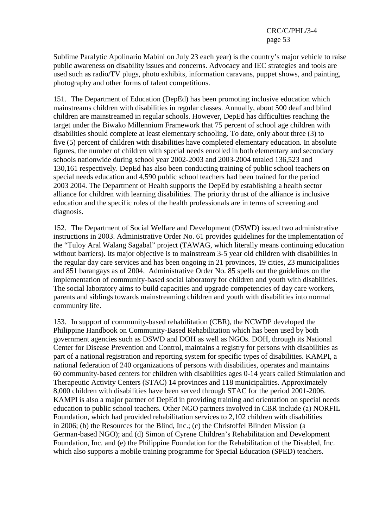Sublime Paralytic Apolinario Mabini on July 23 each year) is the country's major vehicle to raise public awareness on disability issues and concerns. Advocacy and IEC strategies and tools are used such as radio/TV plugs, photo exhibits, information caravans, puppet shows, and painting, photography and other forms of talent competitions.

151. The Department of Education (DepEd) has been promoting inclusive education which mainstreams children with disabilities in regular classes. Annually, about 500 deaf and blind children are mainstreamed in regular schools. However, DepEd has difficulties reaching the target under the Biwako Millennium Framework that 75 percent of school age children with disabilities should complete at least elementary schooling. To date, only about three (3) to five (5) percent of children with disabilities have completed elementary education. In absolute figures, the number of children with special needs enrolled in both elementary and secondary schools nationwide during school year 2002-2003 and 2003-2004 totaled 136,523 and 130,161 respectively. DepEd has also been conducting training of public school teachers on special needs education and 4,590 public school teachers had been trained for the period 2003 2004. The Department of Health supports the DepEd by establishing a health sector alliance for children with learning disabilities. The priority thrust of the alliance is inclusive education and the specific roles of the health professionals are in terms of screening and diagnosis.

152. The Department of Social Welfare and Development (DSWD) issued two administrative instructions in 2003. Administrative Order No. 61 provides guidelines for the implementation of the "Tuloy Aral Walang Sagabal" project (TAWAG, which literally means continuing education without barriers). Its major objective is to mainstream 3-5 year old children with disabilities in the regular day care services and has been ongoing in 21 provinces, 19 cities, 23 municipalities and 851 barangays as of 2004. Administrative Order No. 85 spells out the guidelines on the implementation of community-based social laboratory for children and youth with disabilities. The social laboratory aims to build capacities and upgrade competencies of day care workers, parents and siblings towards mainstreaming children and youth with disabilities into normal community life.

153. In support of community-based rehabilitation (CBR), the NCWDP developed the Philippine Handbook on Community-Based Rehabilitation which has been used by both government agencies such as DSWD and DOH as well as NGOs. DOH, through its National Center for Disease Prevention and Control, maintains a registry for persons with disabilities as part of a national registration and reporting system for specific types of disabilities. KAMPI, a national federation of 240 organizations of persons with disabilities, operates and maintains 60 community-based centers for children with disabilities ages 0-14 years called Stimulation and Therapeutic Activity Centers (STAC) 14 provinces and 118 municipalities. Approximately 8,000 children with disabilities have been served through STAC for the period 2001-2006. KAMPI is also a major partner of DepEd in providing training and orientation on special needs education to public school teachers. Other NGO partners involved in CBR include (a) NORFIL Foundation, which had provided rehabilitation services to 2,102 children with disabilities in 2006; (b) the Resources for the Blind, Inc.; (c) the Christoffel Blinden Mission (a German-based NGO); and (d) Simon of Cyrene Children's Rehabilitation and Development Foundation, Inc. and (e) the Philippine Foundation for the Rehabilitation of the Disabled, Inc. which also supports a mobile training programme for Special Education (SPED) teachers.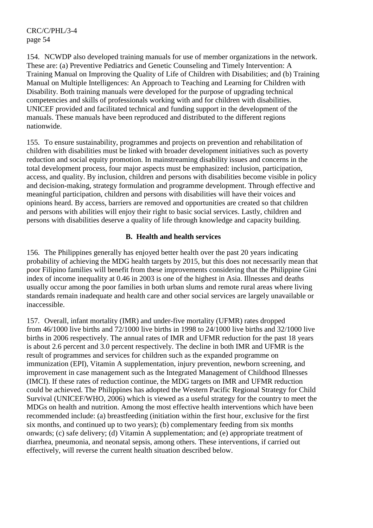154. NCWDP also developed training manuals for use of member organizations in the network. These are: (a) Preventive Pediatrics and Genetic Counseling and Timely Intervention: A Training Manual on Improving the Quality of Life of Children with Disabilities; and (b) Training Manual on Multiple Intelligences: An Approach to Teaching and Learning for Children with Disability. Both training manuals were developed for the purpose of upgrading technical competencies and skills of professionals working with and for children with disabilities. UNICEF provided and facilitated technical and funding support in the development of the manuals. These manuals have been reproduced and distributed to the different regions nationwide.

155. To ensure sustainability, programmes and projects on prevention and rehabilitation of children with disabilities must be linked with broader development initiatives such as poverty reduction and social equity promotion. In mainstreaming disability issues and concerns in the total development process, four major aspects must be emphasized: inclusion, participation, access, and quality. By inclusion, children and persons with disabilities become visible in policy and decision-making, strategy formulation and programme development. Through effective and meaningful participation, children and persons with disabilities will have their voices and opinions heard. By access, barriers are removed and opportunities are created so that children and persons with abilities will enjoy their right to basic social services. Lastly, children and persons with disabilities deserve a quality of life through knowledge and capacity building.

### **B. Health and health services**

156. The Philippines generally has enjoyed better health over the past 20 years indicating probability of achieving the MDG health targets by 2015, but this does not necessarily mean that poor Filipino families will benefit from these improvements considering that the Philippine Gini index of income inequality at 0.46 in 2003 is one of the highest in Asia. Illnesses and deaths usually occur among the poor families in both urban slums and remote rural areas where living standards remain inadequate and health care and other social services are largely unavailable or inaccessible.

157. Overall, infant mortality (IMR) and under-five mortality (UFMR) rates dropped from 46/1000 live births and 72/1000 live births in 1998 to 24/1000 live births and 32/1000 live births in 2006 respectively. The annual rates of IMR and UFMR reduction for the past 18 years is about 2.6 percent and 3.0 percent respectively. The decline in both IMR and UFMR is the result of programmes and services for children such as the expanded programme on immunization (EPI), Vitamin A supplementation, injury prevention, newborn screening, and improvement in case management such as the Integrated Management of Childhood Illnesses (IMCI). If these rates of reduction continue, the MDG targets on IMR and UFMR reduction could be achieved. The Philippines has adopted the Western Pacific Regional Strategy for Child Survival (UNICEF/WHO, 2006) which is viewed as a useful strategy for the country to meet the MDGs on health and nutrition. Among the most effective health interventions which have been recommended include: (a) breastfeeding (initiation within the first hour, exclusive for the first six months, and continued up to two years); (b) complementary feeding from six months onwards; (c) safe delivery; (d) Vitamin A supplementation; and (e) appropriate treatment of diarrhea, pneumonia, and neonatal sepsis, among others. These interventions, if carried out effectively, will reverse the current health situation described below.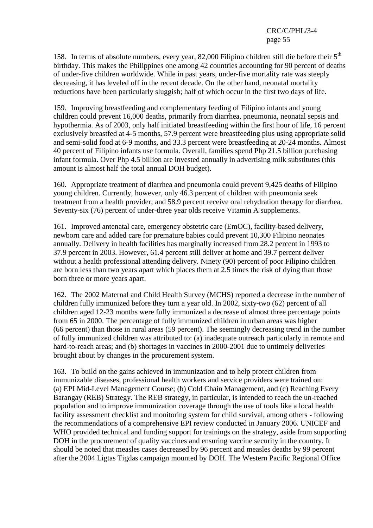158. In terms of absolute numbers, every year, 82,000 Filipino children still die before their  $5<sup>th</sup>$ birthday. This makes the Philippines one among 42 countries accounting for 90 percent of deaths of under-five children worldwide. While in past years, under-five mortality rate was steeply decreasing, it has leveled off in the recent decade. On the other hand, neonatal mortality reductions have been particularly sluggish; half of which occur in the first two days of life.

159. Improving breastfeeding and complementary feeding of Filipino infants and young children could prevent 16,000 deaths, primarily from diarrhea, pneumonia, neonatal sepsis and hypothermia. As of 2003, only half initiated breastfeeding within the first hour of life, 16 percent exclusively breastfed at 4-5 months, 57.9 percent were breastfeeding plus using appropriate solid and semi-solid food at 6-9 months, and 33.3 percent were breastfeeding at 20-24 months. Almost 40 percent of Filipino infants use formula. Overall, families spend Php 21.5 billion purchasing infant formula. Over Php 4.5 billion are invested annually in advertising milk substitutes (this amount is almost half the total annual DOH budget).

160. Appropriate treatment of diarrhea and pneumonia could prevent 9,425 deaths of Filipino young children. Currently, however, only 46.3 percent of children with pneumonia seek treatment from a health provider; and 58.9 percent receive oral rehydration therapy for diarrhea. Seventy-six (76) percent of under-three year olds receive Vitamin A supplements.

161. Improved antenatal care, emergency obstetric care (EmOC), facility-based delivery, newborn care and added care for premature babies could prevent 10,300 Filipino neonates annually. Delivery in health facilities has marginally increased from 28.2 percent in 1993 to 37.9 percent in 2003. However, 61.4 percent still deliver at home and 39.7 percent deliver without a health professional attending delivery. Ninety (90) percent of poor Filipino children are born less than two years apart which places them at 2.5 times the risk of dying than those born three or more years apart.

162. The 2002 Maternal and Child Health Survey (MCHS) reported a decrease in the number of children fully immunized before they turn a year old. In 2002, sixty-two (62) percent of all children aged 12-23 months were fully immunized a decrease of almost three percentage points from 65 in 2000. The percentage of fully immunized children in urban areas was higher (66 percent) than those in rural areas (59 percent). The seemingly decreasing trend in the number of fully immunized children was attributed to: (a) inadequate outreach particularly in remote and hard-to-reach areas; and (b) shortages in vaccines in 2000-2001 due to untimely deliveries brought about by changes in the procurement system.

163. To build on the gains achieved in immunization and to help protect children from immunizable diseases, professional health workers and service providers were trained on: (a) EPI Mid-Level Management Course; (b) Cold Chain Management, and (c) Reaching Every Barangay (REB) Strategy. The REB strategy, in particular, is intended to reach the un-reached population and to improve immunization coverage through the use of tools like a local health facility assessment checklist and monitoring system for child survival, among others - following the recommendations of a comprehensive EPI review conducted in January 2006. UNICEF and WHO provided technical and funding support for trainings on the strategy, aside from supporting DOH in the procurement of quality vaccines and ensuring vaccine security in the country. It should be noted that measles cases decreased by 96 percent and measles deaths by 99 percent after the 2004 Ligtas Tigdas campaign mounted by DOH. The Western Pacific Regional Office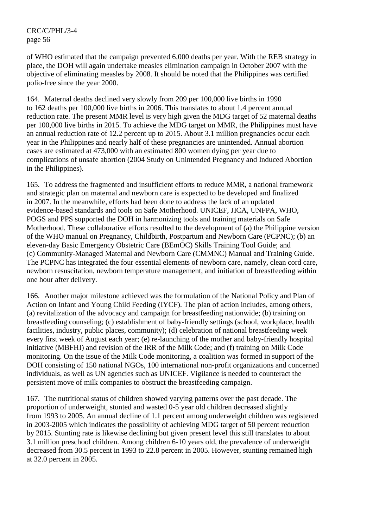of WHO estimated that the campaign prevented 6,000 deaths per year. With the REB strategy in place, the DOH will again undertake measles elimination campaign in October 2007 with the objective of eliminating measles by 2008. It should be noted that the Philippines was certified polio-free since the year 2000.

164. Maternal deaths declined very slowly from 209 per 100,000 live births in 1990 to 162 deaths per 100,000 live births in 2006. This translates to about 1.4 percent annual reduction rate. The present MMR level is very high given the MDG target of 52 maternal deaths per 100,000 live births in 2015. To achieve the MDG target on MMR, the Philippines must have an annual reduction rate of 12.2 percent up to 2015. About 3.1 million pregnancies occur each year in the Philippines and nearly half of these pregnancies are unintended. Annual abortion cases are estimated at 473,000 with an estimated 800 women dying per year due to complications of unsafe abortion (2004 Study on Unintended Pregnancy and Induced Abortion in the Philippines).

165. To address the fragmented and insufficient efforts to reduce MMR, a national framework and strategic plan on maternal and newborn care is expected to be developed and finalized in 2007. In the meanwhile, efforts had been done to address the lack of an updated evidence-based standards and tools on Safe Motherhood. UNICEF, JICA, UNFPA, WHO, POGS and PPS supported the DOH in harmonizing tools and training materials on Safe Motherhood. These collaborative efforts resulted to the development of (a) the Philippine version of the WHO manual on Pregnancy, Childbirth, Postpartum and Newborn Care (PCPNC); (b) an eleven-day Basic Emergency Obstetric Care (BEmOC) Skills Training Tool Guide; and (c) Community-Managed Maternal and Newborn Care (CMMNC) Manual and Training Guide. The PCPNC has integrated the four essential elements of newborn care, namely, clean cord care, newborn resuscitation, newborn temperature management, and initiation of breastfeeding within one hour after delivery.

166. Another major milestone achieved was the formulation of the National Policy and Plan of Action on Infant and Young Child Feeding (IYCF). The plan of action includes, among others, (a) revitalization of the advocacy and campaign for breastfeeding nationwide; (b) training on breastfeeding counseling; (c) establishment of baby-friendly settings (school, workplace, health facilities, industry, public places, community); (d) celebration of national breastfeeding week every first week of August each year; (e) re-launching of the mother and baby-friendly hospital initiative (MBFHI) and revision of the IRR of the Milk Code; and (f) training on Milk Code monitoring. On the issue of the Milk Code monitoring, a coalition was formed in support of the DOH consisting of 150 national NGOs, 100 international non-profit organizations and concerned individuals, as well as UN agencies such as UNICEF. Vigilance is needed to counteract the persistent move of milk companies to obstruct the breastfeeding campaign.

167. The nutritional status of children showed varying patterns over the past decade. The proportion of underweight, stunted and wasted 0-5 year old children decreased slightly from 1993 to 2005. An annual decline of 1.1 percent among underweight children was registered in 2003-2005 which indicates the possibility of achieving MDG target of 50 percent reduction by 2015. Stunting rate is likewise declining but given present level this still translates to about 3.1 million preschool children. Among children 6-10 years old, the prevalence of underweight decreased from 30.5 percent in 1993 to 22.8 percent in 2005. However, stunting remained high at 32.0 percent in 2005.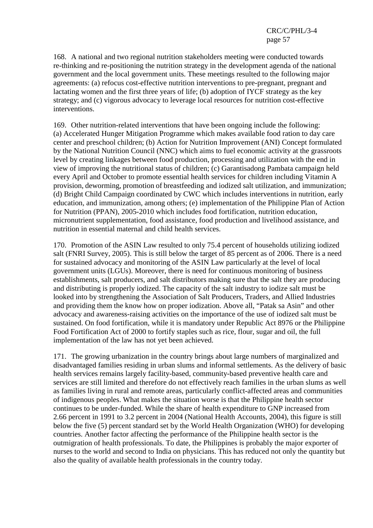168. A national and two regional nutrition stakeholders meeting were conducted towards re-thinking and re-positioning the nutrition strategy in the development agenda of the national government and the local government units. These meetings resulted to the following major agreements: (a) refocus cost-effective nutrition interventions to pre-pregnant, pregnant and lactating women and the first three years of life; (b) adoption of IYCF strategy as the key strategy; and (c) vigorous advocacy to leverage local resources for nutrition cost-effective interventions.

169. Other nutrition-related interventions that have been ongoing include the following: (a) Accelerated Hunger Mitigation Programme which makes available food ration to day care center and preschool children; (b) Action for Nutrition Improvement (ANI) Concept formulated by the National Nutrition Council (NNC) which aims to fuel economic activity at the grassroots level by creating linkages between food production, processing and utilization with the end in view of improving the nutritional status of children; (c) Garantisadong Pambata campaign held every April and October to promote essential health services for children including Vitamin A provision, deworming, promotion of breastfeeding and iodized salt utilization, and immunization; (d) Bright Child Campaign coordinated by CWC which includes interventions in nutrition, early education, and immunization, among others; (e) implementation of the Philippine Plan of Action for Nutrition (PPAN), 2005-2010 which includes food fortification, nutrition education, micronutrient supplementation, food assistance, food production and livelihood assistance, and nutrition in essential maternal and child health services.

170. Promotion of the ASIN Law resulted to only 75.4 percent of households utilizing iodized salt (FNRI Survey, 2005). This is still below the target of 85 percent as of 2006. There is a need for sustained advocacy and monitoring of the ASIN Law particularly at the level of local government units (LGUs). Moreover, there is need for continuous monitoring of business establishments, salt producers, and salt distributors making sure that the salt they are producing and distributing is properly iodized. The capacity of the salt industry to iodize salt must be looked into by strengthening the Association of Salt Producers, Traders, and Allied Industries and providing them the know how on proper iodization. Above all, "Patak sa Asin" and other advocacy and awareness-raising activities on the importance of the use of iodized salt must be sustained. On food fortification, while it is mandatory under Republic Act 8976 or the Philippine Food Fortification Act of 2000 to fortify staples such as rice, flour, sugar and oil, the full implementation of the law has not yet been achieved.

171. The growing urbanization in the country brings about large numbers of marginalized and disadvantaged families residing in urban slums and informal settlements. As the delivery of basic health services remains largely facility-based, community-based preventive health care and services are still limited and therefore do not effectively reach families in the urban slums as well as families living in rural and remote areas, particularly conflict-affected areas and communities of indigenous peoples. What makes the situation worse is that the Philippine health sector continues to be under-funded. While the share of health expenditure to GNP increased from 2.66 percent in 1991 to 3.2 percent in 2004 (National Health Accounts, 2004), this figure is still below the five (5) percent standard set by the World Health Organization (WHO) for developing countries. Another factor affecting the performance of the Philippine health sector is the outmigration of health professionals. To date, the Philippines is probably the major exporter of nurses to the world and second to India on physicians. This has reduced not only the quantity but also the quality of available health professionals in the country today.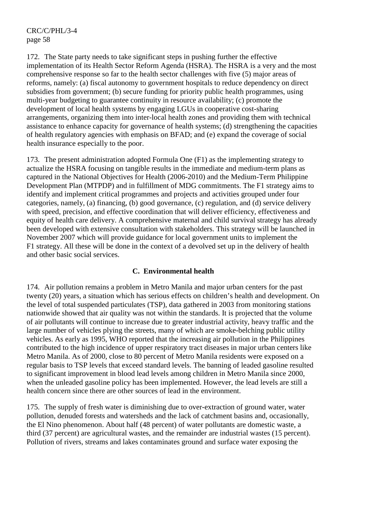172. The State party needs to take significant steps in pushing further the effective implementation of its Health Sector Reform Agenda (HSRA). The HSRA is a very and the most comprehensive response so far to the health sector challenges with five (5) major areas of reforms, namely: (a) fiscal autonomy to government hospitals to reduce dependency on direct subsidies from government; (b) secure funding for priority public health programmes, using multi-year budgeting to guarantee continuity in resource availability; (c) promote the development of local health systems by engaging LGUs in cooperative cost-sharing arrangements, organizing them into inter-local health zones and providing them with technical assistance to enhance capacity for governance of health systems; (d) strengthening the capacities of health regulatory agencies with emphasis on BFAD; and (e) expand the coverage of social health insurance especially to the poor.

173. The present administration adopted Formula One (F1) as the implementing strategy to actualize the HSRA focusing on tangible results in the immediate and medium-term plans as captured in the National Objectives for Health (2006-2010) and the Medium-Term Philippine Development Plan (MTPDP) and in fulfillment of MDG commitments. The F1 strategy aims to identify and implement critical programmes and projects and activities grouped under four categories, namely, (a) financing, (b) good governance, (c) regulation, and (d) service delivery with speed, precision, and effective coordination that will deliver efficiency, effectiveness and equity of health care delivery. A comprehensive maternal and child survival strategy has already been developed with extensive consultation with stakeholders. This strategy will be launched in November 2007 which will provide guidance for local government units to implement the F1 strategy. All these will be done in the context of a devolved set up in the delivery of health and other basic social services.

## **C. Environmental health**

174. Air pollution remains a problem in Metro Manila and major urban centers for the past twenty (20) years, a situation which has serious effects on children's health and development. On the level of total suspended particulates (TSP), data gathered in 2003 from monitoring stations nationwide showed that air quality was not within the standards. It is projected that the volume of air pollutants will continue to increase due to greater industrial activity, heavy traffic and the large number of vehicles plying the streets, many of which are smoke-belching public utility vehicles. As early as 1995, WHO reported that the increasing air pollution in the Philippines contributed to the high incidence of upper respiratory tract diseases in major urban centers like Metro Manila. As of 2000, close to 80 percent of Metro Manila residents were exposed on a regular basis to TSP levels that exceed standard levels. The banning of leaded gasoline resulted to significant improvement in blood lead levels among children in Metro Manila since 2000, when the unleaded gasoline policy has been implemented. However, the lead levels are still a health concern since there are other sources of lead in the environment.

175. The supply of fresh water is diminishing due to over-extraction of ground water, water pollution, denuded forests and watersheds and the lack of catchment basins and, occasionally, the El Nino phenomenon. About half (48 percent) of water pollutants are domestic waste, a third (37 percent) are agricultural wastes, and the remainder are industrial wastes (15 percent). Pollution of rivers, streams and lakes contaminates ground and surface water exposing the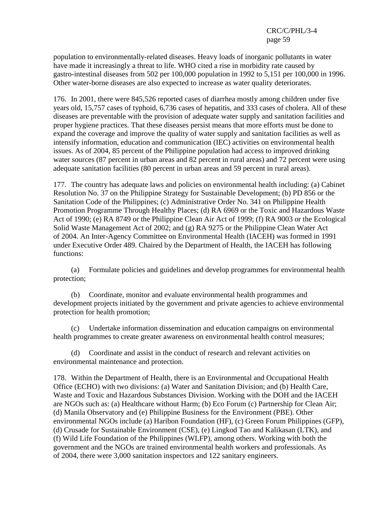population to environmentally-related diseases. Heavy loads of inorganic pollutants in water have made it increasingly a threat to life. WHO cited a rise in morbidity rate caused by gastro-intestinal diseases from 502 per 100,000 population in 1992 to 5,151 per 100,000 in 1996. Other water-borne diseases are also expected to increase as water quality deteriorates.

176. In 2001, there were 845,526 reported cases of diarrhea mostly among children under five years old, 15,757 cases of typhoid, 6,736 cases of hepatitis, and 333 cases of cholera. All of these diseases are preventable with the provision of adequate water supply and sanitation facilities and proper hygiene practices. That these diseases persist means that more efforts must be done to expand the coverage and improve the quality of water supply and sanitation facilities as well as intensify information, education and communication (IEC) activities on environmental health issues. As of 2004, 85 percent of the Philippine population had access to improved drinking water sources (87 percent in urban areas and 82 percent in rural areas) and 72 percent were using adequate sanitation facilities (80 percent in urban areas and 59 percent in rural areas).

177. The country has adequate laws and policies on environmental health including: (a) Cabinet Resolution No. 37 on the Philippine Strategy for Sustainable Development; (b) PD 856 or the Sanitation Code of the Philippines; (c) Administrative Order No. 341 on Philippine Health Promotion Programme Through Healthy Places; (d) RA 6969 or the Toxic and Hazardous Waste Act of 1990; (e) RA 8749 or the Philippine Clean Air Act of 1999; (f) RA 9003 or the Ecological Solid Waste Management Act of 2002; and (g) RA 9275 or the Philippine Clean Water Act of 2004. An Inter-Agency Committee on Environmental Health (IACEH) was formed in 1991 under Executive Order 489. Chaired by the Department of Health, the IACEH has following functions:

 (a) Formulate policies and guidelines and develop programmes for environmental health protection;

 (b) Coordinate, monitor and evaluate environmental health programmes and development projects initiated by the government and private agencies to achieve environmental protection for health promotion;

 (c) Undertake information dissemination and education campaigns on environmental health programmes to create greater awareness on environmental health control measures;

 (d) Coordinate and assist in the conduct of research and relevant activities on environmental maintenance and protection.

178. Within the Department of Health, there is an Environmental and Occupational Health Office (ECHO) with two divisions: (a) Water and Sanitation Division; and (b) Health Care, Waste and Toxic and Hazardous Substances Division. Working with the DOH and the IACEH are NGOs such as: (a) Healthcare without Harm; (b) Eco Forum (c) Partnership for Clean Air; (d) Manila Observatory and (e) Philippine Business for the Environment (PBE). Other environmental NGOs include (a) Haribon Foundation (HF), (c) Green Forum Philippines (GFP), (d) Crusade for Sustainable Environment (CSE), (e) Lingkod Tao and Kalikasan (LTK), and (f) Wild Life Foundation of the Philippines (WLFP), among others. Working with both the government and the NGOs are trained environmental health workers and professionals. As of 2004, there were 3,000 sanitation inspectors and 122 sanitary engineers.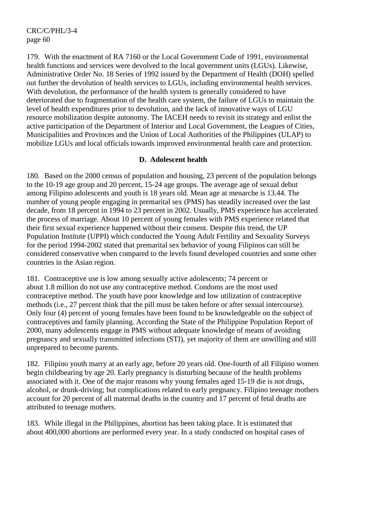179. With the enactment of RA 7160 or the Local Government Code of 1991, environmental health functions and services were devolved to the local government units (LGUs). Likewise, Administrative Order No. 18 Series of 1992 issued by the Department of Health (DOH) spelled out further the devolution of health services to LGUs, including environmental health services. With devolution, the performance of the health system is generally considered to have deteriorated due to fragmentation of the health care system, the failure of LGUs to maintain the level of health expenditures prior to devolution, and the lack of innovative ways of LGU resource mobilization despite autonomy. The IACEH needs to revisit its strategy and enlist the active participation of the Department of Interior and Local Government, the Leagues of Cities, Municipalities and Provinces and the Union of Local Authorities of the Philippines (ULAP) to mobilize LGUs and local officials towards improved environmental health care and protection.

## **D. Adolescent health**

180. Based on the 2000 census of population and housing, 23 percent of the population belongs to the 10-19 age group and 20 percent, 15-24 age groups. The average age of sexual debut among Filipino adolescents and youth is 18 years old. Mean age at menarche is 13.44. The number of young people engaging in premarital sex (PMS) has steadily increased over the last decade, from 18 percent in 1994 to 23 percent in 2002. Usually, PMS experience has accelerated the process of marriage. About 10 percent of young females with PMS experience related that their first sexual experience happened without their consent. Despite this trend, the UP Population Institute (UPPI) which conducted the Young Adult Fertility and Sexuality Surveys for the period 1994-2002 stated that premarital sex behavior of young Filipinos can still be considered conservative when compared to the levels found developed countries and some other countries in the Asian region.

181. Contraceptive use is low among sexually active adolescents; 74 percent or about 1.8 million do not use any contraceptive method. Condoms are the most used contraceptive method. The youth have poor knowledge and low utilization of contraceptive methods (i.e., 27 percent think that the pill must be taken before or after sexual intercourse). Only four (4) percent of young females have been found to be knowledgeable on the subject of contraceptives and family planning. According the State of the Philippine Population Report of 2000, many adolescents engage in PMS without adequate knowledge of means of avoiding pregnancy and sexually transmitted infections (STI), yet majority of them are unwilling and still unprepared to become parents.

182. Filipino youth marry at an early age, before 20 years old. One-fourth of all Filipino women begin childbearing by age 20. Early pregnancy is disturbing because of the health problems associated with it. One of the major reasons why young females aged 15-19 die is not drugs, alcohol, or drunk-driving; but complications related to early pregnancy. Filipino teenage mothers account for 20 percent of all maternal deaths in the country and 17 percent of fetal deaths are attributed to teenage mothers.

183. While illegal in the Philippines, abortion has been taking place. It is estimated that about 400,000 abortions are performed every year. In a study conducted on hospital cases of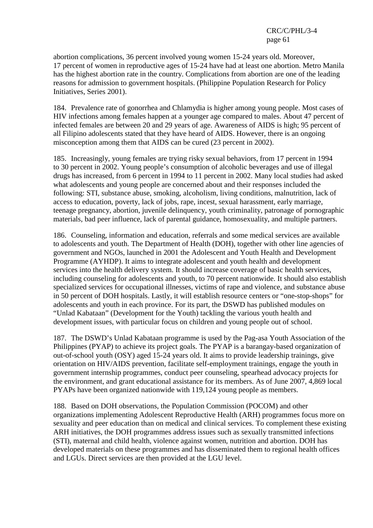abortion complications, 36 percent involved young women 15-24 years old. Moreover, 17 percent of women in reproductive ages of 15-24 have had at least one abortion. Metro Manila has the highest abortion rate in the country. Complications from abortion are one of the leading reasons for admission to government hospitals. (Philippine Population Research for Policy Initiatives, Series 2001).

184. Prevalence rate of gonorrhea and Chlamydia is higher among young people. Most cases of HIV infections among females happen at a younger age compared to males. About 47 percent of infected females are between 20 and 29 years of age. Awareness of AIDS is high; 95 percent of all Filipino adolescents stated that they have heard of AIDS. However, there is an ongoing misconception among them that AIDS can be cured (23 percent in 2002).

185. Increasingly, young females are trying risky sexual behaviors, from 17 percent in 1994 to 30 percent in 2002. Young people's consumption of alcoholic beverages and use of illegal drugs has increased, from 6 percent in 1994 to 11 percent in 2002. Many local studies had asked what adolescents and young people are concerned about and their responses included the following: STI, substance abuse, smoking, alcoholism, living conditions, malnutrition, lack of access to education, poverty, lack of jobs, rape, incest, sexual harassment, early marriage, teenage pregnancy, abortion, juvenile delinquency, youth criminality, patronage of pornographic materials, bad peer influence, lack of parental guidance, homosexuality, and multiple partners.

186. Counseling, information and education, referrals and some medical services are available to adolescents and youth. The Department of Health (DOH), together with other line agencies of government and NGOs, launched in 2001 the Adolescent and Youth Health and Development Programme (AYHDP). It aims to integrate adolescent and youth health and development services into the health delivery system. It should increase coverage of basic health services, including counseling for adolescents and youth, to 70 percent nationwide. It should also establish specialized services for occupational illnesses, victims of rape and violence, and substance abuse in 50 percent of DOH hospitals. Lastly, it will establish resource centers or "one-stop-shops" for adolescents and youth in each province. For its part, the DSWD has published modules on "Unlad Kabataan" (Development for the Youth) tackling the various youth health and development issues, with particular focus on children and young people out of school.

187. The DSWD's Unlad Kabataan programme is used by the Pag-asa Youth Association of the Philippines (PYAP) to achieve its project goals. The PYAP is a barangay-based organization of out-of-school youth (OSY) aged 15-24 years old. It aims to provide leadership trainings, give orientation on HIV/AIDS prevention, facilitate self-employment trainings, engage the youth in government internship programmes, conduct peer counseling, spearhead advocacy projects for the environment, and grant educational assistance for its members. As of June 2007, 4,869 local PYAPs have been organized nationwide with 119,124 young people as members.

188. Based on DOH observations, the Population Commission (POCOM) and other organizations implementing Adolescent Reproductive Health (ARH) programmes focus more on sexuality and peer education than on medical and clinical services. To complement these existing ARH initiatives, the DOH programmes address issues such as sexually transmitted infections (STI), maternal and child health, violence against women, nutrition and abortion. DOH has developed materials on these programmes and has disseminated them to regional health offices and LGUs. Direct services are then provided at the LGU level.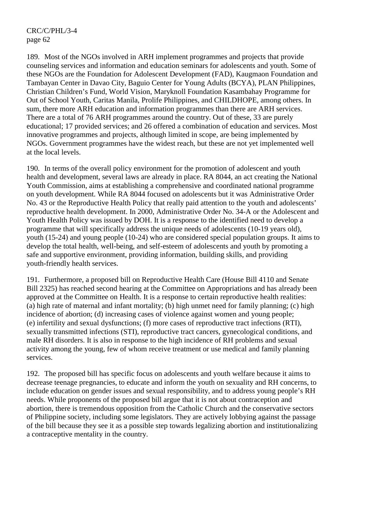189. Most of the NGOs involved in ARH implement programmes and projects that provide counseling services and information and education seminars for adolescents and youth. Some of these NGOs are the Foundation for Adolescent Development (FAD), Kaugmaon Foundation and Tambayan Center in Davao City, Baguio Center for Young Adults (BCYA), PLAN Philippines, Christian Children's Fund, World Vision, Maryknoll Foundation Kasambahay Programme for Out of School Youth, Caritas Manila, Prolife Philippines, and CHILDHOPE, among others. In sum, there more ARH education and information programmes than there are ARH services. There are a total of 76 ARH programmes around the country. Out of these, 33 are purely educational; 17 provided services; and 26 offered a combination of education and services. Most innovative programmes and projects, although limited in scope, are being implemented by NGOs. Government programmes have the widest reach, but these are not yet implemented well at the local levels.

190. In terms of the overall policy environment for the promotion of adolescent and youth health and development, several laws are already in place. RA 8044, an act creating the National Youth Commission, aims at establishing a comprehensive and coordinated national programme on youth development. While RA 8044 focused on adolescents but it was Administrative Order No. 43 or the Reproductive Health Policy that really paid attention to the youth and adolescents' reproductive health development. In 2000, Administrative Order No. 34-A or the Adolescent and Youth Health Policy was issued by DOH. It is a response to the identified need to develop a programme that will specifically address the unique needs of adolescents (10-19 years old), youth (15-24) and young people (10-24) who are considered special population groups. It aims to develop the total health, well-being, and self-esteem of adolescents and youth by promoting a safe and supportive environment, providing information, building skills, and providing youth-friendly health services.

191. Furthermore, a proposed bill on Reproductive Health Care (House Bill 4110 and Senate Bill 2325) has reached second hearing at the Committee on Appropriations and has already been approved at the Committee on Health. It is a response to certain reproductive health realities: (a) high rate of maternal and infant mortality; (b) high unmet need for family planning; (c) high incidence of abortion; (d) increasing cases of violence against women and young people; (e) infertility and sexual dysfunctions; (f) more cases of reproductive tract infections (RTI), sexually transmitted infections (STI), reproductive tract cancers, gynecological conditions, and male RH disorders. It is also in response to the high incidence of RH problems and sexual activity among the young, few of whom receive treatment or use medical and family planning services.

192. The proposed bill has specific focus on adolescents and youth welfare because it aims to decrease teenage pregnancies, to educate and inform the youth on sexuality and RH concerns, to include education on gender issues and sexual responsibility, and to address young people's RH needs. While proponents of the proposed bill argue that it is not about contraception and abortion, there is tremendous opposition from the Catholic Church and the conservative sectors of Philippine society, including some legislators. They are actively lobbying against the passage of the bill because they see it as a possible step towards legalizing abortion and institutionalizing a contraceptive mentality in the country.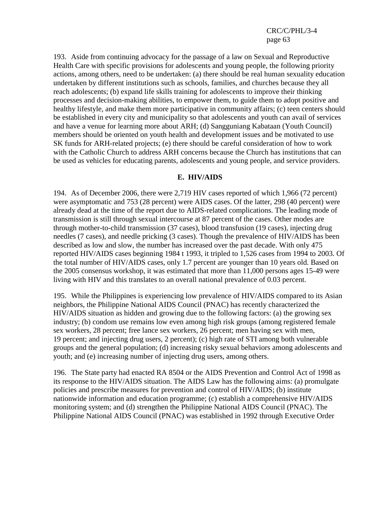193. Aside from continuing advocacy for the passage of a law on Sexual and Reproductive Health Care with specific provisions for adolescents and young people, the following priority actions, among others, need to be undertaken: (a) there should be real human sexuality education undertaken by different institutions such as schools, families, and churches because they all reach adolescents; (b) expand life skills training for adolescents to improve their thinking processes and decision-making abilities, to empower them, to guide them to adopt positive and healthy lifestyle, and make them more participative in community affairs; (c) teen centers should be established in every city and municipality so that adolescents and youth can avail of services and have a venue for learning more about ARH; (d) Sangguniang Kabataan (Youth Council) members should be oriented on youth health and development issues and be motivated to use SK funds for ARH-related projects; (e) there should be careful consideration of how to work with the Catholic Church to address ARH concerns because the Church has institutions that can be used as vehicles for educating parents, adolescents and young people, and service providers.

#### **E. HIV/AIDS**

194. As of December 2006, there were 2,719 HIV cases reported of which 1,966 (72 percent) were asymptomatic and 753 (28 percent) were AIDS cases. Of the latter, 298 (40 percent) were already dead at the time of the report due to AIDS-related complications. The leading mode of transmission is still through sexual intercourse at 87 percent of the cases. Other modes are through mother-to-child transmission (37 cases), blood transfusion (19 cases), injecting drug needles (7 cases), and needle pricking (3 cases). Though the prevalence of HIV/AIDS has been described as low and slow, the number has increased over the past decade. With only 475 reported HIV/AIDS cases beginning 1984 t 1993, it tripled to 1,526 cases from 1994 to 2003. Of the total number of HIV/AIDS cases, only 1.7 percent are younger than 10 years old. Based on the 2005 consensus workshop, it was estimated that more than 11,000 persons ages 15-49 were living with HIV and this translates to an overall national prevalence of 0.03 percent.

195. While the Philippines is experiencing low prevalence of HIV/AIDS compared to its Asian neighbors, the Philippine National AIDS Council (PNAC) has recently characterized the HIV/AIDS situation as hidden and growing due to the following factors: (a) the growing sex industry; (b) condom use remains low even among high risk groups (among registered female sex workers, 28 percent; free lance sex workers, 26 percent; men having sex with men, 19 percent; and injecting drug users, 2 percent); (c) high rate of STI among both vulnerable groups and the general population; (d) increasing risky sexual behaviors among adolescents and youth; and (e) increasing number of injecting drug users, among others.

196. The State party had enacted RA 8504 or the AIDS Prevention and Control Act of 1998 as its response to the HIV/AIDS situation. The AIDS Law has the following aims: (a) promulgate policies and prescribe measures for prevention and control of HIV/AIDS; (b) institute nationwide information and education programme; (c) establish a comprehensive HIV/AIDS monitoring system; and (d) strengthen the Philippine National AIDS Council (PNAC). The Philippine National AIDS Council (PNAC) was established in 1992 through Executive Order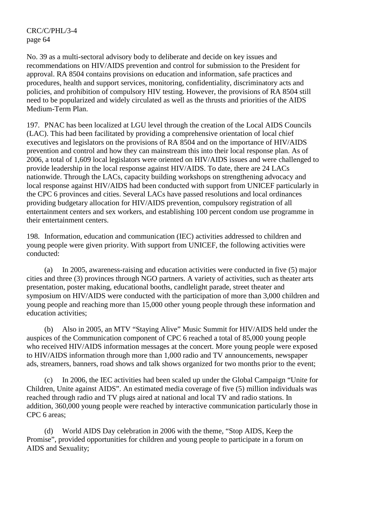No. 39 as a multi-sectoral advisory body to deliberate and decide on key issues and recommendations on HIV/AIDS prevention and control for submission to the President for approval. RA 8504 contains provisions on education and information, safe practices and procedures, health and support services, monitoring, confidentiality, discriminatory acts and policies, and prohibition of compulsory HIV testing. However, the provisions of RA 8504 still need to be popularized and widely circulated as well as the thrusts and priorities of the AIDS Medium-Term Plan.

197. PNAC has been localized at LGU level through the creation of the Local AIDS Councils (LAC). This had been facilitated by providing a comprehensive orientation of local chief executives and legislators on the provisions of RA 8504 and on the importance of HIV/AIDS prevention and control and how they can mainstream this into their local response plan. As of 2006, a total of 1,609 local legislators were oriented on HIV/AIDS issues and were challenged to provide leadership in the local response against HIV/AIDS. To date, there are 24 LACs nationwide. Through the LACs, capacity building workshops on strengthening advocacy and local response against HIV/AIDS had been conducted with support from UNICEF particularly in the CPC 6 provinces and cities. Several LACs have passed resolutions and local ordinances providing budgetary allocation for HIV/AIDS prevention, compulsory registration of all entertainment centers and sex workers, and establishing 100 percent condom use programme in their entertainment centers.

198. Information, education and communication (IEC) activities addressed to children and young people were given priority. With support from UNICEF, the following activities were conducted:

 (a) In 2005, awareness-raising and education activities were conducted in five (5) major cities and three (3) provinces through NGO partners. A variety of activities, such as theater arts presentation, poster making, educational booths, candlelight parade, street theater and symposium on HIV/AIDS were conducted with the participation of more than 3,000 children and young people and reaching more than 15,000 other young people through these information and education activities;

 (b) Also in 2005, an MTV "Staying Alive" Music Summit for HIV/AIDS held under the auspices of the Communication component of CPC 6 reached a total of 85,000 young people who received HIV/AIDS information messages at the concert. More young people were exposed to HIV/AIDS information through more than 1,000 radio and TV announcements, newspaper ads, streamers, banners, road shows and talk shows organized for two months prior to the event;

 (c) In 2006, the IEC activities had been scaled up under the Global Campaign "Unite for Children, Unite against AIDS". An estimated media coverage of five (5) million individuals was reached through radio and TV plugs aired at national and local TV and radio stations. In addition, 360,000 young people were reached by interactive communication particularly those in CPC 6 areas;

 (d) World AIDS Day celebration in 2006 with the theme, "Stop AIDS, Keep the Promise", provided opportunities for children and young people to participate in a forum on AIDS and Sexuality;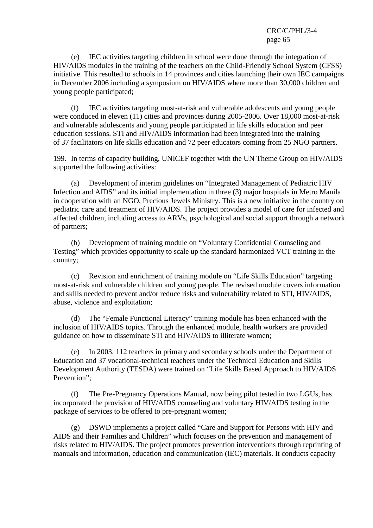(e) IEC activities targeting children in school were done through the integration of HIV/AIDS modules in the training of the teachers on the Child-Friendly School System (CFSS) initiative. This resulted to schools in 14 provinces and cities launching their own IEC campaigns in December 2006 including a symposium on HIV/AIDS where more than 30,000 children and young people participated;

 (f) IEC activities targeting most-at-risk and vulnerable adolescents and young people were conduced in eleven (11) cities and provinces during 2005-2006. Over 18,000 most-at-risk and vulnerable adolescents and young people participated in life skills education and peer education sessions. STI and HIV/AIDS information had been integrated into the training of 37 facilitators on life skills education and 72 peer educators coming from 25 NGO partners.

199. In terms of capacity building, UNICEF together with the UN Theme Group on HIV/AIDS supported the following activities:

 (a) Development of interim guidelines on "Integrated Management of Pediatric HIV Infection and AIDS" and its initial implementation in three (3) major hospitals in Metro Manila in cooperation with an NGO, Precious Jewels Ministry. This is a new initiative in the country on pediatric care and treatment of HIV/AIDS. The project provides a model of care for infected and affected children, including access to ARVs, psychological and social support through a network of partners;

 (b) Development of training module on "Voluntary Confidential Counseling and Testing" which provides opportunity to scale up the standard harmonized VCT training in the country;

 (c) Revision and enrichment of training module on "Life Skills Education" targeting most-at-risk and vulnerable children and young people. The revised module covers information and skills needed to prevent and/or reduce risks and vulnerability related to STI, HIV/AIDS, abuse, violence and exploitation;

 (d) The "Female Functional Literacy" training module has been enhanced with the inclusion of HIV/AIDS topics. Through the enhanced module, health workers are provided guidance on how to disseminate STI and HIV/AIDS to illiterate women;

 (e) In 2003, 112 teachers in primary and secondary schools under the Department of Education and 37 vocational-technical teachers under the Technical Education and Skills Development Authority (TESDA) were trained on "Life Skills Based Approach to HIV/AIDS Prevention":

 (f) The Pre-Pregnancy Operations Manual, now being pilot tested in two LGUs, has incorporated the provision of HIV/AIDS counseling and voluntary HIV/AIDS testing in the package of services to be offered to pre-pregnant women;

 (g) DSWD implements a project called "Care and Support for Persons with HIV and AIDS and their Families and Children" which focuses on the prevention and management of risks related to HIV/AIDS. The project promotes prevention interventions through reprinting of manuals and information, education and communication (IEC) materials. It conducts capacity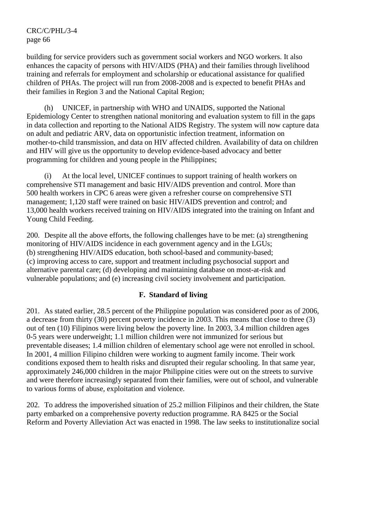building for service providers such as government social workers and NGO workers. It also enhances the capacity of persons with HIV/AIDS (PHA) and their families through livelihood training and referrals for employment and scholarship or educational assistance for qualified children of PHAs. The project will run from 2008-2008 and is expected to benefit PHAs and their families in Region 3 and the National Capital Region;

 (h) UNICEF, in partnership with WHO and UNAIDS, supported the National Epidemiology Center to strengthen national monitoring and evaluation system to fill in the gaps in data collection and reporting to the National AIDS Registry. The system will now capture data on adult and pediatric ARV, data on opportunistic infection treatment, information on mother-to-child transmission, and data on HIV affected children. Availability of data on children and HIV will give us the opportunity to develop evidence-based advocacy and better programming for children and young people in the Philippines;

 (i) At the local level, UNICEF continues to support training of health workers on comprehensive STI management and basic HIV/AIDS prevention and control. More than 500 health workers in CPC 6 areas were given a refresher course on comprehensive STI management; 1,120 staff were trained on basic HIV/AIDS prevention and control; and 13,000 health workers received training on HIV/AIDS integrated into the training on Infant and Young Child Feeding.

200. Despite all the above efforts, the following challenges have to be met: (a) strengthening monitoring of HIV/AIDS incidence in each government agency and in the LGUs; (b) strengthening HIV/AIDS education, both school-based and community-based; (c) improving access to care, support and treatment including psychosocial support and alternative parental care; (d) developing and maintaining database on most-at-risk and vulnerable populations; and (e) increasing civil society involvement and participation.

## **F. Standard of living**

201. As stated earlier, 28.5 percent of the Philippine population was considered poor as of 2006, a decrease from thirty (30) percent poverty incidence in 2003. This means that close to three (3) out of ten (10) Filipinos were living below the poverty line. In 2003, 3.4 million children ages 0-5 years were underweight; 1.1 million children were not immunized for serious but preventable diseases; 1.4 million children of elementary school age were not enrolled in school. In 2001, 4 million Filipino children were working to augment family income. Their work conditions exposed them to health risks and disrupted their regular schooling. In that same year, approximately 246,000 children in the major Philippine cities were out on the streets to survive and were therefore increasingly separated from their families, were out of school, and vulnerable to various forms of abuse, exploitation and violence.

202. To address the impoverished situation of 25.2 million Filipinos and their children, the State party embarked on a comprehensive poverty reduction programme. RA 8425 or the Social Reform and Poverty Alleviation Act was enacted in 1998. The law seeks to institutionalize social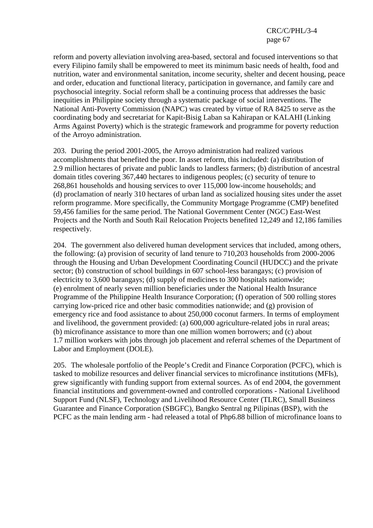reform and poverty alleviation involving area-based, sectoral and focused interventions so that every Filipino family shall be empowered to meet its minimum basic needs of health, food and nutrition, water and environmental sanitation, income security, shelter and decent housing, peace and order, education and functional literacy, participation in governance, and family care and psychosocial integrity. Social reform shall be a continuing process that addresses the basic inequities in Philippine society through a systematic package of social interventions. The National Anti-Poverty Commission (NAPC) was created by virtue of RA 8425 to serve as the coordinating body and secretariat for Kapit-Bisig Laban sa Kahirapan or KALAHI (Linking Arms Against Poverty) which is the strategic framework and programme for poverty reduction of the Arroyo administration.

203. During the period 2001-2005, the Arroyo administration had realized various accomplishments that benefited the poor. In asset reform, this included: (a) distribution of 2.9 million hectares of private and public lands to landless farmers; (b) distribution of ancestral domain titles covering 367,440 hectares to indigenous peoples; (c) security of tenure to 268,861 households and housing services to over 115,000 low-income households; and (d) proclamation of nearly 310 hectares of urban land as socialized housing sites under the asset reform programme. More specifically, the Community Mortgage Programme (CMP) benefited 59,456 families for the same period. The National Government Center (NGC) East-West Projects and the North and South Rail Relocation Projects benefited 12,249 and 12,186 families respectively.

204. The government also delivered human development services that included, among others, the following: (a) provision of security of land tenure to 710,203 households from 2000-2006 through the Housing and Urban Development Coordinating Council (HUDCC) and the private sector; (b) construction of school buildings in 607 school-less barangays; (c) provision of electricity to 3,600 barangays; (d) supply of medicines to 300 hospitals nationwide; (e) enrolment of nearly seven million beneficiaries under the National Health Insurance Programme of the Philippine Health Insurance Corporation; (f) operation of 500 rolling stores carrying low-priced rice and other basic commodities nationwide; and (g) provision of emergency rice and food assistance to about 250,000 coconut farmers. In terms of employment and livelihood, the government provided: (a) 600,000 agriculture-related jobs in rural areas; (b) microfinance assistance to more than one million women borrowers; and (c) about 1.7 million workers with jobs through job placement and referral schemes of the Department of Labor and Employment (DOLE).

205. The wholesale portfolio of the People's Credit and Finance Corporation (PCFC), which is tasked to mobilize resources and deliver financial services to microfinance institutions (MFIs), grew significantly with funding support from external sources. As of end 2004, the government financial institutions and government-owned and controlled corporations - National Livelihood Support Fund (NLSF), Technology and Livelihood Resource Center (TLRC), Small Business Guarantee and Finance Corporation (SBGFC), Bangko Sentral ng Pilipinas (BSP), with the PCFC as the main lending arm - had released a total of Php6.88 billion of microfinance loans to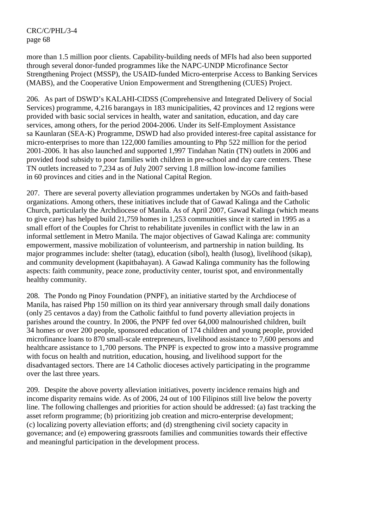more than 1.5 million poor clients. Capability-building needs of MFIs had also been supported through several donor-funded programmes like the NAPC-UNDP Microfinance Sector Strengthening Project (MSSP), the USAID-funded Micro-enterprise Access to Banking Services (MABS), and the Cooperative Union Empowerment and Strengthening (CUES) Project.

206. As part of DSWD's KALAHI-CIDSS (Comprehensive and Integrated Delivery of Social Services) programme, 4,216 barangays in 183 municipalities, 42 provinces and 12 regions were provided with basic social services in health, water and sanitation, education, and day care services, among others, for the period 2004-2006. Under its Self-Employment Assistance sa Kaunlaran (SEA-K) Programme, DSWD had also provided interest-free capital assistance for micro-enterprises to more than 122,000 families amounting to Php 522 million for the period 2001-2006. It has also launched and supported 1,997 Tindahan Natin (TN) outlets in 2006 and provided food subsidy to poor families with children in pre-school and day care centers. These TN outlets increased to 7,234 as of July 2007 serving 1.8 million low-income families in 60 provinces and cities and in the National Capital Region.

207. There are several poverty alleviation programmes undertaken by NGOs and faith-based organizations. Among others, these initiatives include that of Gawad Kalinga and the Catholic Church, particularly the Archdiocese of Manila. As of April 2007, Gawad Kalinga (which means to give care) has helped build 21,759 homes in 1,253 communities since it started in 1995 as a small effort of the Couples for Christ to rehabilitate juveniles in conflict with the law in an informal settlement in Metro Manila. The major objectives of Gawad Kalinga are: community empowerment, massive mobilization of volunteerism, and partnership in nation building. Its major programmes include: shelter (tatag), education (sibol), health (lusog), livelihood (sikap), and community development (kapitbahayan). A Gawad Kalinga community has the following aspects: faith community, peace zone, productivity center, tourist spot, and environmentally healthy community.

208. The Pondo ng Pinoy Foundation (PNPF), an initiative started by the Archdiocese of Manila, has raised Php 150 million on its third year anniversary through small daily donations (only 25 centavos a day) from the Catholic faithful to fund poverty alleviation projects in parishes around the country. In 2006, the PNPF fed over 64,000 malnourished children, built 34 homes or over 200 people, sponsored education of 174 children and young people, provided microfinance loans to 870 small-scale entrepreneurs, livelihood assistance to 7,600 persons and healthcare assistance to 1,700 persons. The PNPF is expected to grow into a massive programme with focus on health and nutrition, education, housing, and livelihood support for the disadvantaged sectors. There are 14 Catholic dioceses actively participating in the programme over the last three years.

209. Despite the above poverty alleviation initiatives, poverty incidence remains high and income disparity remains wide. As of 2006, 24 out of 100 Filipinos still live below the poverty line. The following challenges and priorities for action should be addressed: (a) fast tracking the asset reform programme; (b) prioritizing job creation and micro-enterprise development; (c) localizing poverty alleviation efforts; and (d) strengthening civil society capacity in governance; and (e) empowering grassroots families and communities towards their effective and meaningful participation in the development process.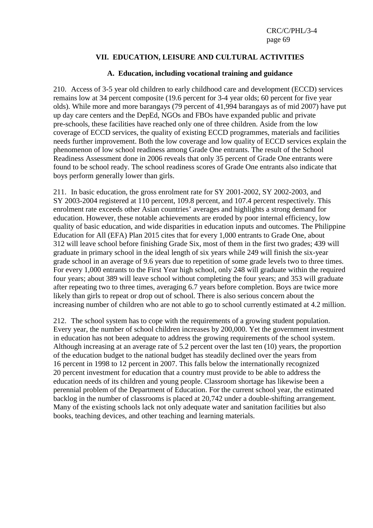# **VII. EDUCATION, LEISURE AND CULTURAL ACTIVITIES**

### **A. Education, including vocational training and guidance**

210. Access of 3-5 year old children to early childhood care and development (ECCD) services remains low at 34 percent composite (19.6 percent for 3-4 year olds; 60 percent for five year olds). While more and more barangays (79 percent of 41,994 barangays as of mid 2007) have put up day care centers and the DepEd, NGOs and FBOs have expanded public and private pre-schools, these facilities have reached only one of three children. Aside from the low coverage of ECCD services, the quality of existing ECCD programmes, materials and facilities needs further improvement. Both the low coverage and low quality of ECCD services explain the phenomenon of low school readiness among Grade One entrants. The result of the School Readiness Assessment done in 2006 reveals that only 35 percent of Grade One entrants were found to be school ready. The school readiness scores of Grade One entrants also indicate that boys perform generally lower than girls.

211. In basic education, the gross enrolment rate for SY 2001-2002, SY 2002-2003, and SY 2003-2004 registered at 110 percent, 109.8 percent, and 107.4 percent respectively. This enrolment rate exceeds other Asian countries' averages and highlights a strong demand for education. However, these notable achievements are eroded by poor internal efficiency, low quality of basic education, and wide disparities in education inputs and outcomes. The Philippine Education for All (EFA) Plan 2015 cites that for every 1,000 entrants to Grade One, about 312 will leave school before finishing Grade Six, most of them in the first two grades; 439 will graduate in primary school in the ideal length of six years while 249 will finish the six-year grade school in an average of 9.6 years due to repetition of some grade levels two to three times. For every 1,000 entrants to the First Year high school, only 248 will graduate within the required four years; about 389 will leave school without completing the four years; and 353 will graduate after repeating two to three times, averaging 6.7 years before completion. Boys are twice more likely than girls to repeat or drop out of school. There is also serious concern about the increasing number of children who are not able to go to school currently estimated at 4.2 million.

212. The school system has to cope with the requirements of a growing student population. Every year, the number of school children increases by 200,000. Yet the government investment in education has not been adequate to address the growing requirements of the school system. Although increasing at an average rate of 5.2 percent over the last ten (10) years, the proportion of the education budget to the national budget has steadily declined over the years from 16 percent in 1998 to 12 percent in 2007. This falls below the internationally recognized 20 percent investment for education that a country must provide to be able to address the education needs of its children and young people. Classroom shortage has likewise been a perennial problem of the Department of Education. For the current school year, the estimated backlog in the number of classrooms is placed at 20,742 under a double-shifting arrangement. Many of the existing schools lack not only adequate water and sanitation facilities but also books, teaching devices, and other teaching and learning materials.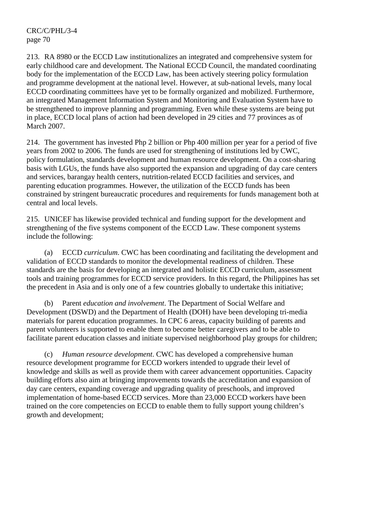213. RA 8980 or the ECCD Law institutionalizes an integrated and comprehensive system for early childhood care and development. The National ECCD Council, the mandated coordinating body for the implementation of the ECCD Law, has been actively steering policy formulation and programme development at the national level. However, at sub-national levels, many local ECCD coordinating committees have yet to be formally organized and mobilized. Furthermore, an integrated Management Information System and Monitoring and Evaluation System have to be strengthened to improve planning and programming. Even while these systems are being put in place, ECCD local plans of action had been developed in 29 cities and 77 provinces as of March 2007.

214. The government has invested Php 2 billion or Php 400 million per year for a period of five years from 2002 to 2006. The funds are used for strengthening of institutions led by CWC, policy formulation, standards development and human resource development. On a cost-sharing basis with LGUs, the funds have also supported the expansion and upgrading of day care centers and services, barangay health centers, nutrition-related ECCD facilities and services, and parenting education programmes. However, the utilization of the ECCD funds has been constrained by stringent bureaucratic procedures and requirements for funds management both at central and local levels.

215. UNICEF has likewise provided technical and funding support for the development and strengthening of the five systems component of the ECCD Law. These component systems include the following:

 (a) ECCD *curriculum*. CWC has been coordinating and facilitating the development and validation of ECCD standards to monitor the developmental readiness of children. These standards are the basis for developing an integrated and holistic ECCD curriculum, assessment tools and training programmes for ECCD service providers. In this regard, the Philippines has set the precedent in Asia and is only one of a few countries globally to undertake this initiative;

 (b) Parent *education and involvement*. The Department of Social Welfare and Development (DSWD) and the Department of Health (DOH) have been developing tri-media materials for parent education programmes. In CPC 6 areas, capacity building of parents and parent volunteers is supported to enable them to become better caregivers and to be able to facilitate parent education classes and initiate supervised neighborhood play groups for children;

 (c) *Human resource development*. CWC has developed a comprehensive human resource development programme for ECCD workers intended to upgrade their level of knowledge and skills as well as provide them with career advancement opportunities. Capacity building efforts also aim at bringing improvements towards the accreditation and expansion of day care centers, expanding coverage and upgrading quality of preschools, and improved implementation of home-based ECCD services. More than 23,000 ECCD workers have been trained on the core competencies on ECCD to enable them to fully support young children's growth and development;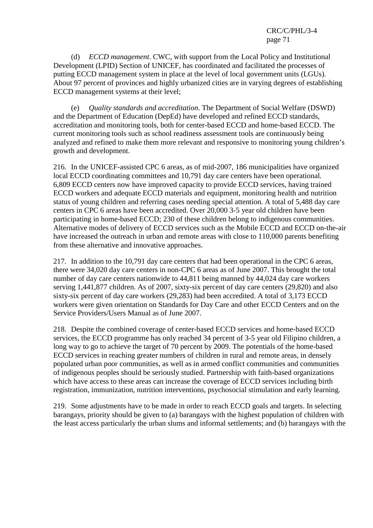(d) *ECCD management*. CWC, with support from the Local Policy and Institutional Development (LPID) Section of UNICEF, has coordinated and facilitated the processes of putting ECCD management system in place at the level of local government units (LGUs). About 97 percent of provinces and highly urbanized cities are in varying degrees of establishing ECCD management systems at their level;

 (e) *Quality standards and accreditation*. The Department of Social Welfare (DSWD) and the Department of Education (DepEd) have developed and refined ECCD standards, accreditation and monitoring tools, both for center-based ECCD and home-based ECCD. The current monitoring tools such as school readiness assessment tools are continuously being analyzed and refined to make them more relevant and responsive to monitoring young children's growth and development.

216. In the UNICEF-assisted CPC 6 areas, as of mid-2007, 186 municipalities have organized local ECCD coordinating committees and 10,791 day care centers have been operational. 6,809 ECCD centers now have improved capacity to provide ECCD services, having trained ECCD workers and adequate ECCD materials and equipment, monitoring health and nutrition status of young children and referring cases needing special attention. A total of 5,488 day care centers in CPC 6 areas have been accredited. Over 20,000 3-5 year old children have been participating in home-based ECCD; 230 of these children belong to indigenous communities. Alternative modes of delivery of ECCD services such as the Mobile ECCD and ECCD on-the-air have increased the outreach in urban and remote areas with close to 110,000 parents benefiting from these alternative and innovative approaches.

217. In addition to the 10,791 day care centers that had been operational in the CPC 6 areas, there were 34,020 day care centers in non-CPC 6 areas as of June 2007. This brought the total number of day care centers nationwide to 44,811 being manned by 44,024 day care workers serving 1,441,877 children. As of 2007, sixty-six percent of day care centers (29,820) and also sixty-six percent of day care workers (29,283) had been accredited. A total of 3,173 ECCD workers were given orientation on Standards for Day Care and other ECCD Centers and on the Service Providers/Users Manual as of June 2007.

218. Despite the combined coverage of center-based ECCD services and home-based ECCD services, the ECCD programme has only reached 34 percent of 3-5 year old Filipino children, a long way to go to achieve the target of 70 percent by 2009. The potentials of the home-based ECCD services in reaching greater numbers of children in rural and remote areas, in densely populated urban poor communities, as well as in armed conflict communities and communities of indigenous peoples should be seriously studied. Partnership with faith-based organizations which have access to these areas can increase the coverage of ECCD services including birth registration, immunization, nutrition interventions, psychosocial stimulation and early learning.

219. Some adjustments have to be made in order to reach ECCD goals and targets. In selecting barangays, priority should be given to (a) barangays with the highest population of children with the least access particularly the urban slums and informal settlements; and (b) barangays with the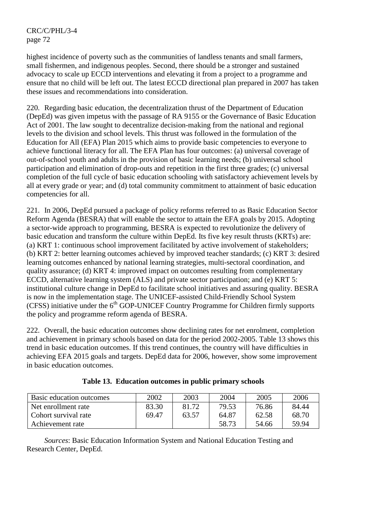highest incidence of poverty such as the communities of landless tenants and small farmers, small fishermen, and indigenous peoples. Second, there should be a stronger and sustained advocacy to scale up ECCD interventions and elevating it from a project to a programme and ensure that no child will be left out. The latest ECCD directional plan prepared in 2007 has taken these issues and recommendations into consideration.

220. Regarding basic education, the decentralization thrust of the Department of Education (DepEd) was given impetus with the passage of RA 9155 or the Governance of Basic Education Act of 2001. The law sought to decentralize decision-making from the national and regional levels to the division and school levels. This thrust was followed in the formulation of the Education for All (EFA) Plan 2015 which aims to provide basic competencies to everyone to achieve functional literacy for all. The EFA Plan has four outcomes: (a) universal coverage of out-of-school youth and adults in the provision of basic learning needs; (b) universal school participation and elimination of drop-outs and repetition in the first three grades; (c) universal completion of the full cycle of basic education schooling with satisfactory achievement levels by all at every grade or year; and (d) total community commitment to attainment of basic education competencies for all.

221. In 2006, DepEd pursued a package of policy reforms referred to as Basic Education Sector Reform Agenda (BESRA) that will enable the sector to attain the EFA goals by 2015. Adopting a sector-wide approach to programming, BESRA is expected to revolutionize the delivery of basic education and transform the culture within DepEd. Its five key result thrusts (KRTs) are: (a) KRT 1: continuous school improvement facilitated by active involvement of stakeholders; (b) KRT 2: better learning outcomes achieved by improved teacher standards; (c) KRT 3: desired learning outcomes enhanced by national learning strategies, multi-sectoral coordination, and quality assurance; (d) KRT 4: improved impact on outcomes resulting from complementary ECCD, alternative learning system (ALS) and private sector participation; and (e) KRT 5: institutional culture change in DepEd to facilitate school initiatives and assuring quality. BESRA is now in the implementation stage. The UNICEF-assisted Child-Friendly School System  $(CFSS)$  initiative under the  $6<sup>th</sup> GOP-UNICEF$  Country Programme for Children firmly supports the policy and programme reform agenda of BESRA.

222. Overall, the basic education outcomes show declining rates for net enrolment, completion and achievement in primary schools based on data for the period 2002-2005. Table 13 shows this trend in basic education outcomes. If this trend continues, the country will have difficulties in achieving EFA 2015 goals and targets. DepEd data for 2006, however, show some improvement in basic education outcomes.

| Basic education outcomes | 2002  | 2003  | 2004  | 2005  | 2006  |
|--------------------------|-------|-------|-------|-------|-------|
| Net enrollment rate      | 83.30 | 81.72 | 79.53 | 76.86 | 84.44 |
| Cohort survival rate     | 69.47 | 63.57 | 64.87 | 62.58 | 68.70 |
| Achievement rate         |       |       | 58.73 | 54.66 | 59.94 |

| Table 13. Education outcomes in public primary schools |
|--------------------------------------------------------|
|--------------------------------------------------------|

*Sources*: Basic Education Information System and National Education Testing and Research Center, DepEd.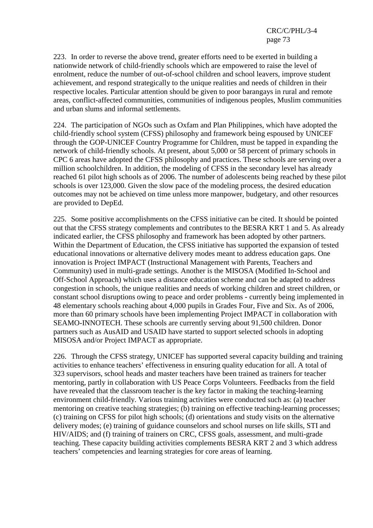223. In order to reverse the above trend, greater efforts need to be exerted in building a nationwide network of child-friendly schools which are empowered to raise the level of enrolment, reduce the number of out-of-school children and school leavers, improve student achievement, and respond strategically to the unique realities and needs of children in their respective locales. Particular attention should be given to poor barangays in rural and remote areas, conflict-affected communities, communities of indigenous peoples, Muslim communities and urban slums and informal settlements.

224. The participation of NGOs such as Oxfam and Plan Philippines, which have adopted the child-friendly school system (CFSS) philosophy and framework being espoused by UNICEF through the GOP-UNICEF Country Programme for Children, must be tapped in expanding the network of child-friendly schools. At present, about 5,000 or 58 percent of primary schools in CPC 6 areas have adopted the CFSS philosophy and practices. These schools are serving over a million schoolchildren. In addition, the modeling of CFSS in the secondary level has already reached 61 pilot high schools as of 2006. The number of adolescents being reached by these pilot schools is over 123,000. Given the slow pace of the modeling process, the desired education outcomes may not be achieved on time unless more manpower, budgetary, and other resources are provided to DepEd.

225. Some positive accomplishments on the CFSS initiative can be cited. It should be pointed out that the CFSS strategy complements and contributes to the BESRA KRT 1 and 5. As already indicated earlier, the CFSS philosophy and framework has been adopted by other partners. Within the Department of Education, the CFSS initiative has supported the expansion of tested educational innovations or alternative delivery modes meant to address education gaps. One innovation is Project IMPACT (Instructional Management with Parents, Teachers and Community) used in multi-grade settings. Another is the MISOSA (Modified In-School and Off-School Approach) which uses a distance education scheme and can be adapted to address congestion in schools, the unique realities and needs of working children and street children, or constant school disruptions owing to peace and order problems - currently being implemented in 48 elementary schools reaching about 4,000 pupils in Grades Four, Five and Six. As of 2006, more than 60 primary schools have been implementing Project IMPACT in collaboration with SEAMO-INNOTECH. These schools are currently serving about 91,500 children. Donor partners such as AusAID and USAID have started to support selected schools in adopting MISOSA and/or Project IMPACT as appropriate.

226. Through the CFSS strategy, UNICEF has supported several capacity building and training activities to enhance teachers' effectiveness in ensuring quality education for all. A total of 323 supervisors, school heads and master teachers have been trained as trainers for teacher mentoring, partly in collaboration with US Peace Corps Volunteers. Feedbacks from the field have revealed that the classroom teacher is the key factor in making the teaching-learning environment child-friendly. Various training activities were conducted such as: (a) teacher mentoring on creative teaching strategies; (b) training on effective teaching-learning processes; (c) training on CFSS for pilot high schools; (d) orientations and study visits on the alternative delivery modes; (e) training of guidance counselors and school nurses on life skills, STI and HIV/AIDS; and (f) training of trainers on CRC, CFSS goals, assessment, and multi-grade teaching. These capacity building activities complements BESRA KRT 2 and 3 which address teachers' competencies and learning strategies for core areas of learning.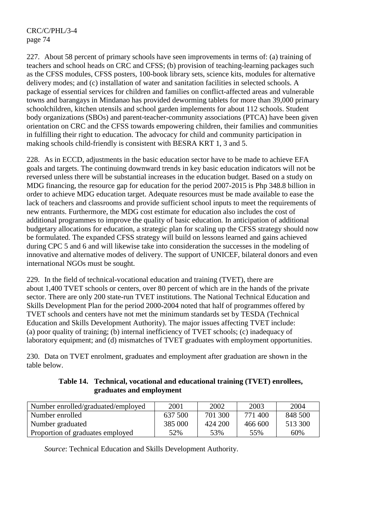227. About 58 percent of primary schools have seen improvements in terms of: (a) training of teachers and school heads on CRC and CFSS; (b) provision of teaching-learning packages such as the CFSS modules, CFSS posters, 100-book library sets, science kits, modules for alternative delivery modes; and (c) installation of water and sanitation facilities in selected schools. A package of essential services for children and families on conflict-affected areas and vulnerable towns and barangays in Mindanao has provided deworming tablets for more than 39,000 primary schoolchildren, kitchen utensils and school garden implements for about 112 schools. Student body organizations (SBOs) and parent-teacher-community associations (PTCA) have been given orientation on CRC and the CFSS towards empowering children, their families and communities in fulfilling their right to education. The advocacy for child and community participation in making schools child-friendly is consistent with BESRA KRT 1, 3 and 5.

228. As in ECCD, adjustments in the basic education sector have to be made to achieve EFA goals and targets. The continuing downward trends in key basic education indicators will not be reversed unless there will be substantial increases in the education budget. Based on a study on MDG financing, the resource gap for education for the period 2007-2015 is Php 348.8 billion in order to achieve MDG education target. Adequate resources must be made available to ease the lack of teachers and classrooms and provide sufficient school inputs to meet the requirements of new entrants. Furthermore, the MDG cost estimate for education also includes the cost of additional programmes to improve the quality of basic education. In anticipation of additional budgetary allocations for education, a strategic plan for scaling up the CFSS strategy should now be formulated. The expanded CFSS strategy will build on lessons learned and gains achieved during CPC 5 and 6 and will likewise take into consideration the successes in the modeling of innovative and alternative modes of delivery. The support of UNICEF, bilateral donors and even international NGOs must be sought.

229. In the field of technical-vocational education and training (TVET), there are about 1,400 TVET schools or centers, over 80 percent of which are in the hands of the private sector. There are only 200 state-run TVET institutions. The National Technical Education and Skills Development Plan for the period 2000-2004 noted that half of programmes offered by TVET schools and centers have not met the minimum standards set by TESDA (Technical Education and Skills Development Authority). The major issues affecting TVET include: (a) poor quality of training; (b) internal inefficiency of TVET schools; (c) inadequacy of laboratory equipment; and (d) mismatches of TVET graduates with employment opportunities.

230. Data on TVET enrolment, graduates and employment after graduation are shown in the table below.

| Table 14. Technical, vocational and educational training (TVET) enrollees, |
|----------------------------------------------------------------------------|
| graduates and employment                                                   |

| Number enrolled/graduated/employed | 2001    | 2002    | 2003    | 2004    |
|------------------------------------|---------|---------|---------|---------|
| Number enrolled                    | 637 500 | 701 300 | 771400  | 848 500 |
| Number graduated                   | 385 000 | 424 200 | 466 600 | 513 300 |
| Proportion of graduates employed   | 52%     | 53%     | 55%     | 60%     |

*Source*: Technical Education and Skills Development Authority.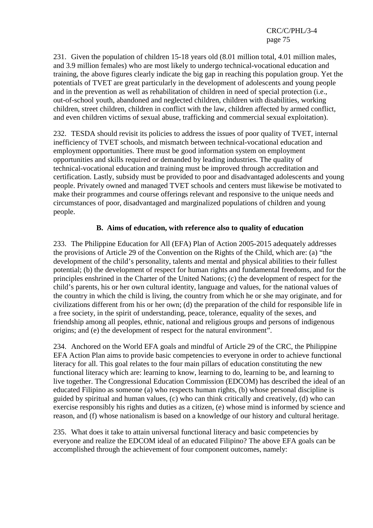231. Given the population of children 15-18 years old (8.01 million total, 4.01 million males, and 3.9 million females) who are most likely to undergo technical-vocational education and training, the above figures clearly indicate the big gap in reaching this population group. Yet the potentials of TVET are great particularly in the development of adolescents and young people and in the prevention as well as rehabilitation of children in need of special protection (i.e., out-of-school youth, abandoned and neglected children, children with disabilities, working children, street children, children in conflict with the law, children affected by armed conflict, and even children victims of sexual abuse, trafficking and commercial sexual exploitation).

232. TESDA should revisit its policies to address the issues of poor quality of TVET, internal inefficiency of TVET schools, and mismatch between technical-vocational education and employment opportunities. There must be good information system on employment opportunities and skills required or demanded by leading industries. The quality of technical-vocational education and training must be improved through accreditation and certification. Lastly, subsidy must be provided to poor and disadvantaged adolescents and young people. Privately owned and managed TVET schools and centers must likewise be motivated to make their programmes and course offerings relevant and responsive to the unique needs and circumstances of poor, disadvantaged and marginalized populations of children and young people.

### **B. Aims of education, with reference also to quality of education**

233. The Philippine Education for All (EFA) Plan of Action 2005-2015 adequately addresses the provisions of Article 29 of the Convention on the Rights of the Child, which are: (a) "the development of the child's personality, talents and mental and physical abilities to their fullest potential; (b) the development of respect for human rights and fundamental freedoms, and for the principles enshrined in the Charter of the United Nations; (c) the development of respect for the child's parents, his or her own cultural identity, language and values, for the national values of the country in which the child is living, the country from which he or she may originate, and for civilizations different from his or her own; (d) the preparation of the child for responsible life in a free society, in the spirit of understanding, peace, tolerance, equality of the sexes, and friendship among all peoples, ethnic, national and religious groups and persons of indigenous origins; and (e) the development of respect for the natural environment".

234. Anchored on the World EFA goals and mindful of Article 29 of the CRC, the Philippine EFA Action Plan aims to provide basic competencies to everyone in order to achieve functional literacy for all. This goal relates to the four main pillars of education constituting the new functional literacy which are: learning to know, learning to do, learning to be, and learning to live together. The Congressional Education Commission (EDCOM) has described the ideal of an educated Filipino as someone (a) who respects human rights, (b) whose personal discipline is guided by spiritual and human values, (c) who can think critically and creatively, (d) who can exercise responsibly his rights and duties as a citizen, (e) whose mind is informed by science and reason, and (f) whose nationalism is based on a knowledge of our history and cultural heritage.

235. What does it take to attain universal functional literacy and basic competencies by everyone and realize the EDCOM ideal of an educated Filipino? The above EFA goals can be accomplished through the achievement of four component outcomes, namely: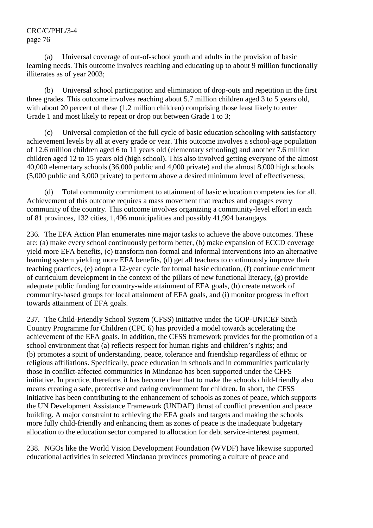(a) Universal coverage of out-of-school youth and adults in the provision of basic learning needs. This outcome involves reaching and educating up to about 9 million functionally illiterates as of year 2003;

 (b) Universal school participation and elimination of drop-outs and repetition in the first three grades. This outcome involves reaching about 5.7 million children aged 3 to 5 years old, with about 20 percent of these (1.2 million children) comprising those least likely to enter Grade 1 and most likely to repeat or drop out between Grade 1 to 3;

 (c) Universal completion of the full cycle of basic education schooling with satisfactory achievement levels by all at every grade or year. This outcome involves a school-age population of 12.6 million children aged 6 to 11 years old (elementary schooling) and another 7.6 million children aged 12 to 15 years old (high school). This also involved getting everyone of the almost 40,000 elementary schools (36,000 public and 4,000 private) and the almost 8,000 high schools (5,000 public and 3,000 private) to perform above a desired minimum level of effectiveness;

 (d) Total community commitment to attainment of basic education competencies for all. Achievement of this outcome requires a mass movement that reaches and engages every community of the country. This outcome involves organizing a community-level effort in each of 81 provinces, 132 cities, 1,496 municipalities and possibly 41,994 barangays.

236. The EFA Action Plan enumerates nine major tasks to achieve the above outcomes. These are: (a) make every school continuously perform better, (b) make expansion of ECCD coverage yield more EFA benefits, (c) transform non-formal and informal interventions into an alternative learning system yielding more EFA benefits, (d) get all teachers to continuously improve their teaching practices, (e) adopt a 12-year cycle for formal basic education, (f) continue enrichment of curriculum development in the context of the pillars of new functional literacy, (g) provide adequate public funding for country-wide attainment of EFA goals, (h) create network of community-based groups for local attainment of EFA goals, and (i) monitor progress in effort towards attainment of EFA goals.

237. The Child-Friendly School System (CFSS) initiative under the GOP-UNICEF Sixth Country Programme for Children (CPC 6) has provided a model towards accelerating the achievement of the EFA goals. In addition, the CFSS framework provides for the promotion of a school environment that (a) reflects respect for human rights and children's rights; and (b) promotes a spirit of understanding, peace, tolerance and friendship regardless of ethnic or religious affiliations. Specifically, peace education in schools and in communities particularly those in conflict-affected communities in Mindanao has been supported under the CFFS initiative. In practice, therefore, it has become clear that to make the schools child-friendly also means creating a safe, protective and caring environment for children. In short, the CFSS initiative has been contributing to the enhancement of schools as zones of peace, which supports the UN Development Assistance Framework (UNDAF) thrust of conflict prevention and peace building. A major constraint to achieving the EFA goals and targets and making the schools more fully child-friendly and enhancing them as zones of peace is the inadequate budgetary allocation to the education sector compared to allocation for debt service-interest payment.

238. NGOs like the World Vision Development Foundation (WVDF) have likewise supported educational activities in selected Mindanao provinces promoting a culture of peace and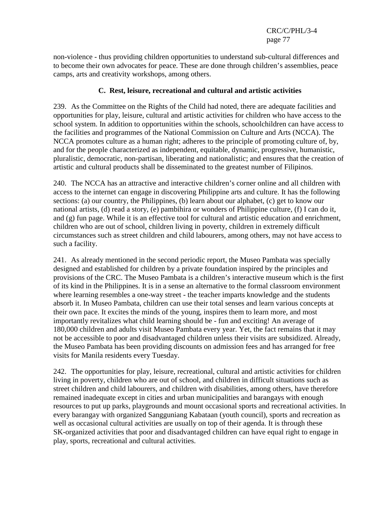non-violence - thus providing children opportunities to understand sub-cultural differences and to become their own advocates for peace. These are done through children's assemblies, peace camps, arts and creativity workshops, among others.

#### **C. Rest, leisure, recreational and cultural and artistic activities**

239. As the Committee on the Rights of the Child had noted, there are adequate facilities and opportunities for play, leisure, cultural and artistic activities for children who have access to the school system. In addition to opportunities within the schools, schoolchildren can have access to the facilities and programmes of the National Commission on Culture and Arts (NCCA). The NCCA promotes culture as a human right; adheres to the principle of promoting culture of, by, and for the people characterized as independent, equitable, dynamic, progressive, humanistic, pluralistic, democratic, non-partisan, liberating and nationalistic; and ensures that the creation of artistic and cultural products shall be disseminated to the greatest number of Filipinos.

240. The NCCA has an attractive and interactive children's corner online and all children with access to the internet can engage in discovering Philippine arts and culture. It has the following sections: (a) our country, the Philippines, (b) learn about our alphabet, (c) get to know our national artists, (d) read a story, (e) pambihira or wonders of Philippine culture, (f) I can do it, and (g) fun page. While it is an effective tool for cultural and artistic education and enrichment, children who are out of school, children living in poverty, children in extremely difficult circumstances such as street children and child labourers, among others, may not have access to such a facility.

241. As already mentioned in the second periodic report, the Museo Pambata was specially designed and established for children by a private foundation inspired by the principles and provisions of the CRC. The Museo Pambata is a children's interactive museum which is the first of its kind in the Philippines. It is in a sense an alternative to the formal classroom environment where learning resembles a one-way street - the teacher imparts knowledge and the students absorb it. In Museo Pambata, children can use their total senses and learn various concepts at their own pace. It excites the minds of the young, inspires them to learn more, and most importantly revitalizes what child learning should be - fun and exciting! An average of 180,000 children and adults visit Museo Pambata every year. Yet, the fact remains that it may not be accessible to poor and disadvantaged children unless their visits are subsidized. Already, the Museo Pambata has been providing discounts on admission fees and has arranged for free visits for Manila residents every Tuesday.

242. The opportunities for play, leisure, recreational, cultural and artistic activities for children living in poverty, children who are out of school, and children in difficult situations such as street children and child labourers, and children with disabilities, among others, have therefore remained inadequate except in cities and urban municipalities and barangays with enough resources to put up parks, playgrounds and mount occasional sports and recreational activities. In every barangay with organized Sangguniang Kabataan (youth council), sports and recreation as well as occasional cultural activities are usually on top of their agenda. It is through these SK-organized activities that poor and disadvantaged children can have equal right to engage in play, sports, recreational and cultural activities.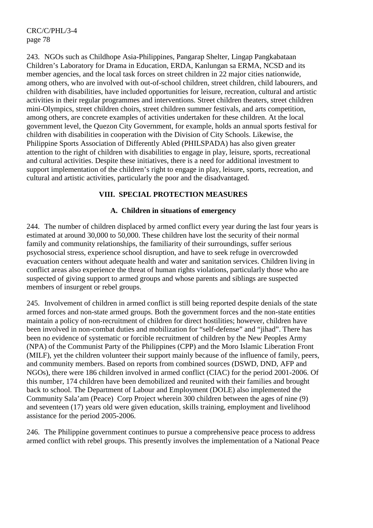243. NGOs such as Childhope Asia-Philippines, Pangarap Shelter, Lingap Pangkabataan Children's Laboratory for Drama in Education, ERDA, Kanlungan sa ERMA, NCSD and its member agencies, and the local task forces on street children in 22 major cities nationwide, among others, who are involved with out-of-school children, street children, child labourers, and children with disabilities, have included opportunities for leisure, recreation, cultural and artistic activities in their regular programmes and interventions. Street children theaters, street children mini-Olympics, street children choirs, street children summer festivals, and arts competition, among others, are concrete examples of activities undertaken for these children. At the local government level, the Quezon City Government, for example, holds an annual sports festival for children with disabilities in cooperation with the Division of City Schools. Likewise, the Philippine Sports Association of Differently Abled (PHILSPADA) has also given greater attention to the right of children with disabilities to engage in play, leisure, sports, recreational and cultural activities. Despite these initiatives, there is a need for additional investment to support implementation of the children's right to engage in play, leisure, sports, recreation, and cultural and artistic activities, particularly the poor and the disadvantaged.

## **VIII. SPECIAL PROTECTION MEASURES**

### **A. Children in situations of emergency**

244. The number of children displaced by armed conflict every year during the last four years is estimated at around 30,000 to 50,000. These children have lost the security of their normal family and community relationships, the familiarity of their surroundings, suffer serious psychosocial stress, experience school disruption, and have to seek refuge in overcrowded evacuation centers without adequate health and water and sanitation services. Children living in conflict areas also experience the threat of human rights violations, particularly those who are suspected of giving support to armed groups and whose parents and siblings are suspected members of insurgent or rebel groups.

245. Involvement of children in armed conflict is still being reported despite denials of the state armed forces and non-state armed groups. Both the government forces and the non-state entities maintain a policy of non-recruitment of children for direct hostilities; however, children have been involved in non-combat duties and mobilization for "self-defense" and "jihad". There has been no evidence of systematic or forcible recruitment of children by the New Peoples Army (NPA) of the Communist Party of the Philippines (CPP) and the Moro Islamic Liberation Front (MILF), yet the children volunteer their support mainly because of the influence of family, peers, and community members. Based on reports from combined sources (DSWD, DND, AFP and NGOs), there were 186 children involved in armed conflict (CIAC) for the period 2001-2006. Of this number, 174 children have been demobilized and reunited with their families and brought back to school. The Department of Labour and Employment (DOLE) also implemented the Community Sala'am (Peace) Corp Project wherein 300 children between the ages of nine (9) and seventeen (17) years old were given education, skills training, employment and livelihood assistance for the period 2005-2006.

246. The Philippine government continues to pursue a comprehensive peace process to address armed conflict with rebel groups. This presently involves the implementation of a National Peace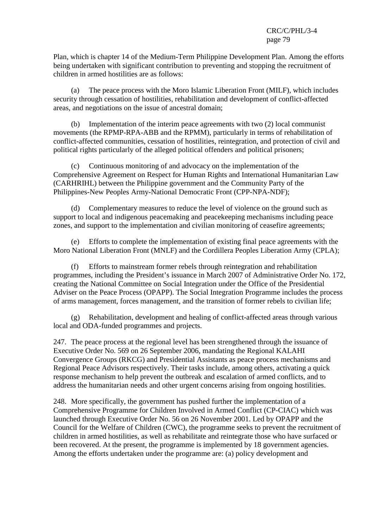Plan, which is chapter 14 of the Medium-Term Philippine Development Plan. Among the efforts being undertaken with significant contribution to preventing and stopping the recruitment of children in armed hostilities are as follows:

 (a) The peace process with the Moro Islamic Liberation Front (MILF), which includes security through cessation of hostilities, rehabilitation and development of conflict-affected areas, and negotiations on the issue of ancestral domain;

 (b) Implementation of the interim peace agreements with two (2) local communist movements (the RPMP-RPA-ABB and the RPMM), particularly in terms of rehabilitation of conflict-affected communities, cessation of hostilities, reintegration, and protection of civil and political rights particularly of the alleged political offenders and political prisoners;

 (c) Continuous monitoring of and advocacy on the implementation of the Comprehensive Agreement on Respect for Human Rights and International Humanitarian Law (CARHRIHL) between the Philippine government and the Community Party of the Philippines-New Peoples Army-National Democratic Front (CPP-NPA-NDF);

 (d) Complementary measures to reduce the level of violence on the ground such as support to local and indigenous peacemaking and peacekeeping mechanisms including peace zones, and support to the implementation and civilian monitoring of ceasefire agreements;

 (e) Efforts to complete the implementation of existing final peace agreements with the Moro National Liberation Front (MNLF) and the Cordillera Peoples Liberation Army (CPLA);

 (f) Efforts to mainstream former rebels through reintegration and rehabilitation programmes, including the President's issuance in March 2007 of Administrative Order No. 172, creating the National Committee on Social Integration under the Office of the Presidential Adviser on the Peace Process (OPAPP). The Social Integration Programme includes the process of arms management, forces management, and the transition of former rebels to civilian life;

 (g) Rehabilitation, development and healing of conflict-affected areas through various local and ODA-funded programmes and projects.

247. The peace process at the regional level has been strengthened through the issuance of Executive Order No. 569 on 26 September 2006, mandating the Regional KALAHI Convergence Groups (RKCG) and Presidential Assistants as peace process mechanisms and Regional Peace Advisors respectively. Their tasks include, among others, activating a quick response mechanism to help prevent the outbreak and escalation of armed conflicts, and to address the humanitarian needs and other urgent concerns arising from ongoing hostilities.

248. More specifically, the government has pushed further the implementation of a Comprehensive Programme for Children Involved in Armed Conflict (CP-CIAC) which was launched through Executive Order No. 56 on 26 November 2001. Led by OPAPP and the Council for the Welfare of Children (CWC), the programme seeks to prevent the recruitment of children in armed hostilities, as well as rehabilitate and reintegrate those who have surfaced or been recovered. At the present, the programme is implemented by 18 government agencies. Among the efforts undertaken under the programme are: (a) policy development and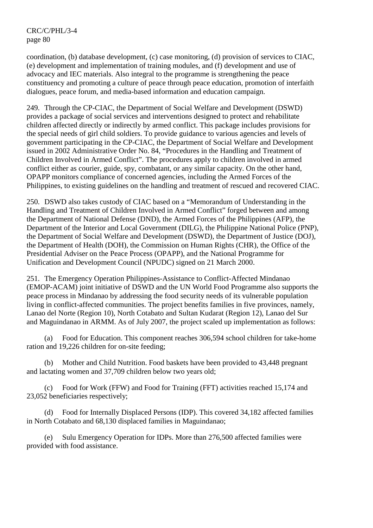coordination, (b) database development, (c) case monitoring, (d) provision of services to CIAC, (e) development and implementation of training modules, and (f) development and use of advocacy and IEC materials. Also integral to the programme is strengthening the peace constituency and promoting a culture of peace through peace education, promotion of interfaith dialogues, peace forum, and media-based information and education campaign.

249. Through the CP-CIAC, the Department of Social Welfare and Development (DSWD) provides a package of social services and interventions designed to protect and rehabilitate children affected directly or indirectly by armed conflict. This package includes provisions for the special needs of girl child soldiers. To provide guidance to various agencies and levels of government participating in the CP-CIAC, the Department of Social Welfare and Development issued in 2002 Administrative Order No. 84, "Procedures in the Handling and Treatment of Children Involved in Armed Conflict". The procedures apply to children involved in armed conflict either as courier, guide, spy, combatant, or any similar capacity. On the other hand, OPAPP monitors compliance of concerned agencies, including the Armed Forces of the Philippines, to existing guidelines on the handling and treatment of rescued and recovered CIAC.

250. DSWD also takes custody of CIAC based on a "Memorandum of Understanding in the Handling and Treatment of Children Involved in Armed Conflict" forged between and among the Department of National Defense (DND), the Armed Forces of the Philippines (AFP), the Department of the Interior and Local Government (DILG), the Philippine National Police (PNP), the Department of Social Welfare and Development (DSWD), the Department of Justice (DOJ), the Department of Health (DOH), the Commission on Human Rights (CHR), the Office of the Presidential Adviser on the Peace Process (OPAPP), and the National Programme for Unification and Development Council (NPUDC) signed on 21 March 2000.

251. The Emergency Operation Philippines-Assistance to Conflict-Affected Mindanao (EMOP-ACAM) joint initiative of DSWD and the UN World Food Programme also supports the peace process in Mindanao by addressing the food security needs of its vulnerable population living in conflict-affected communities. The project benefits families in five provinces, namely, Lanao del Norte (Region 10), North Cotabato and Sultan Kudarat (Region 12), Lanao del Sur and Maguindanao in ARMM. As of July 2007, the project scaled up implementation as follows:

 (a) Food for Education. This component reaches 306,594 school children for take-home ration and 19,226 children for on-site feeding;

 (b) Mother and Child Nutrition. Food baskets have been provided to 43,448 pregnant and lactating women and 37,709 children below two years old;

 (c) Food for Work (FFW) and Food for Training (FFT) activities reached 15,174 and 23,052 beneficiaries respectively;

 (d) Food for Internally Displaced Persons (IDP). This covered 34,182 affected families in North Cotabato and 68,130 displaced families in Maguindanao;

 (e) Sulu Emergency Operation for IDPs. More than 276,500 affected families were provided with food assistance.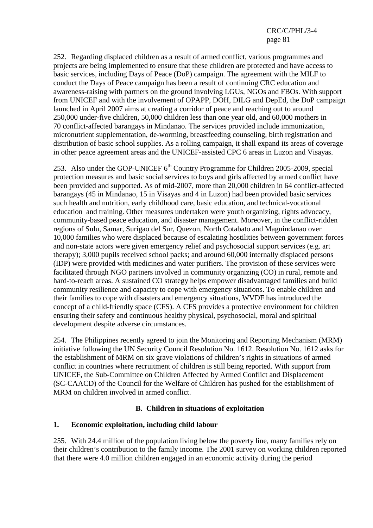252. Regarding displaced children as a result of armed conflict, various programmes and projects are being implemented to ensure that these children are protected and have access to basic services, including Days of Peace (DoP) campaign. The agreement with the MILF to conduct the Days of Peace campaign has been a result of continuing CRC education and awareness-raising with partners on the ground involving LGUs, NGOs and FBOs. With support from UNICEF and with the involvement of OPAPP, DOH, DILG and DepEd, the DoP campaign launched in April 2007 aims at creating a corridor of peace and reaching out to around 250,000 under-five children, 50,000 children less than one year old, and 60,000 mothers in 70 conflict-affected barangays in Mindanao. The services provided include immunization, micronutrient supplementation, de-worming, breastfeeding counseling, birth registration and distribution of basic school supplies. As a rolling campaign, it shall expand its areas of coverage in other peace agreement areas and the UNICEF-assisted CPC 6 areas in Luzon and Visayas.

253. Also under the GOP-UNICEF  $6<sup>th</sup>$  Country Programme for Children 2005-2009, special protection measures and basic social services to boys and girls affected by armed conflict have been provided and supported. As of mid-2007, more than 20,000 children in 64 conflict-affected barangays (45 in Mindanao, 15 in Visayas and 4 in Luzon) had been provided basic services such health and nutrition, early childhood care, basic education, and technical-vocational education and training. Other measures undertaken were youth organizing, rights advocacy, community-based peace education, and disaster management. Moreover, in the conflict-ridden regions of Sulu, Samar, Surigao del Sur, Quezon, North Cotabato and Maguindanao over 10,000 families who were displaced because of escalating hostilities between government forces and non-state actors were given emergency relief and psychosocial support services (e.g. art therapy); 3,000 pupils received school packs; and around 60,000 internally displaced persons (IDP) were provided with medicines and water purifiers. The provision of these services were facilitated through NGO partners involved in community organizing (CO) in rural, remote and hard-to-reach areas. A sustained CO strategy helps empower disadvantaged families and build community resilience and capacity to cope with emergency situations. To enable children and their families to cope with disasters and emergency situations, WVDF has introduced the concept of a child-friendly space (CFS). A CFS provides a protective environment for children ensuring their safety and continuous healthy physical, psychosocial, moral and spiritual development despite adverse circumstances.

254. The Philippines recently agreed to join the Monitoring and Reporting Mechanism (MRM) initiative following the UN Security Council Resolution No. 1612. Resolution No. 1612 asks for the establishment of MRM on six grave violations of children's rights in situations of armed conflict in countries where recruitment of children is still being reported. With support from UNICEF, the Sub-Committee on Children Affected by Armed Conflict and Displacement (SC-CAACD) of the Council for the Welfare of Children has pushed for the establishment of MRM on children involved in armed conflict.

### **B. Children in situations of exploitation**

### **1. Economic exploitation, including child labour**

255. With 24.4 million of the population living below the poverty line, many families rely on their children's contribution to the family income. The 2001 survey on working children reported that there were 4.0 million children engaged in an economic activity during the period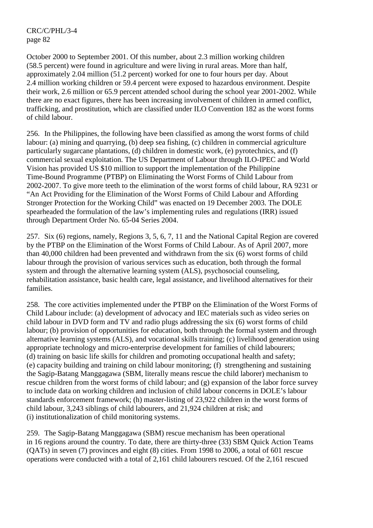October 2000 to September 2001. Of this number, about 2.3 million working children (58.5 percent) were found in agriculture and were living in rural areas. More than half, approximately 2.04 million (51.2 percent) worked for one to four hours per day. About 2.4 million working children or 59.4 percent were exposed to hazardous environment. Despite their work, 2.6 million or 65.9 percent attended school during the school year 2001-2002. While there are no exact figures, there has been increasing involvement of children in armed conflict, trafficking, and prostitution, which are classified under ILO Convention 182 as the worst forms of child labour.

256. In the Philippines, the following have been classified as among the worst forms of child labour: (a) mining and quarrying, (b) deep sea fishing, (c) children in commercial agriculture particularly sugarcane plantations, (d) children in domestic work, (e) pyrotechnics, and (f) commercial sexual exploitation. The US Department of Labour through ILO-IPEC and World Vision has provided US \$10 million to support the implementation of the Philippine Time-Bound Programme (PTBP) on Eliminating the Worst Forms of Child Labour from 2002-2007. To give more teeth to the elimination of the worst forms of child labour, RA 9231 or "An Act Providing for the Elimination of the Worst Forms of Child Labour and Affording Stronger Protection for the Working Child" was enacted on 19 December 2003. The DOLE spearheaded the formulation of the law's implementing rules and regulations (IRR) issued through Department Order No. 65-04 Series 2004.

257. Six (6) regions, namely, Regions 3, 5, 6, 7, 11 and the National Capital Region are covered by the PTBP on the Elimination of the Worst Forms of Child Labour. As of April 2007, more than 40,000 children had been prevented and withdrawn from the six (6) worst forms of child labour through the provision of various services such as education, both through the formal system and through the alternative learning system (ALS), psychosocial counseling, rehabilitation assistance, basic health care, legal assistance, and livelihood alternatives for their families.

258. The core activities implemented under the PTBP on the Elimination of the Worst Forms of Child Labour include: (a) development of advocacy and IEC materials such as video series on child labour in DVD form and TV and radio plugs addressing the six (6) worst forms of child labour; (b) provision of opportunities for education, both through the formal system and through alternative learning systems (ALS), and vocational skills training; (c) livelihood generation using appropriate technology and micro-enterprise development for families of child labourers; (d) training on basic life skills for children and promoting occupational health and safety; (e) capacity building and training on child labour monitoring; (f) strengthening and sustaining the Sagip-Batang Manggagawa (SBM, literally means rescue the child laborer) mechanism to rescue children from the worst forms of child labour; and (g) expansion of the labor force survey to include data on working children and inclusion of child labour concerns in DOLE's labour standards enforcement framework; (h) master-listing of 23,922 children in the worst forms of child labour, 3,243 siblings of child labourers, and 21,924 children at risk; and (i) institutionalization of child monitoring systems.

259. The Sagip-Batang Manggagawa (SBM) rescue mechanism has been operational in 16 regions around the country. To date, there are thirty-three (33) SBM Quick Action Teams (QATs) in seven (7) provinces and eight (8) cities. From 1998 to 2006, a total of 601 rescue operations were conducted with a total of 2,161 child labourers rescued. Of the 2,161 rescued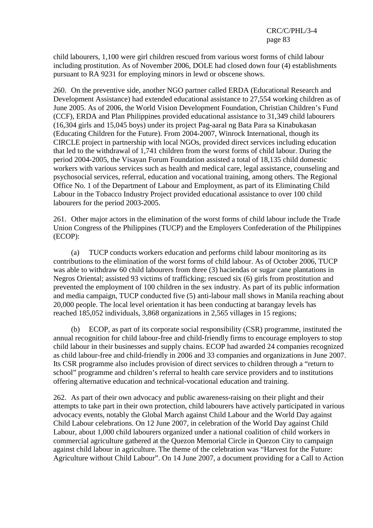child labourers, 1,100 were girl children rescued from various worst forms of child labour including prostitution. As of November 2006, DOLE had closed down four (4) establishments pursuant to RA 9231 for employing minors in lewd or obscene shows.

260. On the preventive side, another NGO partner called ERDA (Educational Research and Development Assistance) had extended educational assistance to 27,554 working children as of June 2005. As of 2006, the World Vision Development Foundation, Christian Children's Fund (CCF), ERDA and Plan Philippines provided educational assistance to 31,349 child labourers (16,304 girls and 15,045 boys) under its project Pag-aaral ng Bata Para sa Kinabukasan (Educating Children for the Future). From 2004-2007, Winrock International, though its CIRCLE project in partnership with local NGOs, provided direct services including education that led to the withdrawal of 1,741 children from the worst forms of child labour. During the period 2004-2005, the Visayan Forum Foundation assisted a total of 18,135 child domestic workers with various services such as health and medical care, legal assistance, counseling and psychosocial services, referral, education and vocational training, among others. The Regional Office No. 1 of the Department of Labour and Employment, as part of its Eliminating Child Labour in the Tobacco Industry Project provided educational assistance to over 100 child labourers for the period 2003-2005.

261. Other major actors in the elimination of the worst forms of child labour include the Trade Union Congress of the Philippines (TUCP) and the Employers Confederation of the Philippines (ECOP):

 (a) TUCP conducts workers education and performs child labour monitoring as its contributions to the elimination of the worst forms of child labour. As of October 2006, TUCP was able to withdraw 60 child labourers from three (3) haciendas or sugar cane plantations in Negros Oriental; assisted 93 victims of trafficking; rescued six (6) girls from prostitution and prevented the employment of 100 children in the sex industry. As part of its public information and media campaign, TUCP conducted five (5) anti-labour mall shows in Manila reaching about 20,000 people. The local level orientation it has been conducting at barangay levels has reached 185,052 individuals, 3,868 organizations in 2,565 villages in 15 regions;

 (b) ECOP, as part of its corporate social responsibility (CSR) programme, instituted the annual recognition for child labour-free and child-friendly firms to encourage employers to stop child labour in their businesses and supply chains. ECOP had awarded 24 companies recognized as child labour-free and child-friendly in 2006 and 33 companies and organizations in June 2007. Its CSR programme also includes provision of direct services to children through a "return to school" programme and children's referral to health care service providers and to institutions offering alternative education and technical-vocational education and training.

262. As part of their own advocacy and public awareness-raising on their plight and their attempts to take part in their own protection, child labourers have actively participated in various advocacy events, notably the Global March against Child Labour and the World Day against Child Labour celebrations. On 12 June 2007, in celebration of the World Day against Child Labour, about 1,000 child labourers organized under a national coalition of child workers in commercial agriculture gathered at the Quezon Memorial Circle in Quezon City to campaign against child labour in agriculture. The theme of the celebration was "Harvest for the Future: Agriculture without Child Labour". On 14 June 2007, a document providing for a Call to Action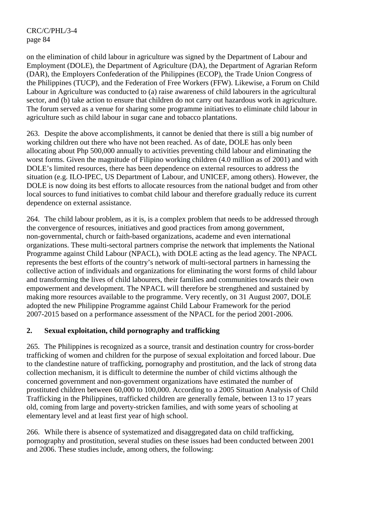on the elimination of child labour in agriculture was signed by the Department of Labour and Employment (DOLE), the Department of Agriculture (DA), the Department of Agrarian Reform (DAR), the Employers Confederation of the Philippines (ECOP), the Trade Union Congress of the Philippines (TUCP), and the Federation of Free Workers (FFW). Likewise, a Forum on Child Labour in Agriculture was conducted to (a) raise awareness of child labourers in the agricultural sector, and (b) take action to ensure that children do not carry out hazardous work in agriculture. The forum served as a venue for sharing some programme initiatives to eliminate child labour in agriculture such as child labour in sugar cane and tobacco plantations.

263. Despite the above accomplishments, it cannot be denied that there is still a big number of working children out there who have not been reached. As of date, DOLE has only been allocating about Php 500,000 annually to activities preventing child labour and eliminating the worst forms. Given the magnitude of Filipino working children (4.0 million as of 2001) and with DOLE's limited resources, there has been dependence on external resources to address the situation (e.g. ILO-IPEC, US Department of Labour, and UNICEF, among others). However, the DOLE is now doing its best efforts to allocate resources from the national budget and from other local sources to fund initiatives to combat child labour and therefore gradually reduce its current dependence on external assistance.

264. The child labour problem, as it is, is a complex problem that needs to be addressed through the convergence of resources, initiatives and good practices from among government, non-governmental, church or faith-based organizations, academe and even international organizations. These multi-sectoral partners comprise the network that implements the National Programme against Child Labour (NPACL), with DOLE acting as the lead agency. The NPACL represents the best efforts of the country's network of multi-sectoral partners in harnessing the collective action of individuals and organizations for eliminating the worst forms of child labour and transforming the lives of child labourers, their families and communities towards their own empowerment and development. The NPACL will therefore be strengthened and sustained by making more resources available to the programme. Very recently, on 31 August 2007, DOLE adopted the new Philippine Programme against Child Labour Framework for the period 2007-2015 based on a performance assessment of the NPACL for the period 2001-2006.

### **2. Sexual exploitation, child pornography and trafficking**

265. The Philippines is recognized as a source, transit and destination country for cross-border trafficking of women and children for the purpose of sexual exploitation and forced labour. Due to the clandestine nature of trafficking, pornography and prostitution, and the lack of strong data collection mechanism, it is difficult to determine the number of child victims although the concerned government and non-government organizations have estimated the number of prostituted children between 60,000 to 100,000. According to a 2005 Situation Analysis of Child Trafficking in the Philippines, trafficked children are generally female, between 13 to 17 years old, coming from large and poverty-stricken families, and with some years of schooling at elementary level and at least first year of high school.

266. While there is absence of systematized and disaggregated data on child trafficking, pornography and prostitution, several studies on these issues had been conducted between 2001 and 2006. These studies include, among others, the following: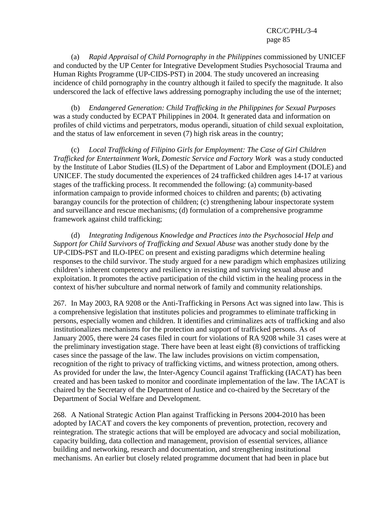(a) *Rapid Appraisal of Child Pornography in the Philippines* commissioned by UNICEF and conducted by the UP Center for Integrative Development Studies Psychosocial Trauma and Human Rights Programme (UP-CIDS-PST) in 2004. The study uncovered an increasing incidence of child pornography in the country although it failed to specify the magnitude. It also underscored the lack of effective laws addressing pornography including the use of the internet;

 (b) *Endangered Generation: Child Trafficking in the Philippines for Sexual Purposes* was a study conducted by ECPAT Philippines in 2004. It generated data and information on profiles of child victims and perpetrators, modus operandi, situation of child sexual exploitation, and the status of law enforcement in seven (7) high risk areas in the country;

 (c) *Local Trafficking of Filipino Girls for Employment: The Case of Girl Children Trafficked for Entertainment Work, Domestic Service and Factory Work* was a study conducted by the Institute of Labor Studies (ILS) of the Department of Labor and Employment (DOLE) and UNICEF. The study documented the experiences of 24 trafficked children ages 14-17 at various stages of the trafficking process. It recommended the following: (a) community-based information campaign to provide informed choices to children and parents; (b) activating barangay councils for the protection of children; (c) strengthening labour inspectorate system and surveillance and rescue mechanisms; (d) formulation of a comprehensive programme framework against child trafficking;

Integrating Indigenous Knowledge and Practices into the Psychosocial Help and *Support for Child Survivors of Trafficking and Sexual Abuse* was another study done by the UP-CIDS-PST and ILO-IPEC on present and existing paradigms which determine healing responses to the child survivor. The study argued for a new paradigm which emphasizes utilizing children's inherent competency and resiliency in resisting and surviving sexual abuse and exploitation. It promotes the active participation of the child victim in the healing process in the context of his/her subculture and normal network of family and community relationships.

267. In May 2003, RA 9208 or the Anti-Trafficking in Persons Act was signed into law. This is a comprehensive legislation that institutes policies and programmes to eliminate trafficking in persons, especially women and children. It identifies and criminalizes acts of trafficking and also institutionalizes mechanisms for the protection and support of trafficked persons. As of January 2005, there were 24 cases filed in court for violations of RA 9208 while 31 cases were at the preliminary investigation stage. There have been at least eight (8) convictions of trafficking cases since the passage of the law. The law includes provisions on victim compensation, recognition of the right to privacy of trafficking victims, and witness protection, among others. As provided for under the law, the Inter-Agency Council against Trafficking (IACAT) has been created and has been tasked to monitor and coordinate implementation of the law. The IACAT is chaired by the Secretary of the Department of Justice and co-chaired by the Secretary of the Department of Social Welfare and Development.

268. A National Strategic Action Plan against Trafficking in Persons 2004-2010 has been adopted by IACAT and covers the key components of prevention, protection, recovery and reintegration. The strategic actions that will be employed are advocacy and social mobilization, capacity building, data collection and management, provision of essential services, alliance building and networking, research and documentation, and strengthening institutional mechanisms. An earlier but closely related programme document that had been in place but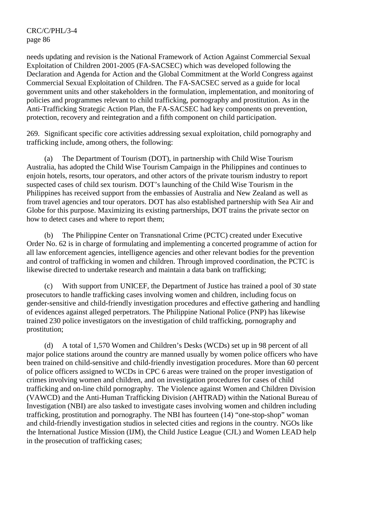needs updating and revision is the National Framework of Action Against Commercial Sexual Exploitation of Children 2001-2005 (FA-SACSEC) which was developed following the Declaration and Agenda for Action and the Global Commitment at the World Congress against Commercial Sexual Exploitation of Children. The FA-SACSEC served as a guide for local government units and other stakeholders in the formulation, implementation, and monitoring of policies and programmes relevant to child trafficking, pornography and prostitution. As in the Anti-Trafficking Strategic Action Plan, the FA-SACSEC had key components on prevention, protection, recovery and reintegration and a fifth component on child participation.

269. Significant specific core activities addressing sexual exploitation, child pornography and trafficking include, among others, the following:

 (a) The Department of Tourism (DOT), in partnership with Child Wise Tourism Australia, has adopted the Child Wise Tourism Campaign in the Philippines and continues to enjoin hotels, resorts, tour operators, and other actors of the private tourism industry to report suspected cases of child sex tourism. DOT's launching of the Child Wise Tourism in the Philippines has received support from the embassies of Australia and New Zealand as well as from travel agencies and tour operators. DOT has also established partnership with Sea Air and Globe for this purpose. Maximizing its existing partnerships, DOT trains the private sector on how to detect cases and where to report them;

 (b) The Philippine Center on Transnational Crime (PCTC) created under Executive Order No. 62 is in charge of formulating and implementing a concerted programme of action for all law enforcement agencies, intelligence agencies and other relevant bodies for the prevention and control of trafficking in women and children. Through improved coordination, the PCTC is likewise directed to undertake research and maintain a data bank on trafficking;

 (c) With support from UNICEF, the Department of Justice has trained a pool of 30 state prosecutors to handle trafficking cases involving women and children, including focus on gender-sensitive and child-friendly investigation procedures and effective gathering and handling of evidences against alleged perpetrators. The Philippine National Police (PNP) has likewise trained 230 police investigators on the investigation of child trafficking, pornography and prostitution;

 (d) A total of 1,570 Women and Children's Desks (WCDs) set up in 98 percent of all major police stations around the country are manned usually by women police officers who have been trained on child-sensitive and child-friendly investigation procedures. More than 60 percent of police officers assigned to WCDs in CPC 6 areas were trained on the proper investigation of crimes involving women and children, and on investigation procedures for cases of child trafficking and on-line child pornography. The Violence against Women and Children Division (VAWCD) and the Anti-Human Trafficking Division (AHTRAD) within the National Bureau of Investigation (NBI) are also tasked to investigate cases involving women and children including trafficking, prostitution and pornography. The NBI has fourteen (14) "one-stop-shop" woman and child-friendly investigation studios in selected cities and regions in the country. NGOs like the International Justice Mission (IJM), the Child Justice League (CJL) and Women LEAD help in the prosecution of trafficking cases;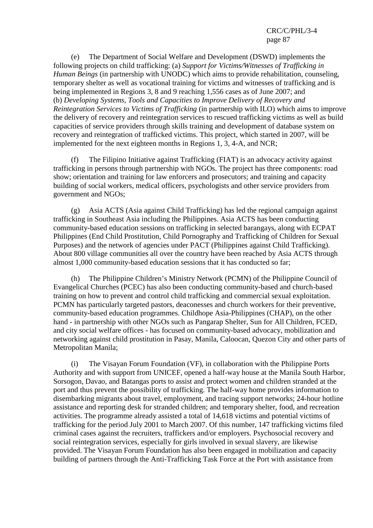(e) The Department of Social Welfare and Development (DSWD) implements the following projects on child trafficking: (a) *Support for Victims/Witnesses of Trafficking in Human Beings* (in partnership with UNODC) which aims to provide rehabilitation, counseling, temporary shelter as well as vocational training for victims and witnesses of trafficking and is being implemented in Regions 3, 8 and 9 reaching 1,556 cases as of June 2007; and (b) *Developing Systems, Tools and Capacities to Improve Delivery of Recovery and Reintegration Services to Victims of Trafficking* (in partnership with ILO) which aims to improve the delivery of recovery and reintegration services to rescued trafficking victims as well as build capacities of service providers through skills training and development of database system on recovery and reintegration of trafficked victims. This project, which started in 2007, will be implemented for the next eighteen months in Regions 1, 3, 4-A, and NCR;

 (f) The Filipino Initiative against Trafficking (FIAT) is an advocacy activity against trafficking in persons through partnership with NGOs. The project has three components: road show; orientation and training for law enforcers and prosecutors; and training and capacity building of social workers, medical officers, psychologists and other service providers from government and NGOs;

 (g) Asia ACTS (Asia against Child Trafficking) has led the regional campaign against trafficking in Southeast Asia including the Philippines. Asia ACTS has been conducting community-based education sessions on trafficking in selected barangays, along with ECPAT Philippines (End Child Prostitution, Child Pornography and Trafficking of Children for Sexual Purposes) and the network of agencies under PACT (Philippines against Child Trafficking). About 800 village communities all over the country have been reached by Asia ACTS through almost 1,000 community-based education sessions that it has conducted so far;

 (h) The Philippine Children's Ministry Network (PCMN) of the Philippine Council of Evangelical Churches (PCEC) has also been conducting community-based and church-based training on how to prevent and control child trafficking and commercial sexual exploitation. PCMN has particularly targeted pastors, deaconesses and church workers for their preventive, community-based education programmes. Childhope Asia-Philippines (CHAP), on the other hand - in partnership with other NGOs such as Pangarap Shelter, Sun for All Children, FCED, and city social welfare offices - has focused on community-based advocacy, mobilization and networking against child prostitution in Pasay, Manila, Caloocan, Quezon City and other parts of Metropolitan Manila;

 (i) The Visayan Forum Foundation (VF), in collaboration with the Philippine Ports Authority and with support from UNICEF, opened a half-way house at the Manila South Harbor, Sorsogon, Davao, and Batangas ports to assist and protect women and children stranded at the port and thus prevent the possibility of trafficking. The half-way home provides information to disembarking migrants about travel, employment, and tracing support networks; 24-hour hotline assistance and reporting desk for stranded children; and temporary shelter, food, and recreation activities. The programme already assisted a total of 14,618 victims and potential victims of trafficking for the period July 2001 to March 2007. Of this number, 147 trafficking victims filed criminal cases against the recruiters, traffickers and/or employers. Psychosocial recovery and social reintegration services, especially for girls involved in sexual slavery, are likewise provided. The Visayan Forum Foundation has also been engaged in mobilization and capacity building of partners through the Anti-Trafficking Task Force at the Port with assistance from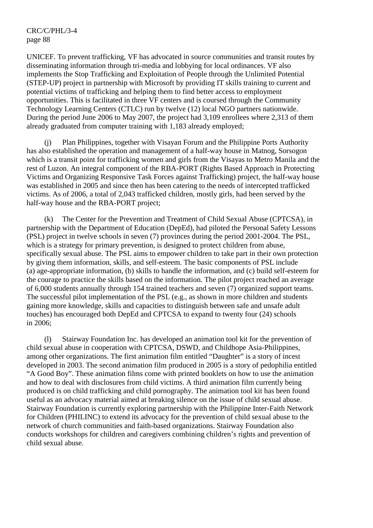UNICEF. To prevent trafficking, VF has advocated in source communities and transit routes by disseminating information through tri-media and lobbying for local ordinances. VF also implements the Stop Trafficking and Exploitation of People through the Unlimited Potential (STEP-UP) project in partnership with Microsoft by providing IT skills training to current and potential victims of trafficking and helping them to find better access to employment opportunities. This is facilitated in three VF centers and is coursed through the Community Technology Learning Centers (CTLC) run by twelve (12) local NGO partners nationwide. During the period June 2006 to May 2007, the project had 3,109 enrollees where 2,313 of them already graduated from computer training with 1,183 already employed;

 (j) Plan Philippines, together with Visayan Forum and the Philippine Ports Authority has also established the operation and management of a half-way house in Matnog, Sorsogon which is a transit point for trafficking women and girls from the Visayas to Metro Manila and the rest of Luzon. An integral component of the RBA-PORT (Rights Based Approach in Protecting Victims and Organizing Responsive Task Forces against Trafficking) project, the half-way house was established in 2005 and since then has been catering to the needs of intercepted trafficked victims. As of 2006, a total of 2,043 trafficked children, mostly girls, had been served by the half-way house and the RBA-PORT project;

 (k) The Center for the Prevention and Treatment of Child Sexual Abuse (CPTCSA), in partnership with the Department of Education (DepEd), had piloted the Personal Safety Lessons (PSL) project in twelve schools in seven (7) provinces during the period 2001-2004. The PSL, which is a strategy for primary prevention, is designed to protect children from abuse, specifically sexual abuse. The PSL aims to empower children to take part in their own protection by giving them information, skills, and self-esteem. The basic components of PSL include (a) age-appropriate information, (b) skills to handle the information, and (c) build self-esteem for the courage to practice the skills based on the information. The pilot project reached an average of 6,000 students annually through 154 trained teachers and seven (7) organized support teams. The successful pilot implementation of the PSL (e.g., as shown in more children and students gaining more knowledge, skills and capacities to distinguish between safe and unsafe adult touches) has encouraged both DepEd and CPTCSA to expand to twenty four (24) schools in 2006;

 (l) Stairway Foundation Inc. has developed an animation tool kit for the prevention of child sexual abuse in cooperation with CPTCSA, DSWD, and Childhope Asia-Philippines, among other organizations. The first animation film entitled "Daughter" is a story of incest developed in 2003. The second animation film produced in 2005 is a story of pedophilia entitled "A Good Boy". These animation films come with printed booklets on how to use the animation and how to deal with disclosures from child victims. A third animation film currently being produced is on child trafficking and child pornography. The animation tool kit has been found useful as an advocacy material aimed at breaking silence on the issue of child sexual abuse. Stairway Foundation is currently exploring partnership with the Philippine Inter-Faith Network for Children (PHILINC) to extend its advocacy for the prevention of child sexual abuse to the network of church communities and faith-based organizations. Stairway Foundation also conducts workshops for children and caregivers combining children's rights and prevention of child sexual abuse.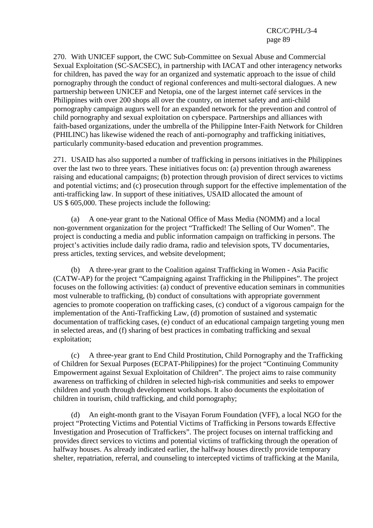270. With UNICEF support, the CWC Sub-Committee on Sexual Abuse and Commercial Sexual Exploitation (SC-SACSEC), in partnership with IACAT and other interagency networks for children, has paved the way for an organized and systematic approach to the issue of child pornography through the conduct of regional conferences and multi-sectoral dialogues. A new partnership between UNICEF and Netopia, one of the largest internet café services in the Philippines with over 200 shops all over the country, on internet safety and anti-child pornography campaign augurs well for an expanded network for the prevention and control of child pornography and sexual exploitation on cyberspace. Partnerships and alliances with faith-based organizations, under the umbrella of the Philippine Inter-Faith Network for Children (PHILINC) has likewise widened the reach of anti-pornography and trafficking initiatives, particularly community-based education and prevention programmes.

271. USAID has also supported a number of trafficking in persons initiatives in the Philippines over the last two to three years. These initiatives focus on: (a) prevention through awareness raising and educational campaigns; (b) protection through provision of direct services to victims and potential victims; and (c) prosecution through support for the effective implementation of the anti-trafficking law. In support of these initiatives, USAID allocated the amount of US \$ 605,000. These projects include the following:

 (a) A one-year grant to the National Office of Mass Media (NOMM) and a local non-government organization for the project "Trafficked! The Selling of Our Women". The project is conducting a media and public information campaign on trafficking in persons. The project's activities include daily radio drama, radio and television spots, TV documentaries, press articles, texting services, and website development;

 (b) A three-year grant to the Coalition against Trafficking in Women - Asia Pacific (CATW-AP) for the project "Campaigning against Trafficking in the Philippines". The project focuses on the following activities: (a) conduct of preventive education seminars in communities most vulnerable to trafficking, (b) conduct of consultations with appropriate government agencies to promote cooperation on trafficking cases, (c) conduct of a vigorous campaign for the implementation of the Anti-Trafficking Law, (d) promotion of sustained and systematic documentation of trafficking cases, (e) conduct of an educational campaign targeting young men in selected areas, and (f) sharing of best practices in combating trafficking and sexual exploitation;

 (c) A three-year grant to End Child Prostitution, Child Pornography and the Trafficking of Children for Sexual Purposes (ECPAT-Philippines) for the project "Continuing Community Empowerment against Sexual Exploitation of Children". The project aims to raise community awareness on trafficking of children in selected high-risk communities and seeks to empower children and youth through development workshops. It also documents the exploitation of children in tourism, child trafficking, and child pornography;

 (d) An eight-month grant to the Visayan Forum Foundation (VFF), a local NGO for the project "Protecting Victims and Potential Victims of Trafficking in Persons towards Effective Investigation and Prosecution of Traffickers". The project focuses on internal trafficking and provides direct services to victims and potential victims of trafficking through the operation of halfway houses. As already indicated earlier, the halfway houses directly provide temporary shelter, repatriation, referral, and counseling to intercepted victims of trafficking at the Manila,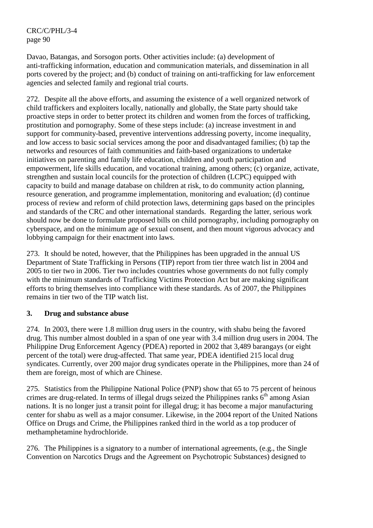Davao, Batangas, and Sorsogon ports. Other activities include: (a) development of anti-trafficking information, education and communication materials, and dissemination in all ports covered by the project; and (b) conduct of training on anti-trafficking for law enforcement agencies and selected family and regional trial courts.

272. Despite all the above efforts, and assuming the existence of a well organized network of child traffickers and exploiters locally, nationally and globally, the State party should take proactive steps in order to better protect its children and women from the forces of trafficking, prostitution and pornography. Some of these steps include: (a) increase investment in and support for community-based, preventive interventions addressing poverty, income inequality, and low access to basic social services among the poor and disadvantaged families; (b) tap the networks and resources of faith communities and faith-based organizations to undertake initiatives on parenting and family life education, children and youth participation and empowerment, life skills education, and vocational training, among others; (c) organize, activate, strengthen and sustain local councils for the protection of children (LCPC) equipped with capacity to build and manage database on children at risk, to do community action planning, resource generation, and programme implementation, monitoring and evaluation; (d) continue process of review and reform of child protection laws, determining gaps based on the principles and standards of the CRC and other international standards. Regarding the latter, serious work should now be done to formulate proposed bills on child pornography, including pornography on cyberspace, and on the minimum age of sexual consent, and then mount vigorous advocacy and lobbying campaign for their enactment into laws.

273. It should be noted, however, that the Philippines has been upgraded in the annual US Department of State Trafficking in Persons (TIP) report from tier three watch list in 2004 and 2005 to tier two in 2006. Tier two includes countries whose governments do not fully comply with the minimum standards of Trafficking Victims Protection Act but are making significant efforts to bring themselves into compliance with these standards. As of 2007, the Philippines remains in tier two of the TIP watch list.

### **3. Drug and substance abuse**

274. In 2003, there were 1.8 million drug users in the country, with shabu being the favored drug. This number almost doubled in a span of one year with 3.4 million drug users in 2004. The Philippine Drug Enforcement Agency (PDEA) reported in 2002 that 3,489 barangays (or eight percent of the total) were drug-affected. That same year, PDEA identified 215 local drug syndicates. Currently, over 200 major drug syndicates operate in the Philippines, more than 24 of them are foreign, most of which are Chinese.

275. Statistics from the Philippine National Police (PNP) show that 65 to 75 percent of heinous crimes are drug-related. In terms of illegal drugs seized the Philippines ranks  $6<sup>th</sup>$  among Asian nations. It is no longer just a transit point for illegal drug; it has become a major manufacturing center for shabu as well as a major consumer. Likewise, in the 2004 report of the United Nations Office on Drugs and Crime, the Philippines ranked third in the world as a top producer of methamphetamine hydrochloride.

276. The Philippines is a signatory to a number of international agreements, (e.g., the Single Convention on Narcotics Drugs and the Agreement on Psychotropic Substances) designed to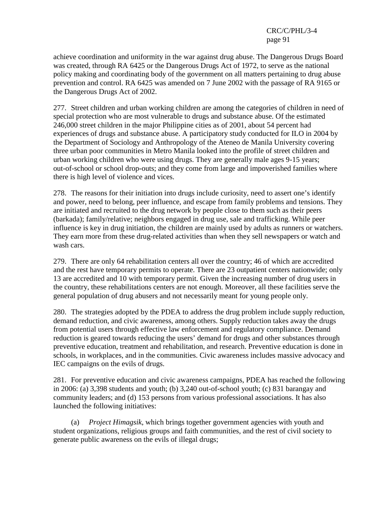achieve coordination and uniformity in the war against drug abuse. The Dangerous Drugs Board was created, through RA 6425 or the Dangerous Drugs Act of 1972, to serve as the national policy making and coordinating body of the government on all matters pertaining to drug abuse prevention and control. RA 6425 was amended on 7 June 2002 with the passage of RA 9165 or the Dangerous Drugs Act of 2002.

277. Street children and urban working children are among the categories of children in need of special protection who are most vulnerable to drugs and substance abuse. Of the estimated 246,000 street children in the major Philippine cities as of 2001, about 54 percent had experiences of drugs and substance abuse. A participatory study conducted for ILO in 2004 by the Department of Sociology and Anthropology of the Ateneo de Manila University covering three urban poor communities in Metro Manila looked into the profile of street children and urban working children who were using drugs. They are generally male ages 9-15 years; out-of-school or school drop-outs; and they come from large and impoverished families where there is high level of violence and vices.

278. The reasons for their initiation into drugs include curiosity, need to assert one's identify and power, need to belong, peer influence, and escape from family problems and tensions. They are initiated and recruited to the drug network by people close to them such as their peers (barkada); family/relative; neighbors engaged in drug use, sale and trafficking. While peer influence is key in drug initiation, the children are mainly used by adults as runners or watchers. They earn more from these drug-related activities than when they sell newspapers or watch and wash cars.

279. There are only 64 rehabilitation centers all over the country; 46 of which are accredited and the rest have temporary permits to operate. There are 23 outpatient centers nationwide; only 13 are accredited and 10 with temporary permit. Given the increasing number of drug users in the country, these rehabilitations centers are not enough. Moreover, all these facilities serve the general population of drug abusers and not necessarily meant for young people only.

280. The strategies adopted by the PDEA to address the drug problem include supply reduction, demand reduction, and civic awareness, among others. Supply reduction takes away the drugs from potential users through effective law enforcement and regulatory compliance. Demand reduction is geared towards reducing the users' demand for drugs and other substances through preventive education, treatment and rehabilitation, and research. Preventive education is done in schools, in workplaces, and in the communities. Civic awareness includes massive advocacy and IEC campaigns on the evils of drugs.

281. For preventive education and civic awareness campaigns, PDEA has reached the following in 2006: (a) 3,398 students and youth; (b) 3,240 out-of-school youth; (c) 831 barangay and community leaders; and (d) 153 persons from various professional associations. It has also launched the following initiatives:

 (a) *Project Himagsik*, which brings together government agencies with youth and student organizations, religious groups and faith communities, and the rest of civil society to generate public awareness on the evils of illegal drugs;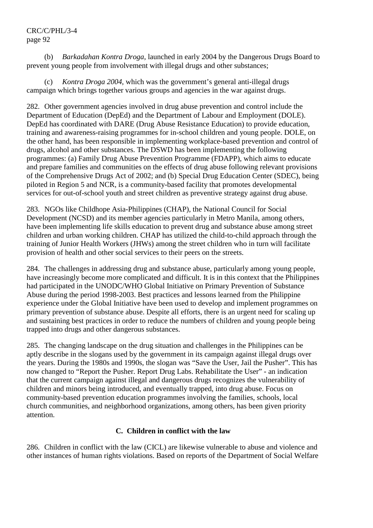(b) *Barkadahan Kontra Droga*, launched in early 2004 by the Dangerous Drugs Board to prevent young people from involvement with illegal drugs and other substances;

 (c) *Kontra Droga 2004*, which was the government's general anti-illegal drugs campaign which brings together various groups and agencies in the war against drugs.

282. Other government agencies involved in drug abuse prevention and control include the Department of Education (DepEd) and the Department of Labour and Employment (DOLE). DepEd has coordinated with DARE (Drug Abuse Resistance Education) to provide education, training and awareness-raising programmes for in-school children and young people. DOLE, on the other hand, has been responsible in implementing workplace-based prevention and control of drugs, alcohol and other substances. The DSWD has been implementing the following programmes: (a) Family Drug Abuse Prevention Programme (FDAPP), which aims to educate and prepare families and communities on the effects of drug abuse following relevant provisions of the Comprehensive Drugs Act of 2002; and (b) Special Drug Education Center (SDEC), being piloted in Region 5 and NCR, is a community-based facility that promotes developmental services for out-of-school youth and street children as preventive strategy against drug abuse.

283. NGOs like Childhope Asia-Philippines (CHAP), the National Council for Social Development (NCSD) and its member agencies particularly in Metro Manila, among others, have been implementing life skills education to prevent drug and substance abuse among street children and urban working children. CHAP has utilized the child-to-child approach through the training of Junior Health Workers (JHWs) among the street children who in turn will facilitate provision of health and other social services to their peers on the streets.

284. The challenges in addressing drug and substance abuse, particularly among young people, have increasingly become more complicated and difficult. It is in this context that the Philippines had participated in the UNODC/WHO Global Initiative on Primary Prevention of Substance Abuse during the period 1998-2003. Best practices and lessons learned from the Philippine experience under the Global Initiative have been used to develop and implement programmes on primary prevention of substance abuse. Despite all efforts, there is an urgent need for scaling up and sustaining best practices in order to reduce the numbers of children and young people being trapped into drugs and other dangerous substances.

285. The changing landscape on the drug situation and challenges in the Philippines can be aptly describe in the slogans used by the government in its campaign against illegal drugs over the years. During the 1980s and 1990s, the slogan was "Save the User, Jail the Pusher". This has now changed to "Report the Pusher. Report Drug Labs. Rehabilitate the User" - an indication that the current campaign against illegal and dangerous drugs recognizes the vulnerability of children and minors being introduced, and eventually trapped, into drug abuse. Focus on community-based prevention education programmes involving the families, schools, local church communities, and neighborhood organizations, among others, has been given priority attention.

### **C. Children in conflict with the law**

286. Children in conflict with the law (CICL) are likewise vulnerable to abuse and violence and other instances of human rights violations. Based on reports of the Department of Social Welfare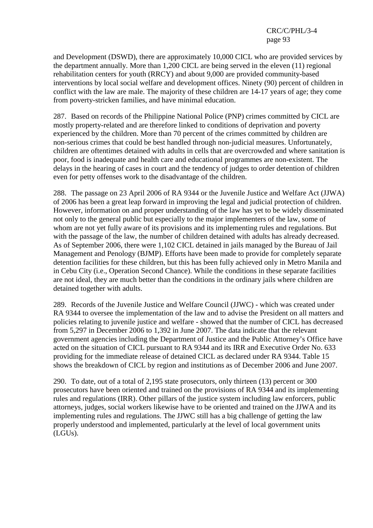and Development (DSWD), there are approximately 10,000 CICL who are provided services by the department annually. More than 1,200 CICL are being served in the eleven (11) regional rehabilitation centers for youth (RRCY) and about 9,000 are provided community-based interventions by local social welfare and development offices. Ninety (90) percent of children in conflict with the law are male. The majority of these children are 14-17 years of age; they come from poverty-stricken families, and have minimal education.

287. Based on records of the Philippine National Police (PNP) crimes committed by CICL are mostly property-related and are therefore linked to conditions of deprivation and poverty experienced by the children. More than 70 percent of the crimes committed by children are non-serious crimes that could be best handled through non-judicial measures. Unfortunately, children are oftentimes detained with adults in cells that are overcrowded and where sanitation is poor, food is inadequate and health care and educational programmes are non-existent. The delays in the hearing of cases in court and the tendency of judges to order detention of children even for petty offenses work to the disadvantage of the children.

288. The passage on 23 April 2006 of RA 9344 or the Juvenile Justice and Welfare Act (JJWA) of 2006 has been a great leap forward in improving the legal and judicial protection of children. However, information on and proper understanding of the law has yet to be widely disseminated not only to the general public but especially to the major implementers of the law, some of whom are not yet fully aware of its provisions and its implementing rules and regulations. But with the passage of the law, the number of children detained with adults has already decreased. As of September 2006, there were 1,102 CICL detained in jails managed by the Bureau of Jail Management and Penology (BJMP). Efforts have been made to provide for completely separate detention facilities for these children, but this has been fully achieved only in Metro Manila and in Cebu City (i.e., Operation Second Chance). While the conditions in these separate facilities are not ideal, they are much better than the conditions in the ordinary jails where children are detained together with adults.

289. Records of the Juvenile Justice and Welfare Council (JJWC) - which was created under RA 9344 to oversee the implementation of the law and to advise the President on all matters and policies relating to juvenile justice and welfare - showed that the number of CICL has decreased from 5,297 in December 2006 to 1,392 in June 2007. The data indicate that the relevant government agencies including the Department of Justice and the Public Attorney's Office have acted on the situation of CICL pursuant to RA 9344 and its IRR and Executive Order No. 633 providing for the immediate release of detained CICL as declared under RA 9344. Table 15 shows the breakdown of CICL by region and institutions as of December 2006 and June 2007.

290. To date, out of a total of 2,195 state prosecutors, only thirteen (13) percent or 300 prosecutors have been oriented and trained on the provisions of RA 9344 and its implementing rules and regulations (IRR). Other pillars of the justice system including law enforcers, public attorneys, judges, social workers likewise have to be oriented and trained on the JJWA and its implementing rules and regulations. The JJWC still has a big challenge of getting the law properly understood and implemented, particularly at the level of local government units (LGUs).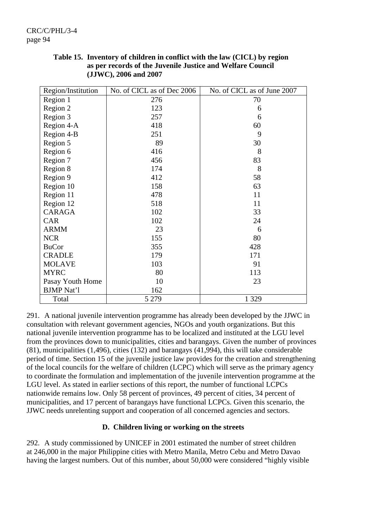| Region/Institution | No. of CICL as of Dec 2006 | No. of CICL as of June 2007 |
|--------------------|----------------------------|-----------------------------|
| Region 1           | 276                        | 70                          |
| Region 2           | 123                        | 6                           |
| Region 3           | 257                        | 6                           |
| Region 4-A         | 418                        | 60                          |
| Region 4-B         | 251                        | 9                           |
| Region 5           | 89                         | 30                          |
| Region 6           | 416                        | 8                           |
| Region 7           | 456                        | 83                          |
| Region 8           | 174                        | 8                           |
| Region 9           | 412                        | 58                          |
| Region 10          | 158                        | 63                          |
| Region 11          | 478                        | 11                          |
| Region 12          | 518                        | 11                          |
| <b>CARAGA</b>      | 102                        | 33                          |
| <b>CAR</b>         | 102                        | 24                          |
| <b>ARMM</b>        | 23                         | 6                           |
| <b>NCR</b>         | 155                        | 80                          |
| <b>BuCor</b>       | 355                        | 428                         |
| <b>CRADLE</b>      | 179                        | 171                         |
| <b>MOLAVE</b>      | 103                        | 91                          |
| <b>MYRC</b>        | 80                         | 113                         |
| Pasay Youth Home   | 10                         | 23                          |
| <b>BJMP</b> Nat'l  | 162                        |                             |
| Total              | 5 2 7 9                    | 1 3 2 9                     |

**Table 15. Inventory of children in conflict with the law (CICL) by region as per records of the Juvenile Justice and Welfare Council (JJWC), 2006 and 2007** 

291. A national juvenile intervention programme has already been developed by the JJWC in consultation with relevant government agencies, NGOs and youth organizations. But this national juvenile intervention programme has to be localized and instituted at the LGU level from the provinces down to municipalities, cities and barangays. Given the number of provinces (81), municipalities (1,496), cities (132) and barangays (41,994), this will take considerable period of time. Section 15 of the juvenile justice law provides for the creation and strengthening of the local councils for the welfare of children (LCPC) which will serve as the primary agency to coordinate the formulation and implementation of the juvenile intervention programme at the LGU level. As stated in earlier sections of this report, the number of functional LCPCs nationwide remains low. Only 58 percent of provinces, 49 percent of cities, 34 percent of municipalities, and 17 percent of barangays have functional LCPCs. Given this scenario, the JJWC needs unrelenting support and cooperation of all concerned agencies and sectors.

### **D. Children living or working on the streets**

292. A study commissioned by UNICEF in 2001 estimated the number of street children at 246,000 in the major Philippine cities with Metro Manila, Metro Cebu and Metro Davao having the largest numbers. Out of this number, about 50,000 were considered "highly visible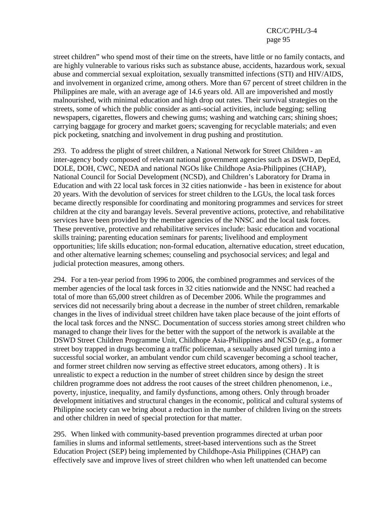street children" who spend most of their time on the streets, have little or no family contacts, and are highly vulnerable to various risks such as substance abuse, accidents, hazardous work, sexual abuse and commercial sexual exploitation, sexually transmitted infections (STI) and HIV/AIDS, and involvement in organized crime, among others. More than 67 percent of street children in the Philippines are male, with an average age of 14.6 years old. All are impoverished and mostly malnourished, with minimal education and high drop out rates. Their survival strategies on the streets, some of which the public consider as anti-social activities, include begging; selling newspapers, cigarettes, flowers and chewing gums; washing and watching cars; shining shoes; carrying baggage for grocery and market goers; scavenging for recyclable materials; and even pick pocketing, snatching and involvement in drug pushing and prostitution.

293. To address the plight of street children, a National Network for Street Children - an inter-agency body composed of relevant national government agencies such as DSWD, DepEd, DOLE, DOH, CWC, NEDA and national NGOs like Childhope Asia-Philippines (CHAP), National Council for Social Development (NCSD), and Children's Laboratory for Drama in Education and with 22 local task forces in 32 cities nationwide - has been in existence for about 20 years. With the devolution of services for street children to the LGUs, the local task forces became directly responsible for coordinating and monitoring programmes and services for street children at the city and barangay levels. Several preventive actions, protective, and rehabilitative services have been provided by the member agencies of the NNSC and the local task forces. These preventive, protective and rehabilitative services include: basic education and vocational skills training; parenting education seminars for parents; livelihood and employment opportunities; life skills education; non-formal education, alternative education, street education, and other alternative learning schemes; counseling and psychosocial services; and legal and judicial protection measures, among others.

294. For a ten-year period from 1996 to 2006, the combined programmes and services of the member agencies of the local task forces in 32 cities nationwide and the NNSC had reached a total of more than 65,000 street children as of December 2006. While the programmes and services did not necessarily bring about a decrease in the number of street children, remarkable changes in the lives of individual street children have taken place because of the joint efforts of the local task forces and the NNSC. Documentation of success stories among street children who managed to change their lives for the better with the support of the network is available at the DSWD Street Children Programme Unit, Childhope Asia-Philippines and NCSD (e.g., a former street boy trapped in drugs becoming a traffic policeman, a sexually abused girl turning into a successful social worker, an ambulant vendor cum child scavenger becoming a school teacher, and former street children now serving as effective street educators, among others) . It is unrealistic to expect a reduction in the number of street children since by design the street children programme does not address the root causes of the street children phenomenon, i.e., poverty, injustice, inequality, and family dysfunctions, among others. Only through broader development initiatives and structural changes in the economic, political and cultural systems of Philippine society can we bring about a reduction in the number of children living on the streets and other children in need of special protection for that matter.

295. When linked with community-based prevention programmes directed at urban poor families in slums and informal settlements, street-based interventions such as the Street Education Project (SEP) being implemented by Childhope-Asia Philippines (CHAP) can effectively save and improve lives of street children who when left unattended can become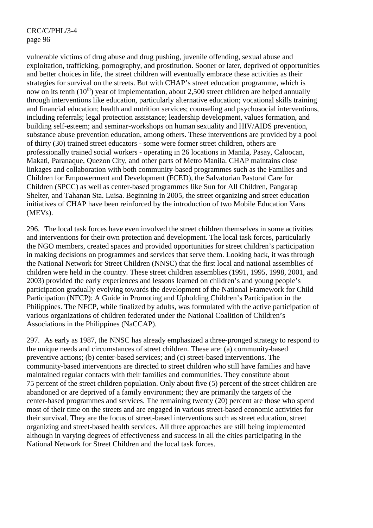vulnerable victims of drug abuse and drug pushing, juvenile offending, sexual abuse and exploitation, trafficking, pornography, and prostitution. Sooner or later, deprived of opportunities and better choices in life, the street children will eventually embrace these activities as their strategies for survival on the streets. But with CHAP's street education programme, which is now on its tenth  $(10<sup>th</sup>)$  year of implementation, about 2,500 street children are helped annually through interventions like education, particularly alternative education; vocational skills training and financial education; health and nutrition services; counseling and psychosocial interventions, including referrals; legal protection assistance; leadership development, values formation, and building self-esteem; and seminar-workshops on human sexuality and HIV/AIDS prevention, substance abuse prevention education, among others. These interventions are provided by a pool of thirty (30) trained street educators - some were former street children, others are professionally trained social workers - operating in 26 locations in Manila, Pasay, Caloocan, Makati, Paranaque, Quezon City, and other parts of Metro Manila. CHAP maintains close linkages and collaboration with both community-based programmes such as the Families and Children for Empowerment and Development (FCED), the Salvatorian Pastoral Care for Children (SPCC) as well as center-based programmes like Sun for All Children, Pangarap Shelter, and Tahanan Sta. Luisa. Beginning in 2005, the street organizing and street education initiatives of CHAP have been reinforced by the introduction of two Mobile Education Vans (MEVs).

296. The local task forces have even involved the street children themselves in some activities and interventions for their own protection and development. The local task forces, particularly the NGO members, created spaces and provided opportunities for street children's participation in making decisions on programmes and services that serve them. Looking back, it was through the National Network for Street Children (NNSC) that the first local and national assemblies of children were held in the country. These street children assemblies (1991, 1995, 1998, 2001, and 2003) provided the early experiences and lessons learned on children's and young people's participation gradually evolving towards the development of the National Framework for Child Participation (NFCP): A Guide in Promoting and Upholding Children's Participation in the Philippines. The NFCP, while finalized by adults, was formulated with the active participation of various organizations of children federated under the National Coalition of Children's Associations in the Philippines (NaCCAP).

297. As early as 1987, the NNSC has already emphasized a three-pronged strategy to respond to the unique needs and circumstances of street children. These are: (a) community-based preventive actions; (b) center-based services; and (c) street-based interventions. The community-based interventions are directed to street children who still have families and have maintained regular contacts with their families and communities. They constitute about 75 percent of the street children population. Only about five (5) percent of the street children are abandoned or are deprived of a family environment; they are primarily the targets of the center-based programmes and services. The remaining twenty (20) percent are those who spend most of their time on the streets and are engaged in various street-based economic activities for their survival. They are the focus of street-based interventions such as street education, street organizing and street-based health services. All three approaches are still being implemented although in varying degrees of effectiveness and success in all the cities participating in the National Network for Street Children and the local task forces.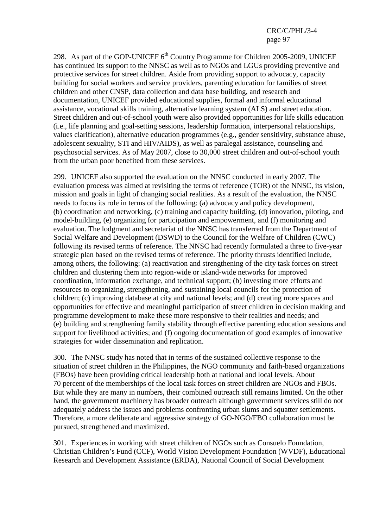298. As part of the GOP-UNICEF  $6<sup>th</sup>$  Country Programme for Children 2005-2009, UNICEF has continued its support to the NNSC as well as to NGOs and LGUs providing preventive and protective services for street children. Aside from providing support to advocacy, capacity building for social workers and service providers, parenting education for families of street children and other CNSP, data collection and data base building, and research and documentation, UNICEF provided educational supplies, formal and informal educational assistance, vocational skills training, alternative learning system (ALS) and street education. Street children and out-of-school youth were also provided opportunities for life skills education (i.e., life planning and goal-setting sessions, leadership formation, interpersonal relationships, values clarification), alternative education programmes (e.g., gender sensitivity, substance abuse, adolescent sexuality, STI and HIV/AIDS), as well as paralegal assistance, counseling and psychosocial services. As of May 2007, close to 30,000 street children and out-of-school youth from the urban poor benefited from these services.

299. UNICEF also supported the evaluation on the NNSC conducted in early 2007. The evaluation process was aimed at revisiting the terms of reference (TOR) of the NNSC, its vision, mission and goals in light of changing social realities. As a result of the evaluation, the NNSC needs to focus its role in terms of the following: (a) advocacy and policy development, (b) coordination and networking, (c) training and capacity building, (d) innovation, piloting, and model-building, (e) organizing for participation and empowerment, and (f) monitoring and evaluation. The lodgment and secretariat of the NNSC has transferred from the Department of Social Welfare and Development (DSWD) to the Council for the Welfare of Children (CWC) following its revised terms of reference. The NNSC had recently formulated a three to five-year strategic plan based on the revised terms of reference. The priority thrusts identified include, among others, the following: (a) reactivation and strengthening of the city task forces on street children and clustering them into region-wide or island-wide networks for improved coordination, information exchange, and technical support; (b) investing more efforts and resources to organizing, strengthening, and sustaining local councils for the protection of children; (c) improving database at city and national levels; and (d) creating more spaces and opportunities for effective and meaningful participation of street children in decision making and programme development to make these more responsive to their realities and needs; and (e) building and strengthening family stability through effective parenting education sessions and support for livelihood activities; and (f) ongoing documentation of good examples of innovative strategies for wider dissemination and replication.

300. The NNSC study has noted that in terms of the sustained collective response to the situation of street children in the Philippines, the NGO community and faith-based organizations (FBOs) have been providing critical leadership both at national and local levels. About 70 percent of the memberships of the local task forces on street children are NGOs and FBOs. But while they are many in numbers, their combined outreach still remains limited. On the other hand, the government machinery has broader outreach although government services still do not adequately address the issues and problems confronting urban slums and squatter settlements. Therefore, a more deliberate and aggressive strategy of GO-NGO/FBO collaboration must be pursued, strengthened and maximized.

301. Experiences in working with street children of NGOs such as Consuelo Foundation, Christian Children's Fund (CCF), World Vision Development Foundation (WVDF), Educational Research and Development Assistance (ERDA), National Council of Social Development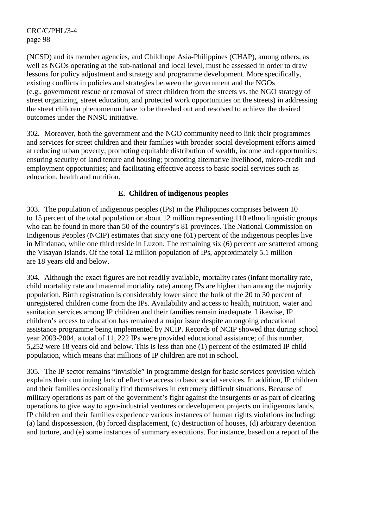(NCSD) and its member agencies, and Childhope Asia-Philippines (CHAP), among others, as well as NGOs operating at the sub-national and local level, must be assessed in order to draw lessons for policy adjustment and strategy and programme development. More specifically, existing conflicts in policies and strategies between the government and the NGOs (e.g., government rescue or removal of street children from the streets vs. the NGO strategy of street organizing, street education, and protected work opportunities on the streets) in addressing the street children phenomenon have to be threshed out and resolved to achieve the desired outcomes under the NNSC initiative.

302. Moreover, both the government and the NGO community need to link their programmes and services for street children and their families with broader social development efforts aimed at reducing urban poverty; promoting equitable distribution of wealth, income and opportunities; ensuring security of land tenure and housing; promoting alternative livelihood, micro-credit and employment opportunities; and facilitating effective access to basic social services such as education, health and nutrition.

### **E. Children of indigenous peoples**

303. The population of indigenous peoples (IPs) in the Philippines comprises between 10 to 15 percent of the total population or about 12 million representing 110 ethno linguistic groups who can be found in more than 50 of the country's 81 provinces. The National Commission on Indigenous Peoples (NCIP) estimates that sixty one (61) percent of the indigenous peoples live in Mindanao, while one third reside in Luzon. The remaining six (6) percent are scattered among the Visayan Islands. Of the total 12 million population of IPs, approximately 5.1 million are 18 years old and below.

304. Although the exact figures are not readily available, mortality rates (infant mortality rate, child mortality rate and maternal mortality rate) among IPs are higher than among the majority population. Birth registration is considerably lower since the bulk of the 20 to 30 percent of unregistered children come from the IPs. Availability and access to health, nutrition, water and sanitation services among IP children and their families remain inadequate. Likewise, IP children's access to education has remained a major issue despite an ongoing educational assistance programme being implemented by NCIP. Records of NCIP showed that during school year 2003-2004, a total of 11, 222 IPs were provided educational assistance; of this number, 5,252 were 18 years old and below. This is less than one (1) percent of the estimated IP child population, which means that millions of IP children are not in school.

305. The IP sector remains "invisible" in programme design for basic services provision which explains their continuing lack of effective access to basic social services. In addition, IP children and their families occasionally find themselves in extremely difficult situations. Because of military operations as part of the government's fight against the insurgents or as part of clearing operations to give way to agro-industrial ventures or development projects on indigenous lands, IP children and their families experience various instances of human rights violations including: (a) land dispossession, (b) forced displacement, (c) destruction of houses, (d) arbitrary detention and torture, and (e) some instances of summary executions. For instance, based on a report of the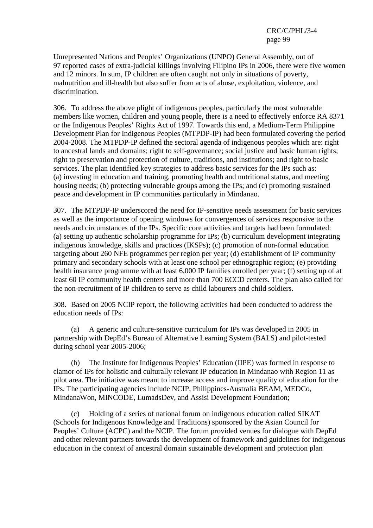Unrepresented Nations and Peoples' Organizations (UNPO) General Assembly, out of 97 reported cases of extra-judicial killings involving Filipino IPs in 2006, there were five women and 12 minors. In sum, IP children are often caught not only in situations of poverty, malnutrition and ill-health but also suffer from acts of abuse, exploitation, violence, and discrimination.

306. To address the above plight of indigenous peoples, particularly the most vulnerable members like women, children and young people, there is a need to effectively enforce RA 8371 or the Indigenous Peoples' Rights Act of 1997. Towards this end, a Medium-Term Philippine Development Plan for Indigenous Peoples (MTPDP-IP) had been formulated covering the period 2004-2008. The MTPDP-IP defined the sectoral agenda of indigenous peoples which are: right to ancestral lands and domains; right to self-governance; social justice and basic human rights; right to preservation and protection of culture, traditions, and institutions; and right to basic services. The plan identified key strategies to address basic services for the IPs such as: (a) investing in education and training, promoting health and nutritional status, and meeting housing needs; (b) protecting vulnerable groups among the IPs; and (c) promoting sustained peace and development in IP communities particularly in Mindanao.

307. The MTPDP-IP underscored the need for IP-sensitive needs assessment for basic services as well as the importance of opening windows for convergences of services responsive to the needs and circumstances of the IPs. Specific core activities and targets had been formulated: (a) setting up authentic scholarship programme for IPs; (b) curriculum development integrating indigenous knowledge, skills and practices (IKSPs); (c) promotion of non-formal education targeting about 260 NFE programmes per region per year; (d) establishment of IP community primary and secondary schools with at least one school per ethnographic region; (e) providing health insurance programme with at least 6,000 IP families enrolled per year; (f) setting up of at least 60 IP community health centers and more than 700 ECCD centers. The plan also called for the non-recruitment of IP children to serve as child labourers and child soldiers.

308. Based on 2005 NCIP report, the following activities had been conducted to address the education needs of IPs:

 (a) A generic and culture-sensitive curriculum for IPs was developed in 2005 in partnership with DepEd's Bureau of Alternative Learning System (BALS) and pilot-tested during school year 2005-2006;

 (b) The Institute for Indigenous Peoples' Education (IIPE) was formed in response to clamor of IPs for holistic and culturally relevant IP education in Mindanao with Region 11 as pilot area. The initiative was meant to increase access and improve quality of education for the IPs. The participating agencies include NCIP, Philippines-Australia BEAM, MEDCo, MindanaWon, MINCODE, LumadsDev, and Assisi Development Foundation;

 (c) Holding of a series of national forum on indigenous education called SIKAT (Schools for Indigenous Knowledge and Traditions) sponsored by the Asian Council for Peoples' Culture (ACPC) and the NCIP. The forum provided venues for dialogue with DepEd and other relevant partners towards the development of framework and guidelines for indigenous education in the context of ancestral domain sustainable development and protection plan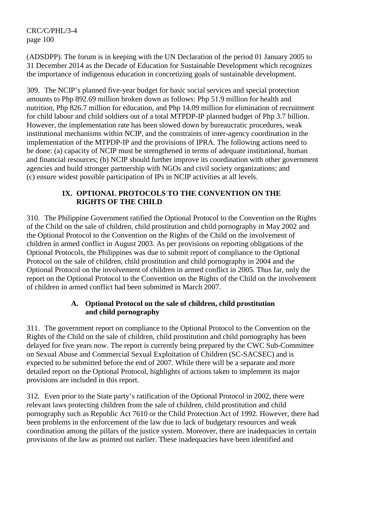(ADSDPP). The forum is in keeping with the UN Declaration of the period 01 January 2005 to 31 December 2014 as the Decade of Education for Sustainable Development which recognizes the importance of indigenous education in concretizing goals of sustainable development.

309. The NCIP's planned five-year budget for basic social services and special protection amounts to Php 892.69 million broken down as follows: Php 51.9 million for health and nutrition, Php 826.7 million for education, and Php 14.09 million for elimination of recruitment for child labour and child soldiers out of a total MTPDP-IP planned budget of Php 3.7 billion. However, the implementation rate has been slowed down by bureaucratic procedures, weak institutional mechanisms within NCIP, and the constraints of inter-agency coordination in the implementation of the MTPDP-IP and the provisions of IPRA. The following actions need to be done: (a) capacity of NCIP must be strengthened in terms of adequate institutional, human and financial resources; (b) NCIP should further improve its coordination with other government agencies and build stronger partnership with NGOs and civil society organizations; and (c) ensure widest possible participation of IPs in NCIP activities at all levels.

# **IX. OPTIONAL PROTOCOLS TO THE CONVENTION ON THE RIGHTS OF THE CHILD**

310. The Philippine Government ratified the Optional Protocol to the Convention on the Rights of the Child on the sale of children, child prostitution and child pornography in May 2002 and the Optional Protocol to the Convention on the Rights of the Child on the involvement of children in armed conflict in August 2003. As per provisions on reporting obligations of the Optional Protocols, the Philippines was due to submit report of compliance to the Optional Protocol on the sale of children, child prostitution and child pornography in 2004 and the Optional Protocol on the involvement of children in armed conflict in 2005. Thus far, only the report on the Optional Protocol to the Convention on the Rights of the Child on the involvement of children in armed conflict had been submitted in March 2007.

### **A. Optional Protocol on the sale of children, child prostitution and child pornography**

311. The government report on compliance to the Optional Protocol to the Convention on the Rights of the Child on the sale of children, child prostitution and child pornography has been delayed for five years now. The report is currently being prepared by the CWC Sub-Committee on Sexual Abuse and Commercial Sexual Exploitation of Children (SC-SACSEC) and is expected to be submitted before the end of 2007. While there will be a separate and more detailed report on the Optional Protocol, highlights of actions taken to implement its major provisions are included in this report.

312. Even prior to the State party's ratification of the Optional Protocol in 2002, there were relevant laws protecting children from the sale of children, child prostitution and child pornography such as Republic Act 7610 or the Child Protection Act of 1992. However, there had been problems in the enforcement of the law due to lack of budgetary resources and weak coordination among the pillars of the justice system. Moreover, there are inadequacies in certain provisions of the law as pointed out earlier. These inadequacies have been identified and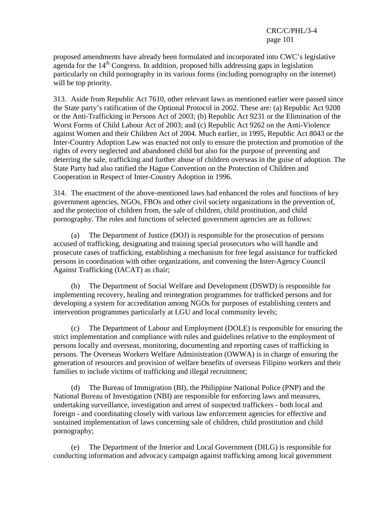proposed amendments have already been formulated and incorporated into CWC's legislative agenda for the  $14<sup>th</sup>$  Congress. In addition, proposed bills addressing gaps in legislation particularly on child pornography in its various forms (including pornography on the internet) will be top priority.

313. Aside from Republic Act 7610, other relevant laws as mentioned earlier were passed since the State party's ratification of the Optional Protocol in 2002. These are: (a) Republic Act 9208 or the Anti-Trafficking in Persons Act of 2003; (b) Republic Act 9231 or the Elimination of the Worst Forms of Child Labour Act of 2003; and (c) Republic Act 9262 on the Anti-Violence against Women and their Children Act of 2004. Much earlier, in 1995, Republic Act 8043 or the Inter-Country Adoption Law was enacted not only to ensure the protection and promotion of the rights of every neglected and abandoned child but also for the purpose of preventing and deterring the sale, trafficking and further abuse of children overseas in the guise of adoption. The State Party had also ratified the Hague Convention on the Protection of Children and Cooperation in Respect of Inter-Country Adoption in 1996.

314. The enactment of the above-mentioned laws had enhanced the roles and functions of key government agencies, NGOs, FBOs and other civil society organizations in the prevention of, and the protection of children from, the sale of children, child prostitution, and child pornography. The roles and functions of selected government agencies are as follows:

 (a) The Department of Justice (DOJ) is responsible for the prosecution of persons accused of trafficking, designating and training special prosecutors who will handle and prosecute cases of trafficking, establishing a mechanism for free legal assistance for trafficked persons in coordination with other organizations, and convening the Inter-Agency Council Against Trafficking (IACAT) as chair;

 (b) The Department of Social Welfare and Development (DSWD) is responsible for implementing recovery, healing and reintegration programmes for trafficked persons and for developing a system for accreditation among NGOs for purposes of establishing centers and intervention programmes particularly at LGU and local community levels;

 (c) The Department of Labour and Employment (DOLE) is responsible for ensuring the strict implementation and compliance with rules and guidelines relative to the employment of persons locally and overseas, monitoring, documenting and reporting cases of trafficking in persons. The Overseas Workers Welfare Administration (OWWA) is in charge of ensuring the generation of resources and provision of welfare benefits of overseas Filipino workers and their families to include victims of trafficking and illegal recruitment;

 (d) The Bureau of Immigration (BI), the Philippine National Police (PNP) and the National Bureau of Investigation (NBI) are responsible for enforcing laws and measures, undertaking surveillance, investigation and arrest of suspected traffickers - both local and foreign - and coordinating closely with various law enforcement agencies for effective and sustained implementation of laws concerning sale of children, child prostitution and child pornography;

 (e) The Department of the Interior and Local Government (DILG) is responsible for conducting information and advocacy campaign against trafficking among local government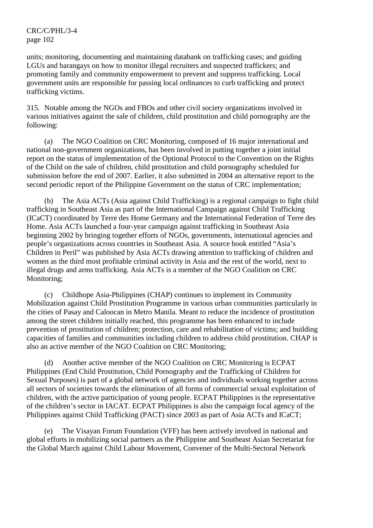units; monitoring, documenting and maintaining databank on trafficking cases; and guiding LGUs and barangays on how to monitor illegal recruiters and suspected traffickers; and promoting family and community empowerment to prevent and suppress trafficking. Local government units are responsible for passing local ordinances to curb trafficking and protect trafficking victims.

315. Notable among the NGOs and FBOs and other civil society organizations involved in various initiatives against the sale of children, child prostitution and child pornography are the following:

 (a) The NGO Coalition on CRC Monitoring, composed of 16 major international and national non-government organizations, has been involved in putting together a joint initial report on the status of implementation of the Optional Protocol to the Convention on the Rights of the Child on the sale of children, child prostitution and child pornography scheduled for submission before the end of 2007. Earlier, it also submitted in 2004 an alternative report to the second periodic report of the Philippine Government on the status of CRC implementation;

 (b) The Asia ACTs (Asia against Child Trafficking) is a regional campaign to fight child trafficking in Southeast Asia as part of the International Campaign against Child Trafficking (ICaCT) coordinated by Terre des Home Germany and the International Federation of Terre des Home. Asia ACTs launched a four-year campaign against trafficking in Southeast Asia beginning 2002 by bringing together efforts of NGOs, governments, international agencies and people's organizations across countries in Southeast Asia. A source book entitled "Asia's Children in Peril" was published by Asia ACTs drawing attention to trafficking of children and women as the third most profitable criminal activity in Asia and the rest of the world, next to illegal drugs and arms trafficking. Asia ACTs is a member of the NGO Coalition on CRC Monitoring;

 (c) Childhope Asia-Philippines (CHAP) continues to implement its Community Mobilization against Child Prostitution Programme in various urban communities particularly in the cities of Pasay and Caloocan in Metro Manila. Meant to reduce the incidence of prostitution among the street children initially reached, this programme has been enhanced to include prevention of prostitution of children; protection, care and rehabilitation of victims; and building capacities of families and communities including children to address child prostitution. CHAP is also an active member of the NGO Coalition on CRC Monitoring;

 (d) Another active member of the NGO Coalition on CRC Monitoring is ECPAT Philippines (End Child Prostitution, Child Pornography and the Trafficking of Children for Sexual Purposes) is part of a global network of agencies and individuals working together across all sectors of societies towards the elimination of all forms of commercial sexual exploitation of children, with the active participation of young people. ECPAT Philippines is the representative of the children's sector in IACAT. ECPAT Philippines is also the campaign focal agency of the Philippines against Child Trafficking (PACT) since 2003 as part of Asia ACTs and ICaCT;

The Visayan Forum Foundation (VFF) has been actively involved in national and global efforts in mobilizing social partners as the Philippine and Southeast Asian Secretariat for the Global March against Child Labour Movement, Convener of the Multi-Sectoral Network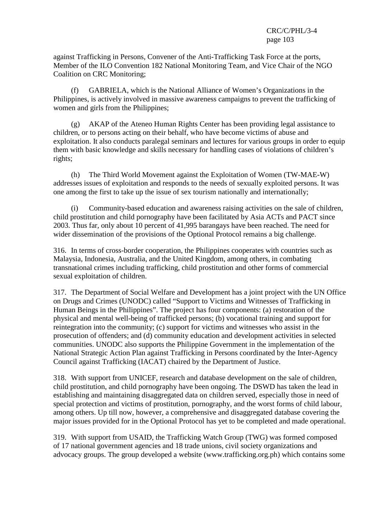against Trafficking in Persons, Convener of the Anti-Trafficking Task Force at the ports, Member of the ILO Convention 182 National Monitoring Team, and Vice Chair of the NGO Coalition on CRC Monitoring;

 (f) GABRIELA, which is the National Alliance of Women's Organizations in the Philippines, is actively involved in massive awareness campaigns to prevent the trafficking of women and girls from the Philippines;

 (g) AKAP of the Ateneo Human Rights Center has been providing legal assistance to children, or to persons acting on their behalf, who have become victims of abuse and exploitation. It also conducts paralegal seminars and lectures for various groups in order to equip them with basic knowledge and skills necessary for handling cases of violations of children's rights;

 (h) The Third World Movement against the Exploitation of Women (TW-MAE-W) addresses issues of exploitation and responds to the needs of sexually exploited persons. It was one among the first to take up the issue of sex tourism nationally and internationally;

 (i) Community-based education and awareness raising activities on the sale of children, child prostitution and child pornography have been facilitated by Asia ACTs and PACT since 2003. Thus far, only about 10 percent of 41,995 barangays have been reached. The need for wider dissemination of the provisions of the Optional Protocol remains a big challenge.

316. In terms of cross-border cooperation, the Philippines cooperates with countries such as Malaysia, Indonesia, Australia, and the United Kingdom, among others, in combating transnational crimes including trafficking, child prostitution and other forms of commercial sexual exploitation of children.

317. The Department of Social Welfare and Development has a joint project with the UN Office on Drugs and Crimes (UNODC) called "Support to Victims and Witnesses of Trafficking in Human Beings in the Philippines". The project has four components: (a) restoration of the physical and mental well-being of trafficked persons; (b) vocational training and support for reintegration into the community; (c) support for victims and witnesses who assist in the prosecution of offenders; and (d) community education and development activities in selected communities. UNODC also supports the Philippine Government in the implementation of the National Strategic Action Plan against Trafficking in Persons coordinated by the Inter-Agency Council against Trafficking (IACAT) chaired by the Department of Justice.

318. With support from UNICEF, research and database development on the sale of children, child prostitution, and child pornography have been ongoing. The DSWD has taken the lead in establishing and maintaining disaggregated data on children served, especially those in need of special protection and victims of prostitution, pornography, and the worst forms of child labour, among others. Up till now, however, a comprehensive and disaggregated database covering the major issues provided for in the Optional Protocol has yet to be completed and made operational.

319. With support from USAID, the Trafficking Watch Group (TWG) was formed composed of 17 national government agencies and 18 trade unions, civil society organizations and advocacy groups. The group developed a website (www.trafficking.org.ph) which contains some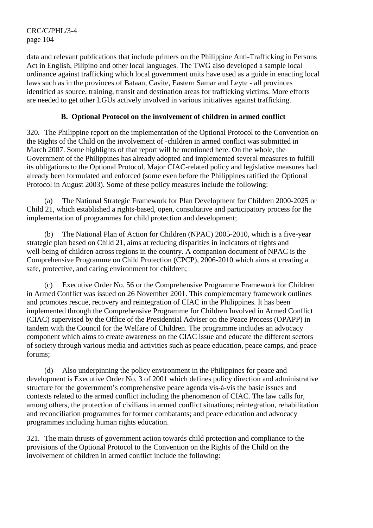data and relevant publications that include primers on the Philippine Anti-Trafficking in Persons Act in English, Pilipino and other local languages. The TWG also developed a sample local ordinance against trafficking which local government units have used as a guide in enacting local laws such as in the provinces of Bataan, Cavite, Eastern Samar and Leyte - all provinces identified as source, training, transit and destination areas for trafficking victims. More efforts are needed to get other LGUs actively involved in various initiatives against trafficking.

## **B. Optional Protocol on the involvement of children in armed conflict**

320. The Philippine report on the implementation of the Optional Protocol to the Convention on the Rights of the Child on the involvement of -children in armed conflict was submitted in March 2007. Some highlights of that report will be mentioned here. On the whole, the Government of the Philippines has already adopted and implemented several measures to fulfill its obligations to the Optional Protocol. Major CIAC-related policy and legislative measures had already been formulated and enforced (some even before the Philippines ratified the Optional Protocol in August 2003). Some of these policy measures include the following:

 (a) The National Strategic Framework for Plan Development for Children 2000-2025 or Child 21, which established a rights-based, open, consultative and participatory process for the implementation of programmes for child protection and development;

 (b) The National Plan of Action for Children (NPAC) 2005-2010, which is a five-year strategic plan based on Child 21, aims at reducing disparities in indicators of rights and well-being of children across regions in the country. A companion document of NPAC is the Comprehensive Programme on Child Protection (CPCP), 2006-2010 which aims at creating a safe, protective, and caring environment for children;

 (c) Executive Order No. 56 or the Comprehensive Programme Framework for Children in Armed Conflict was issued on 26 November 2001. This complementary framework outlines and promotes rescue, recovery and reintegration of CIAC in the Philippines. It has been implemented through the Comprehensive Programme for Children Involved in Armed Conflict (CIAC) supervised by the Office of the Presidential Adviser on the Peace Process (OPAPP) in tandem with the Council for the Welfare of Children. The programme includes an advocacy component which aims to create awareness on the CIAC issue and educate the different sectors of society through various media and activities such as peace education, peace camps, and peace forums;

 (d) Also underpinning the policy environment in the Philippines for peace and development is Executive Order No. 3 of 2001 which defines policy direction and administrative structure for the government's comprehensive peace agenda vis-à-vis the basic issues and contexts related to the armed conflict including the phenomenon of CIAC. The law calls for, among others, the protection of civilians in armed conflict situations; reintegration, rehabilitation and reconciliation programmes for former combatants; and peace education and advocacy programmes including human rights education.

321. The main thrusts of government action towards child protection and compliance to the provisions of the Optional Protocol to the Convention on the Rights of the Child on the involvement of children in armed conflict include the following: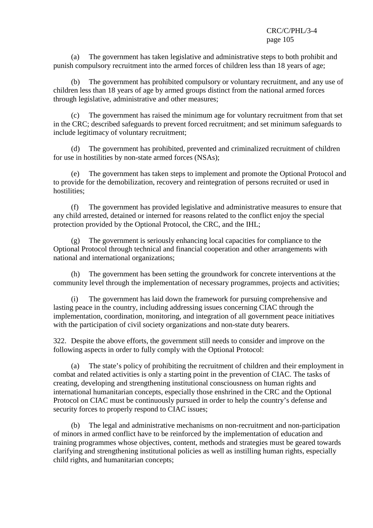(a) The government has taken legislative and administrative steps to both prohibit and punish compulsory recruitment into the armed forces of children less than 18 years of age;

 (b) The government has prohibited compulsory or voluntary recruitment, and any use of children less than 18 years of age by armed groups distinct from the national armed forces through legislative, administrative and other measures;

 (c) The government has raised the minimum age for voluntary recruitment from that set in the CRC; described safeguards to prevent forced recruitment; and set minimum safeguards to include legitimacy of voluntary recruitment;

 (d) The government has prohibited, prevented and criminalized recruitment of children for use in hostilities by non-state armed forces (NSAs);

 (e) The government has taken steps to implement and promote the Optional Protocol and to provide for the demobilization, recovery and reintegration of persons recruited or used in hostilities;

 (f) The government has provided legislative and administrative measures to ensure that any child arrested, detained or interned for reasons related to the conflict enjoy the special protection provided by the Optional Protocol, the CRC, and the IHL;

The government is seriously enhancing local capacities for compliance to the Optional Protocol through technical and financial cooperation and other arrangements with national and international organizations;

 (h) The government has been setting the groundwork for concrete interventions at the community level through the implementation of necessary programmes, projects and activities;

 (i) The government has laid down the framework for pursuing comprehensive and lasting peace in the country, including addressing issues concerning CIAC through the implementation, coordination, monitoring, and integration of all government peace initiatives with the participation of civil society organizations and non-state duty bearers.

322. Despite the above efforts, the government still needs to consider and improve on the following aspects in order to fully comply with the Optional Protocol:

 (a) The state's policy of prohibiting the recruitment of children and their employment in combat and related activities is only a starting point in the prevention of CIAC. The tasks of creating, developing and strengthening institutional consciousness on human rights and international humanitarian concepts, especially those enshrined in the CRC and the Optional Protocol on CIAC must be continuously pursued in order to help the country's defense and security forces to properly respond to CIAC issues;

 (b) The legal and administrative mechanisms on non-recruitment and non-participation of minors in armed conflict have to be reinforced by the implementation of education and training programmes whose objectives, content, methods and strategies must be geared towards clarifying and strengthening institutional policies as well as instilling human rights, especially child rights, and humanitarian concepts;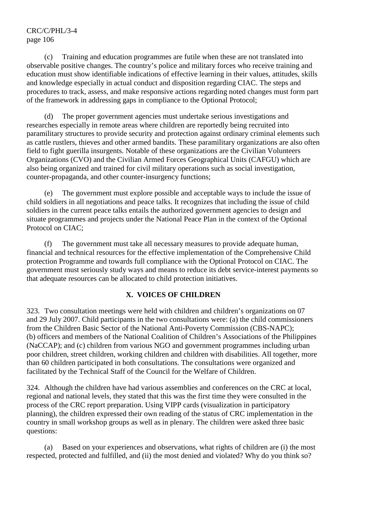(c) Training and education programmes are futile when these are not translated into observable positive changes. The country's police and military forces who receive training and education must show identifiable indications of effective learning in their values, attitudes, skills and knowledge especially in actual conduct and disposition regarding CIAC. The steps and procedures to track, assess, and make responsive actions regarding noted changes must form part of the framework in addressing gaps in compliance to the Optional Protocol;

 (d) The proper government agencies must undertake serious investigations and researches especially in remote areas where children are reportedly being recruited into paramilitary structures to provide security and protection against ordinary criminal elements such as cattle rustlers, thieves and other armed bandits. These paramilitary organizations are also often field to fight guerilla insurgents. Notable of these organizations are the Civilian Volunteers Organizations (CVO) and the Civilian Armed Forces Geographical Units (CAFGU) which are also being organized and trained for civil military operations such as social investigation, counter-propaganda, and other counter-insurgency functions;

 (e) The government must explore possible and acceptable ways to include the issue of child soldiers in all negotiations and peace talks. It recognizes that including the issue of child soldiers in the current peace talks entails the authorized government agencies to design and situate programmes and projects under the National Peace Plan in the context of the Optional Protocol on CIAC;

 (f) The government must take all necessary measures to provide adequate human, financial and technical resources for the effective implementation of the Comprehensive Child protection Programme and towards full compliance with the Optional Protocol on CIAC. The government must seriously study ways and means to reduce its debt service-interest payments so that adequate resources can be allocated to child protection initiatives.

### **X. VOICES OF CHILDREN**

323. Two consultation meetings were held with children and children's organizations on 07 and 29 July 2007. Child participants in the two consultations were: (a) the child commissioners from the Children Basic Sector of the National Anti-Poverty Commission (CBS-NAPC); (b) officers and members of the National Coalition of Children's Associations of the Philippines (NaCCAP); and (c) children from various NGO and government programmes including urban poor children, street children, working children and children with disabilities. All together, more than 60 children participated in both consultations. The consultations were organized and facilitated by the Technical Staff of the Council for the Welfare of Children.

324. Although the children have had various assemblies and conferences on the CRC at local, regional and national levels, they stated that this was the first time they were consulted in the process of the CRC report preparation. Using VIPP cards (visualization in participatory planning), the children expressed their own reading of the status of CRC implementation in the country in small workshop groups as well as in plenary. The children were asked three basic questions:

 (a) Based on your experiences and observations, what rights of children are (i) the most respected, protected and fulfilled, and (ii) the most denied and violated? Why do you think so?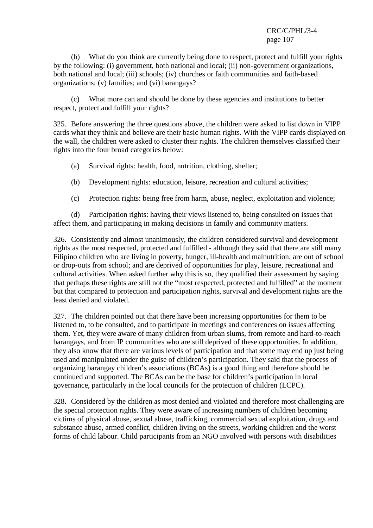(b) What do you think are currently being done to respect, protect and fulfill your rights by the following: (i) government, both national and local; (ii) non-government organizations, both national and local; (iii) schools; (iv) churches or faith communities and faith-based organizations; (v) families; and (vi) barangays?

 (c) What more can and should be done by these agencies and institutions to better respect, protect and fulfill your rights?

325. Before answering the three questions above, the children were asked to list down in VIPP cards what they think and believe are their basic human rights. With the VIPP cards displayed on the wall, the children were asked to cluster their rights. The children themselves classified their rights into the four broad categories below:

- (a) Survival rights: health, food, nutrition, clothing, shelter;
- (b) Development rights: education, leisure, recreation and cultural activities;
- (c) Protection rights: being free from harm, abuse, neglect, exploitation and violence;

 (d) Participation rights: having their views listened to, being consulted on issues that affect them, and participating in making decisions in family and community matters.

326. Consistently and almost unanimously, the children considered survival and development rights as the most respected, protected and fulfilled - although they said that there are still many Filipino children who are living in poverty, hunger, ill-health and malnutrition; are out of school or drop-outs from school; and are deprived of opportunities for play, leisure, recreational and cultural activities. When asked further why this is so, they qualified their assessment by saying that perhaps these rights are still not the "most respected, protected and fulfilled" at the moment but that compared to protection and participation rights, survival and development rights are the least denied and violated.

327. The children pointed out that there have been increasing opportunities for them to be listened to, to be consulted, and to participate in meetings and conferences on issues affecting them. Yet, they were aware of many children from urban slums, from remote and hard-to-reach barangays, and from IP communities who are still deprived of these opportunities. In addition, they also know that there are various levels of participation and that some may end up just being used and manipulated under the guise of children's participation. They said that the process of organizing barangay children's associations (BCAs) is a good thing and therefore should be continued and supported. The BCAs can be the base for children's participation in local governance, particularly in the local councils for the protection of children (LCPC).

328. Considered by the children as most denied and violated and therefore most challenging are the special protection rights. They were aware of increasing numbers of children becoming victims of physical abuse, sexual abuse, trafficking, commercial sexual exploitation, drugs and substance abuse, armed conflict, children living on the streets, working children and the worst forms of child labour. Child participants from an NGO involved with persons with disabilities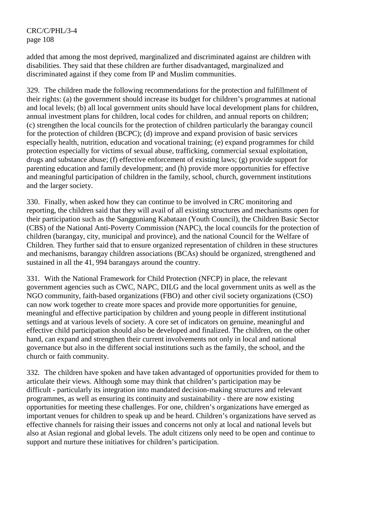added that among the most deprived, marginalized and discriminated against are children with disabilities. They said that these children are further disadvantaged, marginalized and discriminated against if they come from IP and Muslim communities.

329. The children made the following recommendations for the protection and fulfillment of their rights: (a) the government should increase its budget for children's programmes at national and local levels; (b) all local government units should have local development plans for children, annual investment plans for children, local codes for children, and annual reports on children; (c) strengthen the local councils for the protection of children particularly the barangay council for the protection of children (BCPC); (d) improve and expand provision of basic services especially health, nutrition, education and vocational training; (e) expand programmes for child protection especially for victims of sexual abuse, trafficking, commercial sexual exploitation, drugs and substance abuse; (f) effective enforcement of existing laws; (g) provide support for parenting education and family development; and (h) provide more opportunities for effective and meaningful participation of children in the family, school, church, government institutions and the larger society.

330. Finally, when asked how they can continue to be involved in CRC monitoring and reporting, the children said that they will avail of all existing structures and mechanisms open for their participation such as the Sangguniang Kabataan (Youth Council), the Children Basic Sector (CBS) of the National Anti-Poverty Commission (NAPC), the local councils for the protection of children (barangay, city, municipal and province), and the national Council for the Welfare of Children. They further said that to ensure organized representation of children in these structures and mechanisms, barangay children associations (BCAs) should be organized, strengthened and sustained in all the 41, 994 barangays around the country.

331. With the National Framework for Child Protection (NFCP) in place, the relevant government agencies such as CWC, NAPC, DILG and the local government units as well as the NGO community, faith-based organizations (FBO) and other civil society organizations (CSO) can now work together to create more spaces and provide more opportunities for genuine, meaningful and effective participation by children and young people in different institutional settings and at various levels of society. A core set of indicators on genuine, meaningful and effective child participation should also be developed and finalized. The children, on the other hand, can expand and strengthen their current involvements not only in local and national governance but also in the different social institutions such as the family, the school, and the church or faith community.

332. The children have spoken and have taken advantaged of opportunities provided for them to articulate their views. Although some may think that children's participation may be difficult - particularly its integration into mandated decision-making structures and relevant programmes, as well as ensuring its continuity and sustainability - there are now existing opportunities for meeting these challenges. For one, children's organizations have emerged as important venues for children to speak up and be heard. Children's organizations have served as effective channels for raising their issues and concerns not only at local and national levels but also at Asian regional and global levels. The adult citizens only need to be open and continue to support and nurture these initiatives for children's participation.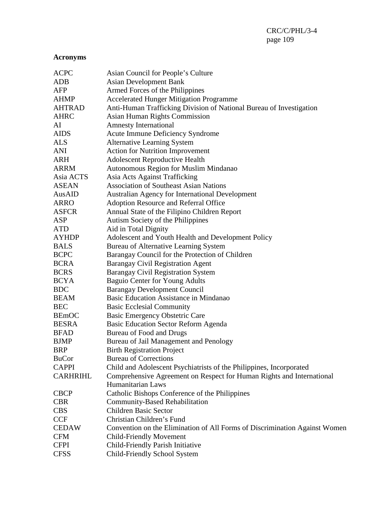## **Acronyms**

| <b>ACPC</b>     | Asian Council for People's Culture                                         |
|-----------------|----------------------------------------------------------------------------|
| <b>ADB</b>      | <b>Asian Development Bank</b>                                              |
| AFP             | Armed Forces of the Philippines                                            |
| <b>AHMP</b>     | <b>Accelerated Hunger Mitigation Programme</b>                             |
| <b>AHTRAD</b>   | Anti-Human Trafficking Division of National Bureau of Investigation        |
| <b>AHRC</b>     | <b>Asian Human Rights Commission</b>                                       |
| AI              | <b>Amnesty International</b>                                               |
| <b>AIDS</b>     | <b>Acute Immune Deficiency Syndrome</b>                                    |
| <b>ALS</b>      | <b>Alternative Learning System</b>                                         |
| <b>ANI</b>      | <b>Action for Nutrition Improvement</b>                                    |
| <b>ARH</b>      | <b>Adolescent Reproductive Health</b>                                      |
| <b>ARRM</b>     | Autonomous Region for Muslim Mindanao                                      |
| Asia ACTS       | Asia Acts Against Trafficking                                              |
| <b>ASEAN</b>    | <b>Association of Southeast Asian Nations</b>                              |
| AusAID          | Australian Agency for International Development                            |
| <b>ARRO</b>     | Adoption Resource and Referral Office                                      |
| <b>ASFCR</b>    | Annual State of the Filipino Children Report                               |
| ASP             | Autism Society of the Philippines                                          |
| <b>ATD</b>      | Aid in Total Dignity                                                       |
| <b>AYHDP</b>    | Adolescent and Youth Health and Development Policy                         |
| <b>BALS</b>     | Bureau of Alternative Learning System                                      |
| <b>BCPC</b>     | Barangay Council for the Protection of Children                            |
| <b>BCRA</b>     | Barangay Civil Registration Agent                                          |
| <b>BCRS</b>     | Barangay Civil Registration System                                         |
| <b>BCYA</b>     | <b>Baguio Center for Young Adults</b>                                      |
| <b>BDC</b>      | <b>Barangay Development Council</b>                                        |
| <b>BEAM</b>     | Basic Education Assistance in Mindanao                                     |
| <b>BEC</b>      | <b>Basic Ecclesial Community</b>                                           |
| <b>BEmOC</b>    | <b>Basic Emergency Obstetric Care</b>                                      |
| <b>BESRA</b>    | Basic Education Sector Reform Agenda                                       |
| <b>BFAD</b>     | Bureau of Food and Drugs                                                   |
| <b>BJMP</b>     | Bureau of Jail Management and Penology                                     |
| <b>BRP</b>      | <b>Birth Registration Project</b>                                          |
| <b>BuCor</b>    | <b>Bureau of Corrections</b>                                               |
| <b>CAPPI</b>    | Child and Adolescent Psychiatrists of the Philippines, Incorporated        |
| <b>CARHRIHL</b> | Comprehensive Agreement on Respect for Human Rights and International      |
|                 | Humanitarian Laws                                                          |
| <b>CBCP</b>     | Catholic Bishops Conference of the Philippines                             |
| <b>CBR</b>      | <b>Community-Based Rehabilitation</b>                                      |
| <b>CBS</b>      | <b>Children Basic Sector</b>                                               |
| <b>CCF</b>      | Christian Children's Fund                                                  |
| <b>CEDAW</b>    | Convention on the Elimination of All Forms of Discrimination Against Women |
| <b>CFM</b>      | <b>Child-Friendly Movement</b>                                             |
| <b>CFPI</b>     | Child-Friendly Parish Initiative                                           |
| <b>CFSS</b>     | Child-Friendly School System                                               |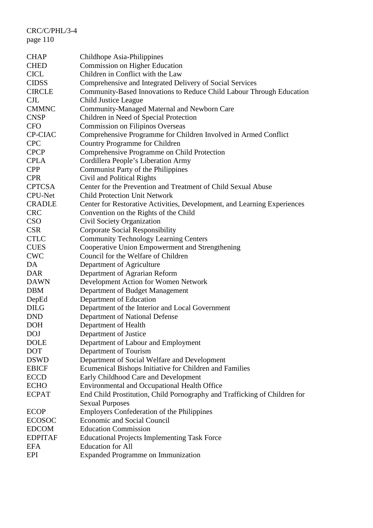| <b>CHAP</b>    | Childhope Asia-Philippines                                                |
|----------------|---------------------------------------------------------------------------|
| <b>CHED</b>    | <b>Commission on Higher Education</b>                                     |
| <b>CICL</b>    | Children in Conflict with the Law                                         |
| <b>CIDSS</b>   | Comprehensive and Integrated Delivery of Social Services                  |
| <b>CIRCLE</b>  | Community-Based Innovations to Reduce Child Labour Through Education      |
| <b>CJL</b>     | <b>Child Justice League</b>                                               |
| <b>CMMNC</b>   | Community-Managed Maternal and Newborn Care                               |
| <b>CNSP</b>    | Children in Need of Special Protection                                    |
| <b>CFO</b>     | <b>Commission on Filipinos Overseas</b>                                   |
| <b>CP-CIAC</b> | Comprehensive Programme for Children Involved in Armed Conflict           |
| <b>CPC</b>     | Country Programme for Children                                            |
| <b>CPCP</b>    | Comprehensive Programme on Child Protection                               |
| <b>CPLA</b>    | Cordillera People's Liberation Army                                       |
| <b>CPP</b>     | Communist Party of the Philippines                                        |
| <b>CPR</b>     | Civil and Political Rights                                                |
| <b>CPTCSA</b>  | Center for the Prevention and Treatment of Child Sexual Abuse             |
| <b>CPU-Net</b> | <b>Child Protection Unit Network</b>                                      |
| <b>CRADLE</b>  | Center for Restorative Activities, Development, and Learning Experiences  |
| <b>CRC</b>     | Convention on the Rights of the Child                                     |
| <b>CSO</b>     | Civil Society Organization                                                |
| <b>CSR</b>     | <b>Corporate Social Responsibility</b>                                    |
| <b>CTLC</b>    | <b>Community Technology Learning Centers</b>                              |
| <b>CUES</b>    | Cooperative Union Empowerment and Strengthening                           |
| <b>CWC</b>     | Council for the Welfare of Children                                       |
| DA             | Department of Agriculture                                                 |
| <b>DAR</b>     | Department of Agrarian Reform                                             |
| <b>DAWN</b>    | Development Action for Women Network                                      |
| <b>DBM</b>     | Department of Budget Management                                           |
| DepEd          | Department of Education                                                   |
| <b>DILG</b>    | Department of the Interior and Local Government                           |
| <b>DND</b>     | Department of National Defense                                            |
| <b>DOH</b>     | Department of Health                                                      |
| <b>DOJ</b>     | Department of Justice                                                     |
| <b>DOLE</b>    | Department of Labour and Employment                                       |
| <b>DOT</b>     | Department of Tourism                                                     |
| <b>DSWD</b>    | Department of Social Welfare and Development                              |
| <b>EBICF</b>   | Ecumenical Bishops Initiative for Children and Families                   |
| <b>ECCD</b>    | Early Childhood Care and Development                                      |
| <b>ECHO</b>    | <b>Environmental and Occupational Health Office</b>                       |
| <b>ECPAT</b>   | End Child Prostitution, Child Pornography and Trafficking of Children for |
|                | <b>Sexual Purposes</b>                                                    |
| <b>ECOP</b>    | <b>Employers Confederation of the Philippines</b>                         |
| <b>ECOSOC</b>  | <b>Economic and Social Council</b>                                        |
| <b>EDCOM</b>   | <b>Education Commission</b>                                               |
| <b>EDPITAF</b> | <b>Educational Projects Implementing Task Force</b>                       |
| <b>EFA</b>     | <b>Education</b> for All                                                  |
| EPI            | <b>Expanded Programme on Immunization</b>                                 |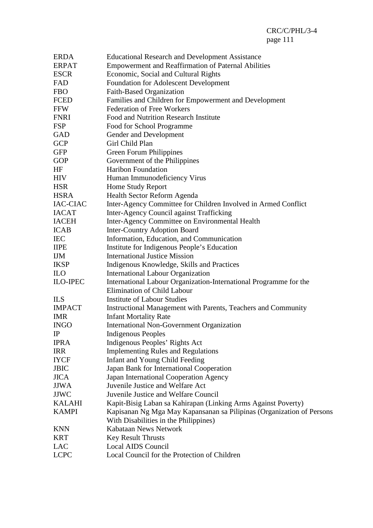| <b>ERDA</b>     | <b>Educational Research and Development Assistance</b>                |
|-----------------|-----------------------------------------------------------------------|
| <b>ERPAT</b>    | <b>Empowerment and Reaffirmation of Paternal Abilities</b>            |
| <b>ESCR</b>     | Economic, Social and Cultural Rights                                  |
| FAD             | <b>Foundation for Adolescent Development</b>                          |
| <b>FBO</b>      | Faith-Based Organization                                              |
| <b>FCED</b>     | Families and Children for Empowerment and Development                 |
| <b>FFW</b>      | <b>Federation of Free Workers</b>                                     |
| <b>FNRI</b>     | Food and Nutrition Research Institute                                 |
| <b>FSP</b>      | Food for School Programme                                             |
| <b>GAD</b>      | Gender and Development                                                |
| <b>GCP</b>      | Girl Child Plan                                                       |
| <b>GFP</b>      | Green Forum Philippines                                               |
| <b>GOP</b>      | Government of the Philippines                                         |
| HF              | Haribon Foundation                                                    |
| <b>HIV</b>      | Human Immunodeficiency Virus                                          |
| <b>HSR</b>      | Home Study Report                                                     |
| <b>HSRA</b>     | Health Sector Reform Agenda                                           |
| IAC-CIAC        | Inter-Agency Committee for Children Involved in Armed Conflict        |
| <b>IACAT</b>    | Inter-Agency Council against Trafficking                              |
| <b>IACEH</b>    | Inter-Agency Committee on Environmental Health                        |
| <b>ICAB</b>     | <b>Inter-Country Adoption Board</b>                                   |
| <b>IEC</b>      | Information, Education, and Communication                             |
| <b>IIPE</b>     | Institute for Indigenous People's Education                           |
| <b>IJM</b>      | <b>International Justice Mission</b>                                  |
| <b>IKSP</b>     | Indigenous Knowledge, Skills and Practices                            |
| <b>ILO</b>      | <b>International Labour Organization</b>                              |
| <b>ILO-IPEC</b> | International Labour Organization-International Programme for the     |
|                 | Elimination of Child Labour                                           |
| <b>ILS</b>      | <b>Institute of Labour Studies</b>                                    |
| <b>IMPACT</b>   | Instructional Management with Parents, Teachers and Community         |
| <b>IMR</b>      | <b>Infant Mortality Rate</b>                                          |
| <b>INGO</b>     | <b>International Non-Government Organization</b>                      |
| $_{\rm IP}$     | Indigenous Peoples                                                    |
| <b>IPRA</b>     | Indigenous Peoples' Rights Act                                        |
| <b>IRR</b>      | <b>Implementing Rules and Regulations</b>                             |
| <b>IYCF</b>     | Infant and Young Child Feeding                                        |
| <b>JBIC</b>     | Japan Bank for International Cooperation                              |
| <b>JICA</b>     | Japan International Cooperation Agency                                |
| <b>JJWA</b>     | Juvenile Justice and Welfare Act                                      |
| <b>JJWC</b>     | Juvenile Justice and Welfare Council                                  |
| <b>KALAHI</b>   | Kapit-Bisig Laban sa Kahirapan (Linking Arms Against Poverty)         |
| <b>KAMPI</b>    | Kapisanan Ng Mga May Kapansanan sa Pilipinas (Organization of Persons |
|                 | With Disabilities in the Philippines)                                 |
| <b>KNN</b>      | Kabataan News Network                                                 |
| <b>KRT</b>      | <b>Key Result Thrusts</b>                                             |
| <b>LAC</b>      | Local AIDS Council                                                    |
| <b>LCPC</b>     | Local Council for the Protection of Children                          |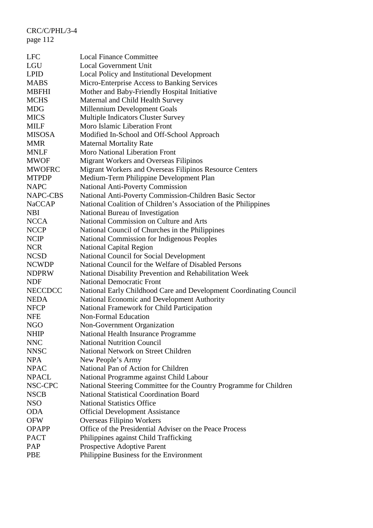| <b>LFC</b>     | <b>Local Finance Committee</b>                                     |
|----------------|--------------------------------------------------------------------|
| LGU            | <b>Local Government Unit</b>                                       |
| <b>LPID</b>    | Local Policy and Institutional Development                         |
| <b>MABS</b>    | Micro-Enterprise Access to Banking Services                        |
| MBFHI          | Mother and Baby-Friendly Hospital Initiative                       |
| <b>MCHS</b>    | Maternal and Child Health Survey                                   |
| MDG            | Millennium Development Goals                                       |
| <b>MICS</b>    | <b>Multiple Indicators Cluster Survey</b>                          |
| <b>MILF</b>    | Moro Islamic Liberation Front                                      |
| <b>MISOSA</b>  | Modified In-School and Off-School Approach                         |
| <b>MMR</b>     | <b>Maternal Mortality Rate</b>                                     |
| <b>MNLF</b>    | <b>Moro National Liberation Front</b>                              |
| MWOF           | Migrant Workers and Overseas Filipinos                             |
| <b>MWOFRC</b>  | Migrant Workers and Overseas Filipinos Resource Centers            |
| <b>MTPDP</b>   | Medium-Term Philippine Development Plan                            |
| NAPC           | <b>National Anti-Poverty Commission</b>                            |
| NAPC-CBS       | National Anti-Poverty Commission-Children Basic Sector             |
| <b>NaCCAP</b>  | National Coalition of Children's Association of the Philippines    |
| <b>NBI</b>     | National Bureau of Investigation                                   |
| <b>NCCA</b>    | National Commission on Culture and Arts                            |
| <b>NCCP</b>    | National Council of Churches in the Philippines                    |
| <b>NCIP</b>    | National Commission for Indigenous Peoples                         |
| <b>NCR</b>     | <b>National Capital Region</b>                                     |
| NCSD           | National Council for Social Development                            |
| <b>NCWDP</b>   | National Council for the Welfare of Disabled Persons               |
| <b>NDPRW</b>   | National Disability Prevention and Rehabilitation Week             |
| <b>NDF</b>     | <b>National Democratic Front</b>                                   |
| <b>NECCDCC</b> | National Early Childhood Care and Development Coordinating Council |
| <b>NEDA</b>    | National Economic and Development Authority                        |
| <b>NFCP</b>    | National Framework for Child Participation                         |
| NFE            | <b>Non-Formal Education</b>                                        |
| <b>NGO</b>     | Non-Government Organization                                        |
| NHIP           | National Health Insurance Programme                                |
| <b>NNC</b>     | <b>National Nutrition Council</b>                                  |
| <b>NNSC</b>    | National Network on Street Children                                |
| <b>NPA</b>     | New People's Army                                                  |
| <b>NPAC</b>    | National Pan of Action for Children                                |
| <b>NPACL</b>   | National Programme against Child Labour                            |
| NSC-CPC        | National Steering Committee for the Country Programme for Children |
| <b>NSCB</b>    | <b>National Statistical Coordination Board</b>                     |
| NSO            | <b>National Statistics Office</b>                                  |
| <b>ODA</b>     | <b>Official Development Assistance</b>                             |
| <b>OFW</b>     | Overseas Filipino Workers                                          |
| <b>OPAPP</b>   | Office of the Presidential Adviser on the Peace Process            |
| <b>PACT</b>    | Philippines against Child Trafficking                              |
| PAP            | Prospective Adoptive Parent                                        |
| PBE            | Philippine Business for the Environment                            |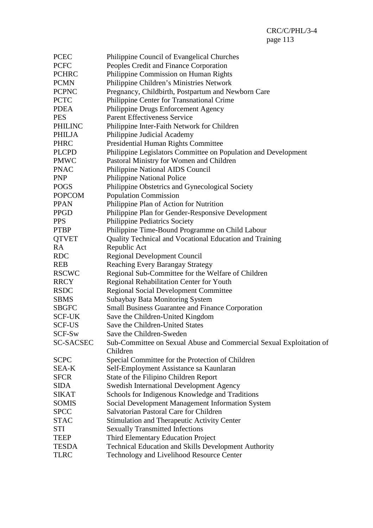| <b>PCEC</b>      | Philippine Council of Evangelical Churches                          |
|------------------|---------------------------------------------------------------------|
| <b>PCFC</b>      | Peoples Credit and Finance Corporation                              |
| <b>PCHRC</b>     | Philippine Commission on Human Rights                               |
| <b>PCMN</b>      | Philippine Children's Ministries Network                            |
| <b>PCPNC</b>     | Pregnancy, Childbirth, Postpartum and Newborn Care                  |
| <b>PCTC</b>      | Philippine Center for Transnational Crime                           |
| <b>PDEA</b>      | Philippine Drugs Enforcement Agency                                 |
| <b>PES</b>       | <b>Parent Effectiveness Service</b>                                 |
| <b>PHILINC</b>   | Philippine Inter-Faith Network for Children                         |
| <b>PHILJA</b>    | Philippine Judicial Academy                                         |
| <b>PHRC</b>      | Presidential Human Rights Committee                                 |
| <b>PLCPD</b>     | Philippine Legislators Committee on Population and Development      |
| <b>PMWC</b>      | Pastoral Ministry for Women and Children                            |
| <b>PNAC</b>      | Philippine National AIDS Council                                    |
| <b>PNP</b>       | <b>Philippine National Police</b>                                   |
| <b>POGS</b>      | Philippine Obstetrics and Gynecological Society                     |
| <b>POPCOM</b>    | <b>Population Commission</b>                                        |
| <b>PPAN</b>      | Philippine Plan of Action for Nutrition                             |
| <b>PPGD</b>      | Philippine Plan for Gender-Responsive Development                   |
| <b>PPS</b>       | <b>Philippine Pediatrics Society</b>                                |
| <b>PTBP</b>      | Philippine Time-Bound Programme on Child Labour                     |
| <b>QTVET</b>     | Quality Technical and Vocational Education and Training             |
| <b>RA</b>        | Republic Act                                                        |
| <b>RDC</b>       | <b>Regional Development Council</b>                                 |
| <b>REB</b>       | <b>Reaching Every Barangay Strategy</b>                             |
| <b>RSCWC</b>     | Regional Sub-Committee for the Welfare of Children                  |
| <b>RRCY</b>      | Regional Rehabilitation Center for Youth                            |
| <b>RSDC</b>      | <b>Regional Social Development Committee</b>                        |
| <b>SBMS</b>      | Subaybay Bata Monitoring System                                     |
| <b>SBGFC</b>     | <b>Small Business Guarantee and Finance Corporation</b>             |
| <b>SCF-UK</b>    | Save the Children-United Kingdom                                    |
| <b>SCF-US</b>    | Save the Children-United States                                     |
| SCF-Sw           | Save the Children-Sweden                                            |
| <b>SC-SACSEC</b> | Sub-Committee on Sexual Abuse and Commercial Sexual Exploitation of |
|                  | Children                                                            |
| <b>SCPC</b>      | Special Committee for the Protection of Children                    |
| SEA-K            | Self-Employment Assistance sa Kaunlaran                             |
| <b>SFCR</b>      | State of the Filipino Children Report                               |
| <b>SIDA</b>      | <b>Swedish International Development Agency</b>                     |
| <b>SIKAT</b>     | Schools for Indigenous Knowledge and Traditions                     |
| <b>SOMIS</b>     | Social Development Management Information System                    |
| <b>SPCC</b>      | Salvatorian Pastoral Care for Children                              |
| <b>STAC</b>      | <b>Stimulation and Therapeutic Activity Center</b>                  |
| STI              | <b>Sexually Transmitted Infections</b>                              |
| <b>TEEP</b>      | <b>Third Elementary Education Project</b>                           |
| <b>TESDA</b>     | Technical Education and Skills Development Authority                |
| <b>TLRC</b>      | Technology and Livelihood Resource Center                           |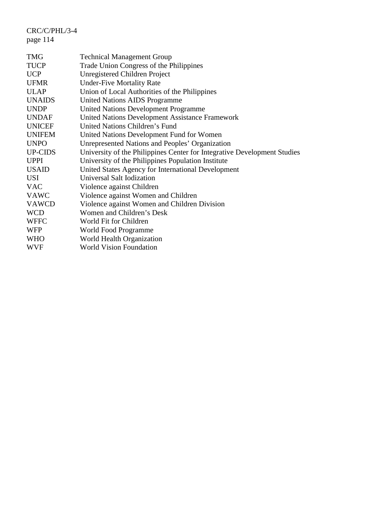| <b>TMG</b>    | <b>Technical Management Group</b>                                        |
|---------------|--------------------------------------------------------------------------|
| <b>TUCP</b>   | Trade Union Congress of the Philippines                                  |
| <b>UCP</b>    | Unregistered Children Project                                            |
| <b>UFMR</b>   | <b>Under-Five Mortality Rate</b>                                         |
| <b>ULAP</b>   | Union of Local Authorities of the Philippines                            |
| <b>UNAIDS</b> | <b>United Nations AIDS Programme</b>                                     |
| <b>UNDP</b>   | <b>United Nations Development Programme</b>                              |
| <b>UNDAF</b>  | <b>United Nations Development Assistance Framework</b>                   |
| <b>UNICEF</b> | United Nations Children's Fund                                           |
| <b>UNIFEM</b> | United Nations Development Fund for Women                                |
| <b>UNPO</b>   | Unrepresented Nations and Peoples' Organization                          |
| UP-CIDS       | University of the Philippines Center for Integrative Development Studies |
| <b>UPPI</b>   | University of the Philippines Population Institute                       |
| <b>USAID</b>  | United States Agency for International Development                       |
| USI           | Universal Salt Iodization                                                |
| <b>VAC</b>    | Violence against Children                                                |
| <b>VAWC</b>   | Violence against Women and Children                                      |
| <b>VAWCD</b>  | Violence against Women and Children Division                             |
| <b>WCD</b>    | Women and Children's Desk                                                |
| <b>WFFC</b>   | World Fit for Children                                                   |
| <b>WFP</b>    | World Food Programme                                                     |
| <b>WHO</b>    | World Health Organization                                                |
| <b>WVF</b>    | <b>World Vision Foundation</b>                                           |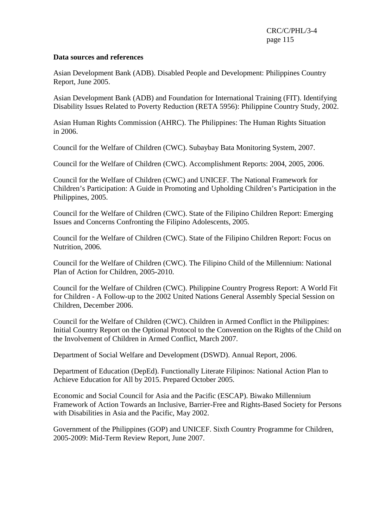## **Data sources and references**

Asian Development Bank (ADB). Disabled People and Development: Philippines Country Report, June 2005.

Asian Development Bank (ADB) and Foundation for International Training (FIT). Identifying Disability Issues Related to Poverty Reduction (RETA 5956): Philippine Country Study, 2002.

Asian Human Rights Commission (AHRC). The Philippines: The Human Rights Situation in 2006.

Council for the Welfare of Children (CWC). Subaybay Bata Monitoring System, 2007.

Council for the Welfare of Children (CWC). Accomplishment Reports: 2004, 2005, 2006.

Council for the Welfare of Children (CWC) and UNICEF. The National Framework for Children's Participation: A Guide in Promoting and Upholding Children's Participation in the Philippines, 2005.

Council for the Welfare of Children (CWC). State of the Filipino Children Report: Emerging Issues and Concerns Confronting the Filipino Adolescents, 2005.

Council for the Welfare of Children (CWC). State of the Filipino Children Report: Focus on Nutrition, 2006.

Council for the Welfare of Children (CWC). The Filipino Child of the Millennium: National Plan of Action for Children, 2005-2010.

Council for the Welfare of Children (CWC). Philippine Country Progress Report: A World Fit for Children - A Follow-up to the 2002 United Nations General Assembly Special Session on Children, December 2006.

Council for the Welfare of Children (CWC). Children in Armed Conflict in the Philippines: Initial Country Report on the Optional Protocol to the Convention on the Rights of the Child on the Involvement of Children in Armed Conflict, March 2007.

Department of Social Welfare and Development (DSWD). Annual Report, 2006.

Department of Education (DepEd). Functionally Literate Filipinos: National Action Plan to Achieve Education for All by 2015. Prepared October 2005.

Economic and Social Council for Asia and the Pacific (ESCAP). Biwako Millennium Framework of Action Towards an Inclusive, Barrier-Free and Rights-Based Society for Persons with Disabilities in Asia and the Pacific, May 2002.

Government of the Philippines (GOP) and UNICEF. Sixth Country Programme for Children, 2005-2009: Mid-Term Review Report, June 2007.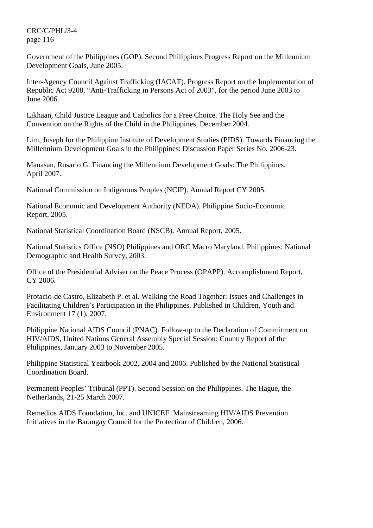Government of the Philippines (GOP). Second Philippines Progress Report on the Millennium Development Goals, June 2005.

Inter-Agency Council Against Trafficking (IACAT). Progress Report on the Implementation of Republic Act 9208, "Anti-Trafficking in Persons Act of 2003", for the period June 2003 to June 2006.

Likhaan, Child Justice League and Catholics for a Free Choice. The Holy See and the Convention on the Rights of the Child in the Philippines, December 2004.

Lim, Joseph for the Philippine Institute of Development Studies (PIDS). Towards Financing the Millennium Development Goals in the Philippines: Discussion Paper Series No. 2006-23.

Manasan, Rosario G. Financing the Millennium Development Goals: The Philippines, April 2007.

National Commission on Indigenous Peoples (NCIP). Annual Report CY 2005.

National Economic and Development Authority (NEDA). Philippine Socio-Economic Report, 2005.

National Statistical Coordination Board (NSCB). Annual Report, 2005.

National Statistics Office (NSO) Philippines and ORC Macro Maryland. Philippines: National Demographic and Health Survey, 2003.

Office of the Presidential Adviser on the Peace Process (OPAPP). Accomplishment Report, CY 2006.

Protacio-de Castro, Elizabeth P. et al. Walking the Road Together: Issues and Challenges in Facilitating Children's Participation in the Philippines. Published in Children, Youth and Environment 17 (1), 2007.

Philippine National AIDS Council (PNAC). Follow-up to the Declaration of Commitment on HIV/AIDS, United Nations General Assembly Special Session: Country Report of the Philippines, January 2003 to November 2005.

Philippine Statistical Yearbook 2002, 2004 and 2006. Published by the National Statistical Coordination Board.

Permanent Peoples' Tribunal (PPT). Second Session on the Philippines. The Hague, the Netherlands, 21-25 March 2007.

Remedios AIDS Foundation, Inc. and UNICEF. Mainstreaming HIV/AIDS Prevention Initiatives in the Barangay Council for the Protection of Children, 2006.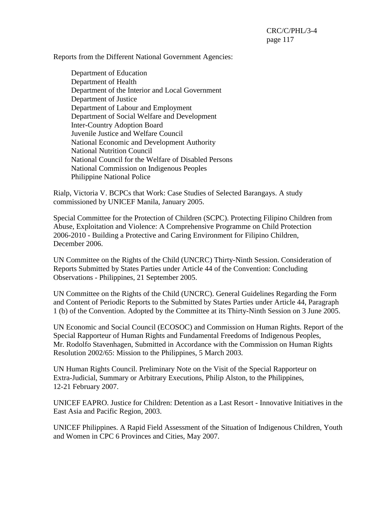Reports from the Different National Government Agencies:

 Department of Education Department of Health Department of the Interior and Local Government Department of Justice Department of Labour and Employment Department of Social Welfare and Development Inter-Country Adoption Board Juvenile Justice and Welfare Council National Economic and Development Authority National Nutrition Council National Council for the Welfare of Disabled Persons National Commission on Indigenous Peoples Philippine National Police

Rialp, Victoria V. BCPCs that Work: Case Studies of Selected Barangays. A study commissioned by UNICEF Manila, January 2005.

Special Committee for the Protection of Children (SCPC). Protecting Filipino Children from Abuse, Exploitation and Violence: A Comprehensive Programme on Child Protection 2006-2010 - Building a Protective and Caring Environment for Filipino Children, December 2006.

UN Committee on the Rights of the Child (UNCRC) Thirty-Ninth Session. Consideration of Reports Submitted by States Parties under Article 44 of the Convention: Concluding Observations - Philippines, 21 September 2005.

UN Committee on the Rights of the Child (UNCRC). General Guidelines Regarding the Form and Content of Periodic Reports to the Submitted by States Parties under Article 44, Paragraph 1 (b) of the Convention. Adopted by the Committee at its Thirty-Ninth Session on 3 June 2005.

UN Economic and Social Council (ECOSOC) and Commission on Human Rights. Report of the Special Rapporteur of Human Rights and Fundamental Freedoms of Indigenous Peoples, Mr. Rodolfo Stavenhagen, Submitted in Accordance with the Commission on Human Rights Resolution 2002/65: Mission to the Philippines, 5 March 2003.

UN Human Rights Council. Preliminary Note on the Visit of the Special Rapporteur on Extra-Judicial, Summary or Arbitrary Executions, Philip Alston, to the Philippines, 12-21 February 2007.

UNICEF EAPRO. Justice for Children: Detention as a Last Resort - Innovative Initiatives in the East Asia and Pacific Region, 2003.

UNICEF Philippines. A Rapid Field Assessment of the Situation of Indigenous Children, Youth and Women in CPC 6 Provinces and Cities, May 2007.